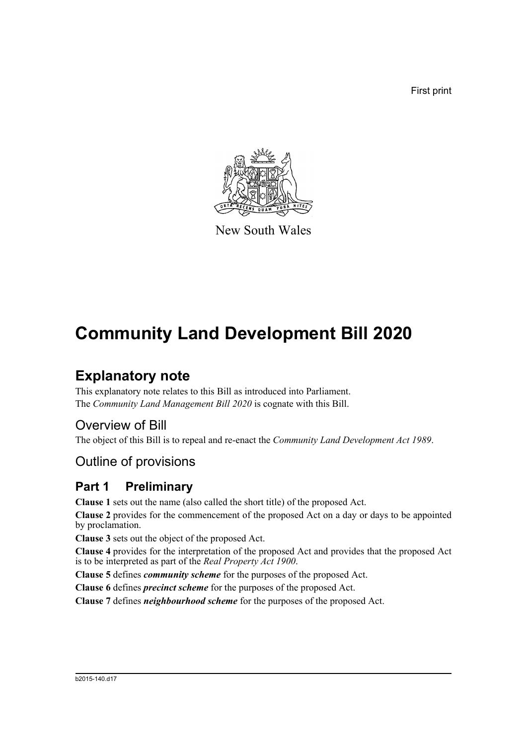First print



New South Wales

# **Community Land Development Bill 2020**

## **Explanatory note**

This explanatory note relates to this Bill as introduced into Parliament. The *Community Land Management Bill 2020* is cognate with this Bill.

## Overview of Bill

The object of this Bill is to repeal and re-enact the *Community Land Development Act 1989*.

## Outline of provisions

## **Part 1 Preliminary**

**Clause 1** sets out the name (also called the short title) of the proposed Act.

**Clause 2** provides for the commencement of the proposed Act on a day or days to be appointed by proclamation.

**Clause 3** sets out the object of the proposed Act.

**Clause 4** provides for the interpretation of the proposed Act and provides that the proposed Act is to be interpreted as part of the *Real Property Act 1900*.

**Clause 5** defines *community scheme* for the purposes of the proposed Act.

**Clause 6** defines *precinct scheme* for the purposes of the proposed Act.

**Clause 7** defines *neighbourhood scheme* for the purposes of the proposed Act.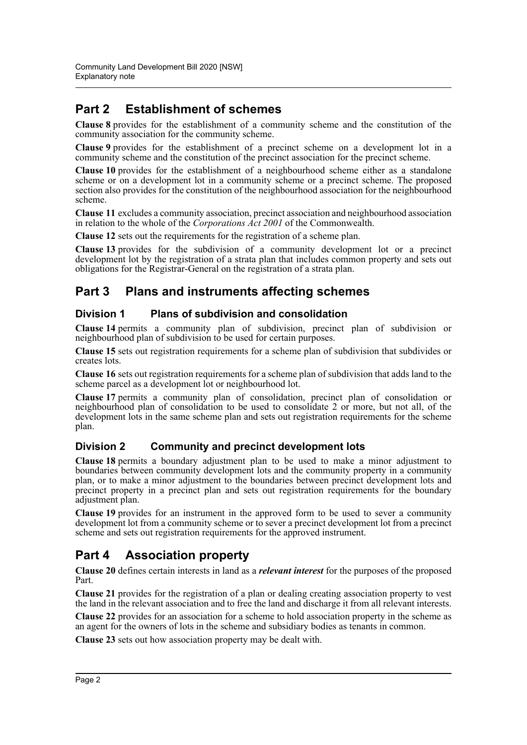## **Part 2 Establishment of schemes**

**Clause 8** provides for the establishment of a community scheme and the constitution of the community association for the community scheme.

**Clause 9** provides for the establishment of a precinct scheme on a development lot in a community scheme and the constitution of the precinct association for the precinct scheme.

**Clause 10** provides for the establishment of a neighbourhood scheme either as a standalone scheme or on a development lot in a community scheme or a precinct scheme. The proposed section also provides for the constitution of the neighbourhood association for the neighbourhood scheme.

**Clause 11** excludes a community association, precinct association and neighbourhood association in relation to the whole of the *Corporations Act 2001* of the Commonwealth.

**Clause 12** sets out the requirements for the registration of a scheme plan.

**Clause 13** provides for the subdivision of a community development lot or a precinct development lot by the registration of a strata plan that includes common property and sets out obligations for the Registrar-General on the registration of a strata plan.

## **Part 3 Plans and instruments affecting schemes**

#### **Division 1 Plans of subdivision and consolidation**

**Clause 14** permits a community plan of subdivision, precinct plan of subdivision or neighbourhood plan of subdivision to be used for certain purposes.

**Clause 15** sets out registration requirements for a scheme plan of subdivision that subdivides or creates lots.

**Clause 16** sets out registration requirements for a scheme plan of subdivision that adds land to the scheme parcel as a development lot or neighbourhood lot.

**Clause 17** permits a community plan of consolidation, precinct plan of consolidation or neighbourhood plan of consolidation to be used to consolidate 2 or more, but not all, of the development lots in the same scheme plan and sets out registration requirements for the scheme plan.

#### **Division 2 Community and precinct development lots**

**Clause 18** permits a boundary adjustment plan to be used to make a minor adjustment to boundaries between community development lots and the community property in a community plan, or to make a minor adjustment to the boundaries between precinct development lots and precinct property in a precinct plan and sets out registration requirements for the boundary adjustment plan.

**Clause 19** provides for an instrument in the approved form to be used to sever a community development lot from a community scheme or to sever a precinct development lot from a precinct scheme and sets out registration requirements for the approved instrument.

## **Part 4 Association property**

**Clause 20** defines certain interests in land as a *relevant interest* for the purposes of the proposed Part.

**Clause 21** provides for the registration of a plan or dealing creating association property to vest the land in the relevant association and to free the land and discharge it from all relevant interests.

**Clause 22** provides for an association for a scheme to hold association property in the scheme as an agent for the owners of lots in the scheme and subsidiary bodies as tenants in common.

**Clause 23** sets out how association property may be dealt with.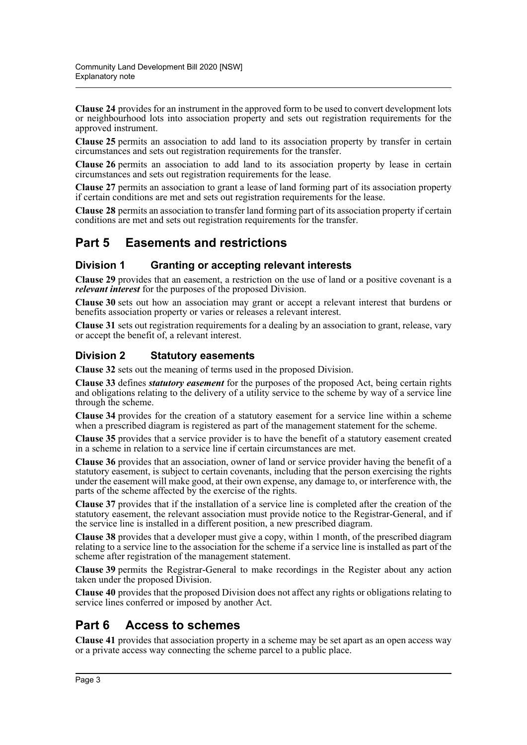**Clause 24** provides for an instrument in the approved form to be used to convert development lots or neighbourhood lots into association property and sets out registration requirements for the approved instrument.

**Clause 25** permits an association to add land to its association property by transfer in certain circumstances and sets out registration requirements for the transfer.

**Clause 26** permits an association to add land to its association property by lease in certain circumstances and sets out registration requirements for the lease.

**Clause 27** permits an association to grant a lease of land forming part of its association property if certain conditions are met and sets out registration requirements for the lease.

**Clause 28** permits an association to transfer land forming part of its association property if certain conditions are met and sets out registration requirements for the transfer.

## **Part 5 Easements and restrictions**

#### **Division 1 Granting or accepting relevant interests**

**Clause 29** provides that an easement, a restriction on the use of land or a positive covenant is a *relevant interest* for the purposes of the proposed Division.

**Clause 30** sets out how an association may grant or accept a relevant interest that burdens or benefits association property or varies or releases a relevant interest.

**Clause 31** sets out registration requirements for a dealing by an association to grant, release, vary or accept the benefit of, a relevant interest.

#### **Division 2 Statutory easements**

**Clause 32** sets out the meaning of terms used in the proposed Division.

**Clause 33** defines *statutory easement* for the purposes of the proposed Act, being certain rights and obligations relating to the delivery of a utility service to the scheme by way of a service line through the scheme.

**Clause 34** provides for the creation of a statutory easement for a service line within a scheme when a prescribed diagram is registered as part of the management statement for the scheme.

**Clause 35** provides that a service provider is to have the benefit of a statutory easement created in a scheme in relation to a service line if certain circumstances are met.

**Clause 36** provides that an association, owner of land or service provider having the benefit of a statutory easement, is subject to certain covenants, including that the person exercising the rights under the easement will make good, at their own expense, any damage to, or interference with, the parts of the scheme affected by the exercise of the rights.

**Clause 37** provides that if the installation of a service line is completed after the creation of the statutory easement, the relevant association must provide notice to the Registrar-General, and if the service line is installed in a different position, a new prescribed diagram.

**Clause 38** provides that a developer must give a copy, within 1 month, of the prescribed diagram relating to a service line to the association for the scheme if a service line is installed as part of the scheme after registration of the management statement.

**Clause 39** permits the Registrar-General to make recordings in the Register about any action taken under the proposed Division.

**Clause 40** provides that the proposed Division does not affect any rights or obligations relating to service lines conferred or imposed by another Act.

## **Part 6 Access to schemes**

**Clause 41** provides that association property in a scheme may be set apart as an open access way or a private access way connecting the scheme parcel to a public place.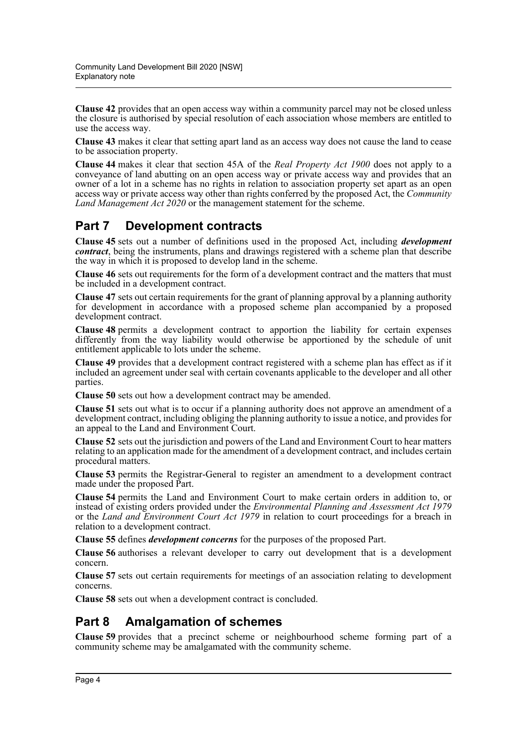**Clause 42** provides that an open access way within a community parcel may not be closed unless the closure is authorised by special resolution of each association whose members are entitled to use the access way.

**Clause 43** makes it clear that setting apart land as an access way does not cause the land to cease to be association property.

**Clause 44** makes it clear that section 45A of the *Real Property Act 1900* does not apply to a conveyance of land abutting on an open access way or private access way and provides that an owner of a lot in a scheme has no rights in relation to association property set apart as an open access way or private access way other than rights conferred by the proposed Act, the *Community Land Management Act 2020* or the management statement for the scheme.

## **Part 7 Development contracts**

**Clause 45** sets out a number of definitions used in the proposed Act, including *development contract*, being the instruments, plans and drawings registered with a scheme plan that describe the way in which it is proposed to develop land in the scheme.

**Clause 46** sets out requirements for the form of a development contract and the matters that must be included in a development contract.

**Clause 47** sets out certain requirements for the grant of planning approval by a planning authority for development in accordance with a proposed scheme plan accompanied by a proposed development contract.

**Clause 48** permits a development contract to apportion the liability for certain expenses differently from the way liability would otherwise be apportioned by the schedule of unit entitlement applicable to lots under the scheme.

**Clause 49** provides that a development contract registered with a scheme plan has effect as if it included an agreement under seal with certain covenants applicable to the developer and all other parties.

**Clause 50** sets out how a development contract may be amended.

**Clause 51** sets out what is to occur if a planning authority does not approve an amendment of a development contract, including obliging the planning authority to issue a notice, and provides for an appeal to the Land and Environment Court.

**Clause 52** sets out the jurisdiction and powers of the Land and Environment Court to hear matters relating to an application made for the amendment of a development contract, and includes certain procedural matters.

**Clause 53** permits the Registrar-General to register an amendment to a development contract made under the proposed Part.

**Clause 54** permits the Land and Environment Court to make certain orders in addition to, or instead of existing orders provided under the *Environmental Planning and Assessment Act 1979* or the *Land and Environment Court Act 1979* in relation to court proceedings for a breach in relation to a development contract.

**Clause 55** defines *development concerns* for the purposes of the proposed Part.

**Clause 56** authorises a relevant developer to carry out development that is a development concern.

**Clause 57** sets out certain requirements for meetings of an association relating to development concerns.

**Clause 58** sets out when a development contract is concluded.

## **Part 8 Amalgamation of schemes**

**Clause 59** provides that a precinct scheme or neighbourhood scheme forming part of a community scheme may be amalgamated with the community scheme.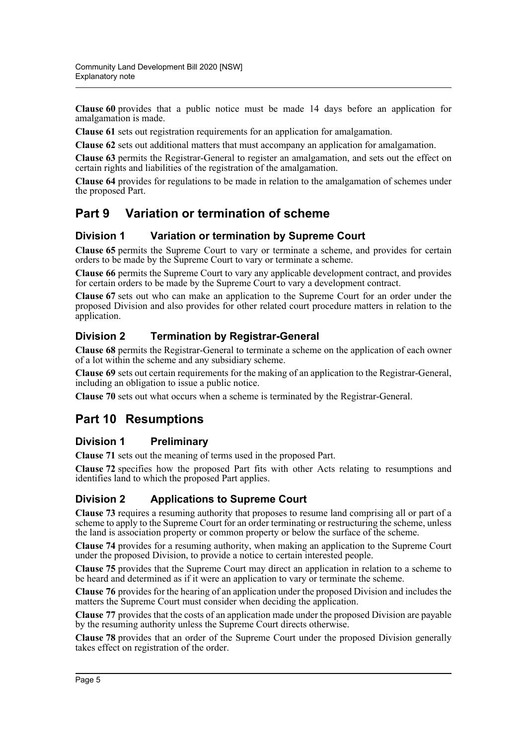**Clause 60** provides that a public notice must be made 14 days before an application for amalgamation is made.

**Clause 61** sets out registration requirements for an application for amalgamation.

**Clause 62** sets out additional matters that must accompany an application for amalgamation.

**Clause 63** permits the Registrar-General to register an amalgamation, and sets out the effect on certain rights and liabilities of the registration of the amalgamation.

**Clause 64** provides for regulations to be made in relation to the amalgamation of schemes under the proposed Part.

## **Part 9 Variation or termination of scheme**

#### **Division 1 Variation or termination by Supreme Court**

**Clause 65** permits the Supreme Court to vary or terminate a scheme, and provides for certain orders to be made by the Supreme Court to vary or terminate a scheme.

**Clause 66** permits the Supreme Court to vary any applicable development contract, and provides for certain orders to be made by the Supreme Court to vary a development contract.

**Clause 67** sets out who can make an application to the Supreme Court for an order under the proposed Division and also provides for other related court procedure matters in relation to the application.

#### **Division 2 Termination by Registrar-General**

**Clause 68** permits the Registrar-General to terminate a scheme on the application of each owner of a lot within the scheme and any subsidiary scheme.

**Clause 69** sets out certain requirements for the making of an application to the Registrar-General, including an obligation to issue a public notice.

**Clause 70** sets out what occurs when a scheme is terminated by the Registrar-General.

## **Part 10 Resumptions**

#### **Division 1 Preliminary**

**Clause 71** sets out the meaning of terms used in the proposed Part.

**Clause 72** specifies how the proposed Part fits with other Acts relating to resumptions and identifies land to which the proposed Part applies.

#### **Division 2 Applications to Supreme Court**

**Clause 73** requires a resuming authority that proposes to resume land comprising all or part of a scheme to apply to the Supreme Court for an order terminating or restructuring the scheme, unless the land is association property or common property or below the surface of the scheme.

**Clause 74** provides for a resuming authority, when making an application to the Supreme Court under the proposed Division, to provide a notice to certain interested people.

**Clause 75** provides that the Supreme Court may direct an application in relation to a scheme to be heard and determined as if it were an application to vary or terminate the scheme.

**Clause 76** provides for the hearing of an application under the proposed Division and includes the matters the Supreme Court must consider when deciding the application.

**Clause 77** provides that the costs of an application made under the proposed Division are payable by the resuming authority unless the Supreme Court directs otherwise.

**Clause 78** provides that an order of the Supreme Court under the proposed Division generally takes effect on registration of the order.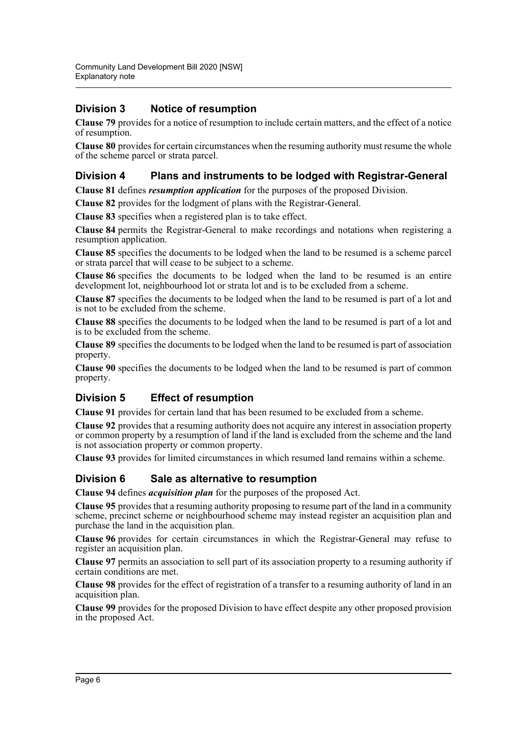#### **Division 3 Notice of resumption**

**Clause 79** provides for a notice of resumption to include certain matters, and the effect of a notice of resumption.

**Clause 80** provides for certain circumstances when the resuming authority must resume the whole of the scheme parcel or strata parcel.

#### **Division 4 Plans and instruments to be lodged with Registrar-General**

**Clause 81** defines *resumption application* for the purposes of the proposed Division.

**Clause 82** provides for the lodgment of plans with the Registrar-General.

**Clause 83** specifies when a registered plan is to take effect.

**Clause 84** permits the Registrar-General to make recordings and notations when registering a resumption application.

**Clause 85** specifies the documents to be lodged when the land to be resumed is a scheme parcel or strata parcel that will cease to be subject to a scheme.

**Clause 86** specifies the documents to be lodged when the land to be resumed is an entire development lot, neighbourhood lot or strata lot and is to be excluded from a scheme.

**Clause 87** specifies the documents to be lodged when the land to be resumed is part of a lot and is not to be excluded from the scheme.

**Clause 88** specifies the documents to be lodged when the land to be resumed is part of a lot and is to be excluded from the scheme.

**Clause 89** specifies the documents to be lodged when the land to be resumed is part of association property.

**Clause 90** specifies the documents to be lodged when the land to be resumed is part of common property.

#### **Division 5 Effect of resumption**

**Clause 91** provides for certain land that has been resumed to be excluded from a scheme.

**Clause 92** provides that a resuming authority does not acquire any interest in association property or common property by a resumption of land if the land is excluded from the scheme and the land is not association property or common property.

**Clause 93** provides for limited circumstances in which resumed land remains within a scheme.

#### **Division 6 Sale as alternative to resumption**

**Clause 94** defines *acquisition plan* for the purposes of the proposed Act.

**Clause 95** provides that a resuming authority proposing to resume part of the land in a community scheme, precinct scheme or neighbourhood scheme may instead register an acquisition plan and purchase the land in the acquisition plan.

**Clause 96** provides for certain circumstances in which the Registrar-General may refuse to register an acquisition plan.

**Clause 97** permits an association to sell part of its association property to a resuming authority if certain conditions are met.

**Clause 98** provides for the effect of registration of a transfer to a resuming authority of land in an acquisition plan.

**Clause 99** provides for the proposed Division to have effect despite any other proposed provision in the proposed Act.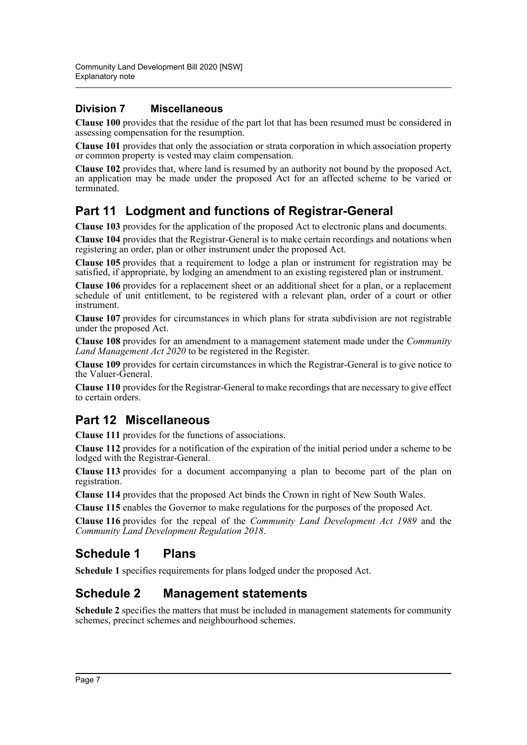#### **Division 7 Miscellaneous**

**Clause 100** provides that the residue of the part lot that has been resumed must be considered in assessing compensation for the resumption.

**Clause 101** provides that only the association or strata corporation in which association property or common property is vested may claim compensation.

**Clause 102** provides that, where land is resumed by an authority not bound by the proposed Act, an application may be made under the proposed Act for an affected scheme to be varied or terminated.

## **Part 11 Lodgment and functions of Registrar-General**

**Clause 103** provides for the application of the proposed Act to electronic plans and documents.

**Clause 104** provides that the Registrar-General is to make certain recordings and notations when registering an order, plan or other instrument under the proposed Act.

**Clause 105** provides that a requirement to lodge a plan or instrument for registration may be satisfied, if appropriate, by lodging an amendment to an existing registered plan or instrument.

**Clause 106** provides for a replacement sheet or an additional sheet for a plan, or a replacement schedule of unit entitlement, to be registered with a relevant plan, order of a court or other instrument.

**Clause 107** provides for circumstances in which plans for strata subdivision are not registrable under the proposed Act.

**Clause 108** provides for an amendment to a management statement made under the *Community Land Management Act 2020* to be registered in the Register.

**Clause 109** provides for certain circumstances in which the Registrar-General is to give notice to the Valuer-General.

**Clause 110** provides for the Registrar-General to make recordings that are necessary to give effect to certain orders.

## **Part 12 Miscellaneous**

**Clause 111** provides for the functions of associations.

**Clause 112** provides for a notification of the expiration of the initial period under a scheme to be lodged with the Registrar-General.

**Clause 113** provides for a document accompanying a plan to become part of the plan on registration.

**Clause 114** provides that the proposed Act binds the Crown in right of New South Wales.

**Clause 115** enables the Governor to make regulations for the purposes of the proposed Act.

**Clause 116** provides for the repeal of the *Community Land Development Act 1989* and the *Community Land Development Regulation 2018*.

## **Schedule 1 Plans**

**Schedule 1** specifies requirements for plans lodged under the proposed Act.

## **Schedule 2 Management statements**

**Schedule 2** specifies the matters that must be included in management statements for community schemes, precinct schemes and neighbourhood schemes.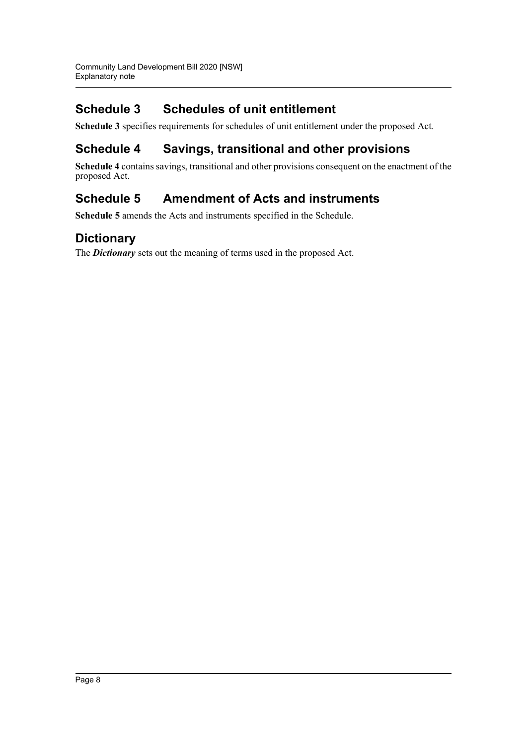## **Schedule 3 Schedules of unit entitlement**

**Schedule 3** specifies requirements for schedules of unit entitlement under the proposed Act.

## **Schedule 4 Savings, transitional and other provisions**

**Schedule 4** contains savings, transitional and other provisions consequent on the enactment of the proposed Act.

## **Schedule 5 Amendment of Acts and instruments**

**Schedule 5** amends the Acts and instruments specified in the Schedule.

## **Dictionary**

The *Dictionary* sets out the meaning of terms used in the proposed Act.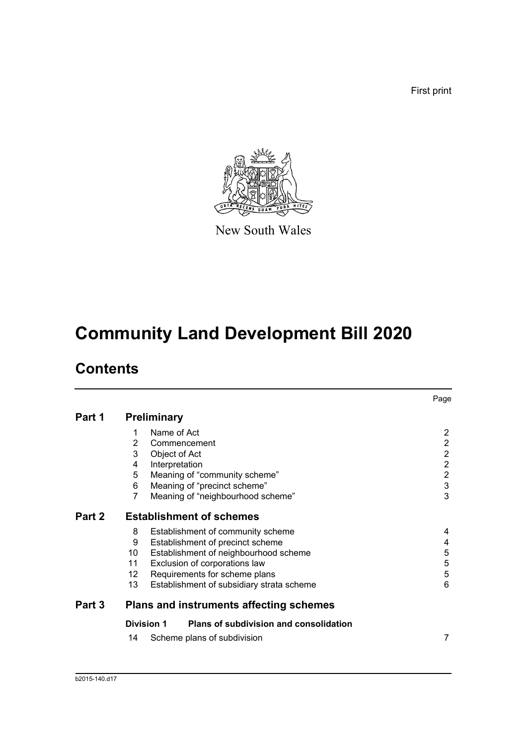First print



New South Wales

# **Community Land Development Bill 2020**

## **Contents**

|        |                    |                                                | Page           |
|--------|--------------------|------------------------------------------------|----------------|
| Part 1 | <b>Preliminary</b> |                                                |                |
|        | 1                  | Name of Act                                    | $\overline{2}$ |
|        | 2                  | Commencement                                   | $\overline{2}$ |
|        | 3                  | Object of Act                                  | $\overline{c}$ |
|        | 4                  | Interpretation                                 | $\overline{2}$ |
|        | 5                  | Meaning of "community scheme"                  | $\overline{c}$ |
|        | 6                  | Meaning of "precinct scheme"                   | $\mathsf 3$    |
|        | 7                  | Meaning of "neighbourhood scheme"              | 3              |
| Part 2 |                    | <b>Establishment of schemes</b>                |                |
|        | 8                  | Establishment of community scheme              | 4              |
|        | 9                  | Establishment of precinct scheme               | 4              |
|        | 10                 | Establishment of neighbourhood scheme          | $\mathbf 5$    |
|        | 11                 | Exclusion of corporations law                  | 5              |
|        | 12                 | Requirements for scheme plans                  | 5              |
|        | 13                 | Establishment of subsidiary strata scheme      | 6              |
| Part 3 |                    | <b>Plans and instruments affecting schemes</b> |                |
|        | <b>Division 1</b>  | Plans of subdivision and consolidation         |                |
|        | 14                 | Scheme plans of subdivision                    | 7              |
|        |                    |                                                |                |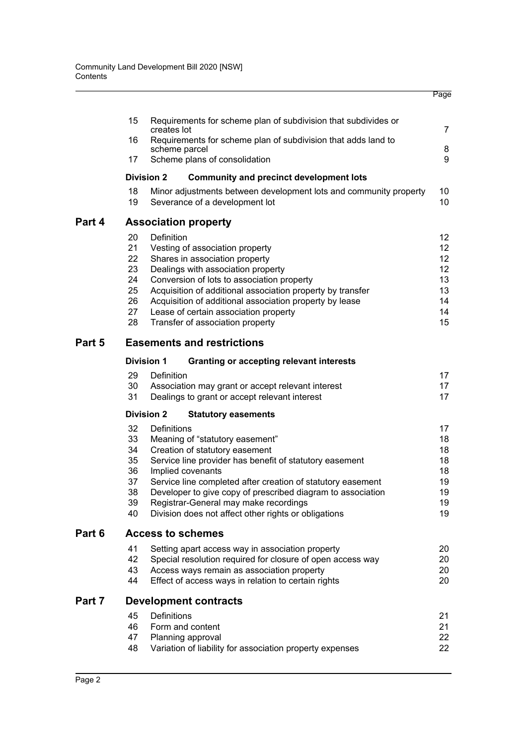|                                                    |                                                                                                                                                                                                                                                                                                                                                                                                 | Page                                                                                                                                                                                                                                                                                          |
|----------------------------------------------------|-------------------------------------------------------------------------------------------------------------------------------------------------------------------------------------------------------------------------------------------------------------------------------------------------------------------------------------------------------------------------------------------------|-----------------------------------------------------------------------------------------------------------------------------------------------------------------------------------------------------------------------------------------------------------------------------------------------|
| 15                                                 | Requirements for scheme plan of subdivision that subdivides or<br>creates lot                                                                                                                                                                                                                                                                                                                   | $\overline{7}$                                                                                                                                                                                                                                                                                |
| 16                                                 | Requirements for scheme plan of subdivision that adds land to                                                                                                                                                                                                                                                                                                                                   |                                                                                                                                                                                                                                                                                               |
| 17                                                 | Scheme plans of consolidation                                                                                                                                                                                                                                                                                                                                                                   | 8<br>9                                                                                                                                                                                                                                                                                        |
|                                                    | <b>Community and precinct development lots</b>                                                                                                                                                                                                                                                                                                                                                  |                                                                                                                                                                                                                                                                                               |
| 18<br>19                                           | Minor adjustments between development lots and community property<br>Severance of a development lot                                                                                                                                                                                                                                                                                             | 10<br>10                                                                                                                                                                                                                                                                                      |
|                                                    |                                                                                                                                                                                                                                                                                                                                                                                                 |                                                                                                                                                                                                                                                                                               |
| 20<br>21<br>22<br>23<br>24<br>25<br>26<br>27<br>28 | Definition<br>Vesting of association property<br>Shares in association property<br>Dealings with association property<br>Conversion of lots to association property<br>Acquisition of additional association property by transfer<br>Acquisition of additional association property by lease<br>Lease of certain association property<br>Transfer of association property                       | 12 <sup>°</sup><br>12 <sup>°</sup><br>12 <sup>°</sup><br>$12 \overline{ }$<br>13<br>13<br>14<br>14<br>15                                                                                                                                                                                      |
|                                                    |                                                                                                                                                                                                                                                                                                                                                                                                 |                                                                                                                                                                                                                                                                                               |
|                                                    |                                                                                                                                                                                                                                                                                                                                                                                                 |                                                                                                                                                                                                                                                                                               |
| 29<br>30<br>31                                     | Definition<br>Association may grant or accept relevant interest<br>Dealings to grant or accept relevant interest                                                                                                                                                                                                                                                                                | 17<br>17<br>17                                                                                                                                                                                                                                                                                |
|                                                    |                                                                                                                                                                                                                                                                                                                                                                                                 |                                                                                                                                                                                                                                                                                               |
| 32<br>33<br>34<br>35<br>36<br>37<br>38<br>39<br>40 | Definitions<br>Meaning of "statutory easement"<br>Creation of statutory easement<br>Service line provider has benefit of statutory easement<br>Implied covenants<br>Service line completed after creation of statutory easement<br>Developer to give copy of prescribed diagram to association<br>Registrar-General may make recordings<br>Division does not affect other rights or obligations | 17<br>18<br>18<br>18<br>18<br>19<br>19<br>19<br>19                                                                                                                                                                                                                                            |
|                                                    |                                                                                                                                                                                                                                                                                                                                                                                                 |                                                                                                                                                                                                                                                                                               |
| 41<br>42<br>43<br>44                               | Setting apart access way in association property<br>Special resolution required for closure of open access way<br>Access ways remain as association property<br>Effect of access ways in relation to certain rights                                                                                                                                                                             | 20<br>20<br>20<br>20                                                                                                                                                                                                                                                                          |
|                                                    |                                                                                                                                                                                                                                                                                                                                                                                                 |                                                                                                                                                                                                                                                                                               |
| 45<br>46<br>47<br>48                               | Definitions<br>Form and content<br>Planning approval<br>Variation of liability for association property expenses                                                                                                                                                                                                                                                                                | 21<br>21<br>22<br>22                                                                                                                                                                                                                                                                          |
|                                                    |                                                                                                                                                                                                                                                                                                                                                                                                 | scheme parcel<br><b>Division 2</b><br><b>Association property</b><br><b>Easements and restrictions</b><br><b>Division 1</b><br><b>Granting or accepting relevant interests</b><br><b>Division 2</b><br><b>Statutory easements</b><br><b>Access to schemes</b><br><b>Development contracts</b> |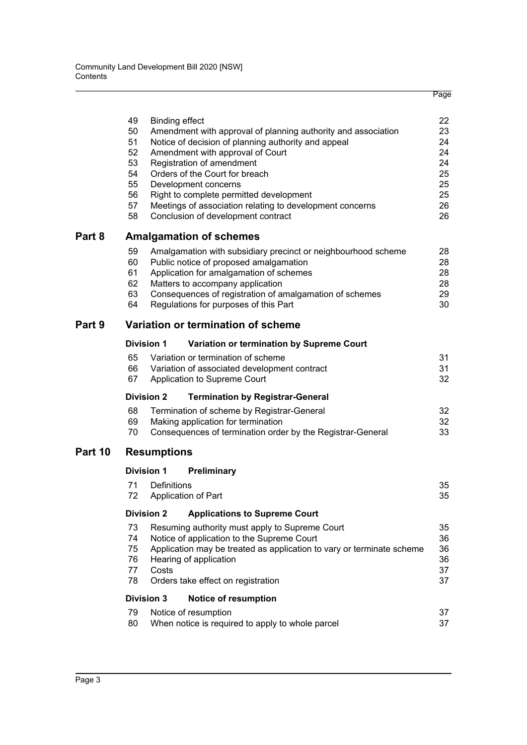|         | 49<br>50<br>51<br>52<br>53<br>54<br>55<br>56<br>57<br>58 | <b>Binding effect</b> | Amendment with approval of planning authority and association<br>Notice of decision of planning authority and appeal<br>Amendment with approval of Court<br>Registration of amendment<br>Orders of the Court for breach<br>Development concerns<br>Right to complete permitted development<br>Meetings of association relating to development concerns<br>Conclusion of development contract | 22<br>23<br>24<br>24<br>24<br>25<br>25<br>25<br>26<br>26 |
|---------|----------------------------------------------------------|-----------------------|----------------------------------------------------------------------------------------------------------------------------------------------------------------------------------------------------------------------------------------------------------------------------------------------------------------------------------------------------------------------------------------------|----------------------------------------------------------|
| Part 8  |                                                          |                       | <b>Amalgamation of schemes</b>                                                                                                                                                                                                                                                                                                                                                               |                                                          |
|         | 59<br>60<br>61<br>62<br>63<br>64                         |                       | Amalgamation with subsidiary precinct or neighbourhood scheme<br>Public notice of proposed amalgamation<br>Application for amalgamation of schemes<br>Matters to accompany application<br>Consequences of registration of amalgamation of schemes<br>Regulations for purposes of this Part                                                                                                   | 28<br>28<br>28<br>28<br>29<br>30                         |
| Part 9  |                                                          |                       | Variation or termination of scheme                                                                                                                                                                                                                                                                                                                                                           |                                                          |
|         |                                                          | <b>Division 1</b>     | Variation or termination by Supreme Court                                                                                                                                                                                                                                                                                                                                                    |                                                          |
|         | 65<br>66<br>67                                           |                       | Variation or termination of scheme<br>Variation of associated development contract<br>Application to Supreme Court                                                                                                                                                                                                                                                                           | 31<br>31<br>32                                           |
|         |                                                          | <b>Division 2</b>     | <b>Termination by Registrar-General</b>                                                                                                                                                                                                                                                                                                                                                      |                                                          |
|         | 68<br>69<br>70                                           |                       | Termination of scheme by Registrar-General<br>Making application for termination<br>Consequences of termination order by the Registrar-General                                                                                                                                                                                                                                               | 32<br>32<br>33                                           |
| Part 10 |                                                          | <b>Resumptions</b>    |                                                                                                                                                                                                                                                                                                                                                                                              |                                                          |
|         |                                                          | <b>Division 1</b>     | Preliminary                                                                                                                                                                                                                                                                                                                                                                                  |                                                          |
|         | 71<br>72                                                 | Definitions           | Application of Part                                                                                                                                                                                                                                                                                                                                                                          | 35<br>35                                                 |
|         |                                                          | <b>Division 2</b>     | <b>Applications to Supreme Court</b>                                                                                                                                                                                                                                                                                                                                                         |                                                          |
|         | 73<br>74<br>75<br>76<br>77<br>78                         | Costs                 | Resuming authority must apply to Supreme Court<br>Notice of application to the Supreme Court<br>Application may be treated as application to vary or terminate scheme<br>Hearing of application<br>Orders take effect on registration                                                                                                                                                        | 35<br>36<br>36<br>36<br>37<br>37                         |
|         |                                                          | <b>Division 3</b>     | <b>Notice of resumption</b>                                                                                                                                                                                                                                                                                                                                                                  |                                                          |
|         | 79<br>80                                                 |                       | Notice of resumption<br>When notice is required to apply to whole parcel                                                                                                                                                                                                                                                                                                                     | 37<br>37                                                 |

Page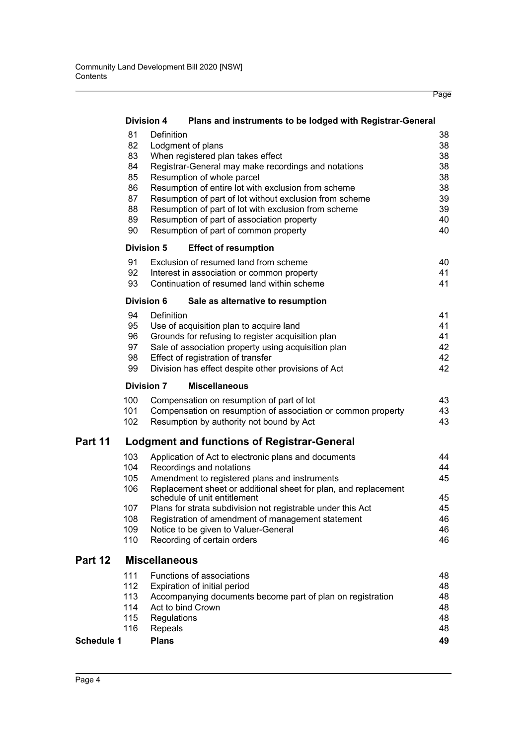|            |     | <b>Division 4</b><br>Plans and instruments to be lodged with Registrar-General |          |
|------------|-----|--------------------------------------------------------------------------------|----------|
|            | 81  | Definition                                                                     | 38       |
|            | 82  | Lodgment of plans                                                              | 38       |
|            | 83  | When registered plan takes effect                                              | 38       |
|            | 84  | Registrar-General may make recordings and notations                            | 38       |
|            | 85  | Resumption of whole parcel                                                     | 38       |
|            | 86  | Resumption of entire lot with exclusion from scheme                            | 38       |
|            | 87  | Resumption of part of lot without exclusion from scheme                        | 39       |
|            | 88  | Resumption of part of lot with exclusion from scheme                           | 39       |
|            | 89  | Resumption of part of association property                                     | 40       |
|            | 90  | Resumption of part of common property                                          | 40       |
|            |     | <b>Division 5</b><br><b>Effect of resumption</b>                               |          |
|            | 91  | Exclusion of resumed land from scheme                                          | 40       |
|            | 92  | Interest in association or common property                                     | 41       |
|            | 93  | Continuation of resumed land within scheme                                     | 41       |
|            |     | <b>Division 6</b><br>Sale as alternative to resumption                         |          |
|            | 94  | Definition                                                                     | 41       |
|            | 95  | Use of acquisition plan to acquire land                                        | 41       |
|            | 96  | Grounds for refusing to register acquisition plan                              | 41       |
|            | 97  | Sale of association property using acquisition plan                            | 42       |
|            | 98  | Effect of registration of transfer                                             | 42       |
|            | 99  | Division has effect despite other provisions of Act                            | 42       |
|            |     |                                                                                |          |
|            |     | <b>Division 7</b><br><b>Miscellaneous</b>                                      |          |
|            | 100 | Compensation on resumption of part of lot                                      | 43       |
|            | 101 | Compensation on resumption of association or common property                   | 43       |
|            | 102 | Resumption by authority not bound by Act                                       | 43       |
| Part 11    |     | <b>Lodgment and functions of Registrar-General</b>                             |          |
|            | 103 | Application of Act to electronic plans and documents                           | 44       |
|            | 104 | Recordings and notations                                                       | 44       |
|            | 105 | Amendment to registered plans and instruments                                  | 45       |
|            | 106 | Replacement sheet or additional sheet for plan, and replacement                |          |
|            |     | schedule of unit entitlement                                                   | 45       |
|            | 107 | Plans for strata subdivision not registrable under this Act                    | 45       |
|            | 108 | Registration of amendment of management statement                              | 46       |
|            | 109 | Notice to be given to Valuer-General                                           | 46       |
|            | 110 | Recording of certain orders                                                    | 46       |
| Part 12    |     | <b>Miscellaneous</b>                                                           |          |
|            | 111 | Functions of associations                                                      | 48       |
|            | 112 | Expiration of initial period                                                   | 48       |
|            | 113 | Accompanying documents become part of plan on registration                     | 48       |
|            | 114 | Act to bind Crown                                                              | 48       |
|            | 115 | Regulations                                                                    | 48       |
| Schedule 1 | 116 | Repeals<br><b>Plans</b>                                                        | 48<br>49 |

Page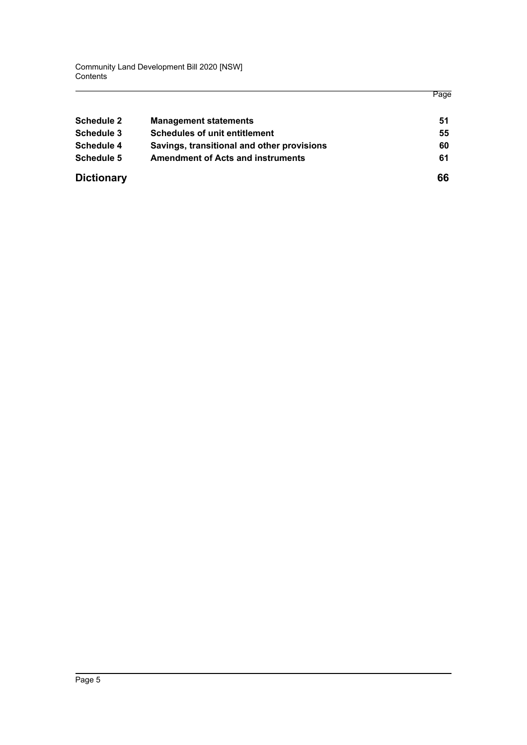Community Land Development Bill 2020 [NSW] **Contents** 

|                   |                                            | Page |
|-------------------|--------------------------------------------|------|
| Schedule 2        | <b>Management statements</b>               | 51   |
| Schedule 3        | <b>Schedules of unit entitlement</b>       | 55   |
| Schedule 4        | Savings, transitional and other provisions | 60   |
| Schedule 5        | <b>Amendment of Acts and instruments</b>   | 61   |
| <b>Dictionary</b> |                                            | 66   |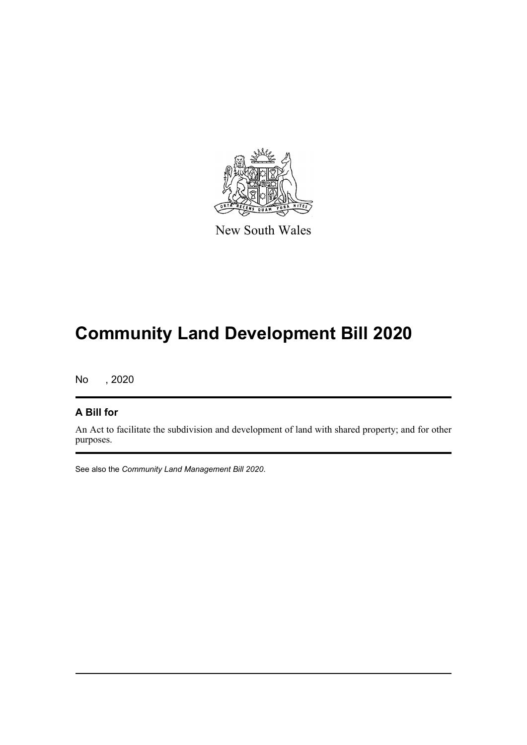

New South Wales

# **Community Land Development Bill 2020**

No , 2020

#### **A Bill for**

An Act to facilitate the subdivision and development of land with shared property; and for other purposes.

See also the *Community Land Management Bill 2020*.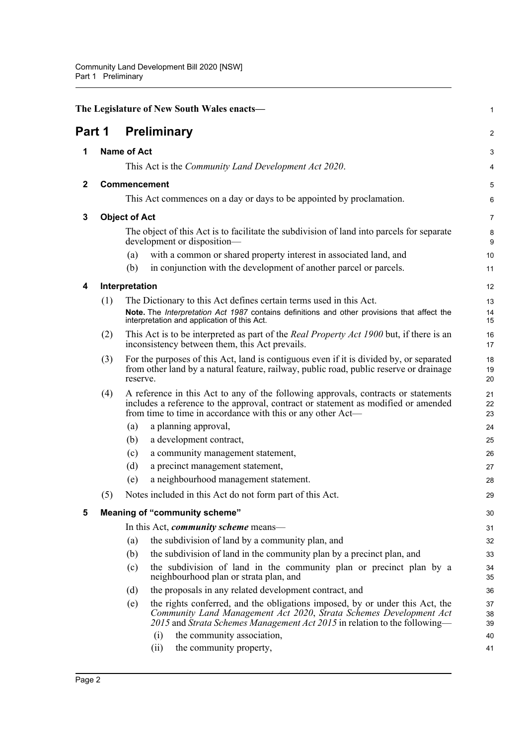<span id="page-14-5"></span><span id="page-14-4"></span><span id="page-14-3"></span><span id="page-14-2"></span><span id="page-14-1"></span><span id="page-14-0"></span>

|              |     | The Legislature of New South Wales enacts-                                                                                                                                                                                              | 1              |
|--------------|-----|-----------------------------------------------------------------------------------------------------------------------------------------------------------------------------------------------------------------------------------------|----------------|
| Part 1       |     | <b>Preliminary</b>                                                                                                                                                                                                                      | $\overline{a}$ |
| 1            |     | <b>Name of Act</b>                                                                                                                                                                                                                      | 3              |
|              |     | This Act is the <i>Community Land Development Act 2020</i> .                                                                                                                                                                            | 4              |
| $\mathbf{2}$ |     | Commencement                                                                                                                                                                                                                            | 5              |
|              |     | This Act commences on a day or days to be appointed by proclamation.                                                                                                                                                                    | 6              |
| 3            |     | <b>Object of Act</b>                                                                                                                                                                                                                    | 7              |
|              |     | The object of this Act is to facilitate the subdivision of land into parcels for separate<br>development or disposition-                                                                                                                | 8<br>9         |
|              |     | with a common or shared property interest in associated land, and<br>(a)                                                                                                                                                                | 10             |
|              |     | in conjunction with the development of another parcel or parcels.<br>(b)                                                                                                                                                                | 11             |
| 4            |     | Interpretation                                                                                                                                                                                                                          | 12             |
|              | (1) | The Dictionary to this Act defines certain terms used in this Act.                                                                                                                                                                      | 13             |
|              |     | Note. The Interpretation Act 1987 contains definitions and other provisions that affect the<br>interpretation and application of this Act.                                                                                              | 14<br>15       |
|              | (2) | This Act is to be interpreted as part of the <i>Real Property Act 1900</i> but, if there is an<br>inconsistency between them, this Act prevails.                                                                                        | 16<br>17       |
|              | (3) | For the purposes of this Act, land is contiguous even if it is divided by, or separated<br>from other land by a natural feature, railway, public road, public reserve or drainage<br>reserve.                                           | 18<br>19<br>20 |
|              | (4) | A reference in this Act to any of the following approvals, contracts or statements<br>includes a reference to the approval, contract or statement as modified or amended<br>from time to time in accordance with this or any other Act— | 21<br>22<br>23 |
|              |     | a planning approval,<br>(a)                                                                                                                                                                                                             | 24             |
|              |     | a development contract,<br>(b)                                                                                                                                                                                                          | 25             |
|              |     | a community management statement,<br>(c)                                                                                                                                                                                                | 26             |
|              |     | (d)<br>a precinct management statement,                                                                                                                                                                                                 | 27             |
|              |     | a neighbourhood management statement.<br>(e)                                                                                                                                                                                            | 28             |
|              | (5) | Notes included in this Act do not form part of this Act.                                                                                                                                                                                | 29             |
| 5            |     | <b>Meaning of "community scheme"</b>                                                                                                                                                                                                    | 30             |
|              |     | In this Act, <i>community scheme</i> means—                                                                                                                                                                                             | 31             |
|              |     | the subdivision of land by a community plan, and<br>(a)                                                                                                                                                                                 | 32             |
|              |     | (b)<br>the subdivision of land in the community plan by a precinct plan, and                                                                                                                                                            | 33             |
|              |     | the subdivision of land in the community plan or precinct plan by a<br>(c)<br>neighbourhood plan or strata plan, and                                                                                                                    | 34<br>35       |
|              |     | the proposals in any related development contract, and<br>(d)                                                                                                                                                                           | 36             |
|              |     | the rights conferred, and the obligations imposed, by or under this Act, the<br>(e)<br>Community Land Management Act 2020, Strata Schemes Development Act<br>2015 and Strata Schemes Management Act 2015 in relation to the following—  | 37<br>38<br>39 |
|              |     | the community association,<br>(i)<br>the community property,<br>(ii)                                                                                                                                                                    | 40<br>41       |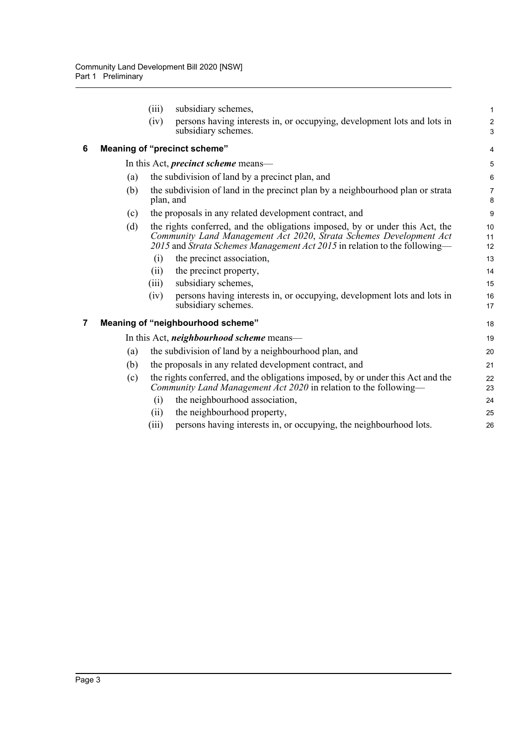<span id="page-15-1"></span><span id="page-15-0"></span>

|   |     | (iii)     | subsidiary schemes,                                                                                                                                                                                                             | 1                            |
|---|-----|-----------|---------------------------------------------------------------------------------------------------------------------------------------------------------------------------------------------------------------------------------|------------------------------|
|   |     | (iv)      | persons having interests in, or occupying, development lots and lots in<br>subsidiary schemes.                                                                                                                                  | $\overline{\mathbf{c}}$<br>3 |
| 6 |     |           | Meaning of "precinct scheme"                                                                                                                                                                                                    | 4                            |
|   |     |           | In this Act, <i>precinct scheme</i> means—                                                                                                                                                                                      | 5                            |
|   | (a) |           | the subdivision of land by a precinct plan, and                                                                                                                                                                                 | 6                            |
|   | (b) | plan, and | the subdivision of land in the precinct plan by a neighbourhood plan or strata                                                                                                                                                  | 7<br>8                       |
|   | (c) |           | the proposals in any related development contract, and                                                                                                                                                                          | 9                            |
|   | (d) |           | the rights conferred, and the obligations imposed, by or under this Act, the<br>Community Land Management Act 2020, Strata Schemes Development Act<br>2015 and Strata Schemes Management Act 2015 in relation to the following— | 10<br>11<br>12               |
|   |     | (i)       | the precinct association,                                                                                                                                                                                                       | 13                           |
|   |     | (i)       | the precinct property,                                                                                                                                                                                                          | 14                           |
|   |     | (iii)     | subsidiary schemes,                                                                                                                                                                                                             | 15                           |
|   |     | (iv)      | persons having interests in, or occupying, development lots and lots in<br>subsidiary schemes.                                                                                                                                  | 16<br>17                     |
| 7 |     |           | Meaning of "neighbourhood scheme"                                                                                                                                                                                               | 18                           |
|   |     |           | In this Act, <i>neighbourhood scheme</i> means—                                                                                                                                                                                 | 19                           |
|   | (a) |           | the subdivision of land by a neighbourhood plan, and                                                                                                                                                                            | 20                           |
|   | (b) |           | the proposals in any related development contract, and                                                                                                                                                                          | 21                           |
|   | (c) |           | the rights conferred, and the obligations imposed, by or under this Act and the<br>Community Land Management Act 2020 in relation to the following-                                                                             | 22<br>23                     |
|   |     | (i)       | the neighbourhood association,                                                                                                                                                                                                  | 24                           |
|   |     | (i)       | the neighbourhood property,                                                                                                                                                                                                     | 25                           |
|   |     | (iii)     | persons having interests in, or occupying, the neighbourhood lots.                                                                                                                                                              | 26                           |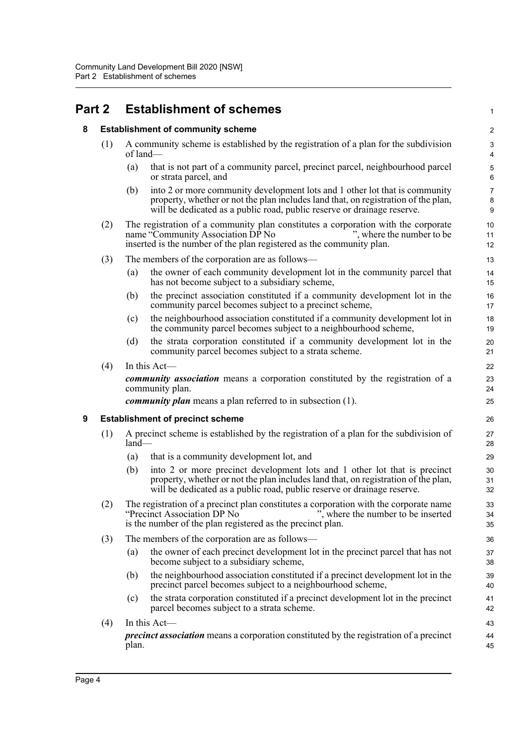## <span id="page-16-1"></span><span id="page-16-0"></span>**Part 2 Establishment of schemes**

#### **8 Establishment of community scheme**

- (1) A community scheme is established by the registration of a plan for the subdivision of land—
	- (a) that is not part of a community parcel, precinct parcel, neighbourhood parcel or strata parcel, and

1

- (b) into 2 or more community development lots and 1 other lot that is community property, whether or not the plan includes land that, on registration of the plan, will be dedicated as a public road, public reserve or drainage reserve.
- (2) The registration of a community plan constitutes a corporation with the corporate name "Community Association DP No ", where the number to be inserted is the number of the plan registered as the community plan.
- (3) The members of the corporation are as follows—
	- (a) the owner of each community development lot in the community parcel that has not become subject to a subsidiary scheme,
	- (b) the precinct association constituted if a community development lot in the community parcel becomes subject to a precinct scheme,
	- (c) the neighbourhood association constituted if a community development lot in the community parcel becomes subject to a neighbourhood scheme,
	- (d) the strata corporation constituted if a community development lot in the community parcel becomes subject to a strata scheme.
- $(4)$  In this Act-

*community association* means a corporation constituted by the registration of a community plan.

*community plan* means a plan referred to in subsection (1).

#### <span id="page-16-2"></span>**9 Establishment of precinct scheme**

- (1) A precinct scheme is established by the registration of a plan for the subdivision of land—
	- (a) that is a community development lot, and
	- (b) into 2 or more precinct development lots and 1 other lot that is precinct property, whether or not the plan includes land that, on registration of the plan, will be dedicated as a public road, public reserve or drainage reserve.
- (2) The registration of a precinct plan constitutes a corporation with the corporate name "Precinct Association DP No ", where the number to be inserted is the number of the plan registered as the precinct plan.
- (3) The members of the corporation are as follows—
	- (a) the owner of each precinct development lot in the precinct parcel that has not become subject to a subsidiary scheme,
	- (b) the neighbourhood association constituted if a precinct development lot in the precinct parcel becomes subject to a neighbourhood scheme,
	- (c) the strata corporation constituted if a precinct development lot in the precinct parcel becomes subject to a strata scheme.
- $(4)$  In this Act *precinct association* means a corporation constituted by the registration of a precinct plan. 43 44 45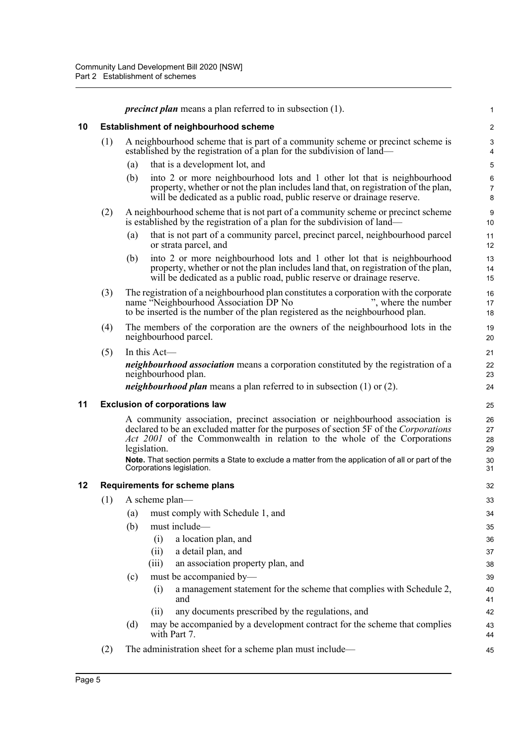<span id="page-17-2"></span><span id="page-17-1"></span><span id="page-17-0"></span>

|    |     | <i>precinct plan</i> means a plan referred to in subsection (1).                                                                                                                                                                                                                                                                                                                                            | 1                                |
|----|-----|-------------------------------------------------------------------------------------------------------------------------------------------------------------------------------------------------------------------------------------------------------------------------------------------------------------------------------------------------------------------------------------------------------------|----------------------------------|
| 10 |     | <b>Establishment of neighbourhood scheme</b>                                                                                                                                                                                                                                                                                                                                                                | $\overline{c}$                   |
|    | (1) | A neighbourhood scheme that is part of a community scheme or precinct scheme is<br>established by the registration of a plan for the subdivision of land—                                                                                                                                                                                                                                                   | 3<br>4                           |
|    |     | that is a development lot, and<br>(a)                                                                                                                                                                                                                                                                                                                                                                       | 5                                |
|    |     | into 2 or more neighbourhood lots and 1 other lot that is neighbourhood<br>(b)<br>property, whether or not the plan includes land that, on registration of the plan,<br>will be dedicated as a public road, public reserve or drainage reserve.                                                                                                                                                             | 6<br>7<br>8                      |
|    | (2) | A neighbourhood scheme that is not part of a community scheme or precinct scheme<br>is established by the registration of a plan for the subdivision of land-                                                                                                                                                                                                                                               | 9<br>10                          |
|    |     | that is not part of a community parcel, precinct parcel, neighbourhood parcel<br>(a)<br>or strata parcel, and                                                                                                                                                                                                                                                                                               | 11<br>12                         |
|    |     | into 2 or more neighbourhood lots and 1 other lot that is neighbourhood<br>(b)<br>property, whether or not the plan includes land that, on registration of the plan,<br>will be dedicated as a public road, public reserve or drainage reserve.                                                                                                                                                             | 13<br>14<br>15                   |
|    | (3) | The registration of a neighbourhood plan constitutes a corporation with the corporate<br>", where the number<br>name "Neighbourhood Association DP No<br>to be inserted is the number of the plan registered as the neighbourhood plan.                                                                                                                                                                     | 16<br>17<br>18                   |
|    | (4) | The members of the corporation are the owners of the neighbourhood lots in the<br>neighbourhood parcel.                                                                                                                                                                                                                                                                                                     | 19<br>20                         |
|    | (5) | In this Act-<br><i>neighbourhood association</i> means a corporation constituted by the registration of a<br>neighbourhood plan.<br><i>neighbourhood plan</i> means a plan referred to in subsection $(1)$ or $(2)$ .                                                                                                                                                                                       | 21<br>22<br>23<br>24             |
| 11 |     | <b>Exclusion of corporations law</b>                                                                                                                                                                                                                                                                                                                                                                        | 25                               |
|    |     | A community association, precinct association or neighbourhood association is<br>declared to be an excluded matter for the purposes of section 5F of the <i>Corporations</i><br>Act 2001 of the Commonwealth in relation to the whole of the Corporations<br>legislation.<br>Note. That section permits a State to exclude a matter from the application of all or part of the<br>Corporations legislation. | 26<br>27<br>28<br>29<br>30<br>31 |
| 12 |     | <b>Requirements for scheme plans</b>                                                                                                                                                                                                                                                                                                                                                                        | 32                               |
|    |     | $(1)$ A scheme plan—                                                                                                                                                                                                                                                                                                                                                                                        | 33                               |
|    |     | must comply with Schedule 1, and<br>(a)                                                                                                                                                                                                                                                                                                                                                                     | 34                               |
|    |     | must include-<br>(b)                                                                                                                                                                                                                                                                                                                                                                                        | 35                               |
|    |     | a location plan, and<br>(i)                                                                                                                                                                                                                                                                                                                                                                                 | 36                               |
|    |     | a detail plan, and<br>(ii)                                                                                                                                                                                                                                                                                                                                                                                  | 37                               |
|    |     | an association property plan, and<br>(iii)                                                                                                                                                                                                                                                                                                                                                                  | 38                               |
|    |     | must be accompanied by-<br>(c)                                                                                                                                                                                                                                                                                                                                                                              | 39                               |
|    |     | a management statement for the scheme that complies with Schedule 2,<br>(i)<br>and                                                                                                                                                                                                                                                                                                                          | 40<br>41                         |
|    |     | any documents prescribed by the regulations, and<br>(ii)                                                                                                                                                                                                                                                                                                                                                    | 42                               |
|    |     | may be accompanied by a development contract for the scheme that complies<br>(d)<br>with Part 7.                                                                                                                                                                                                                                                                                                            | 43<br>44                         |
|    | (2) | The administration sheet for a scheme plan must include—                                                                                                                                                                                                                                                                                                                                                    | 45                               |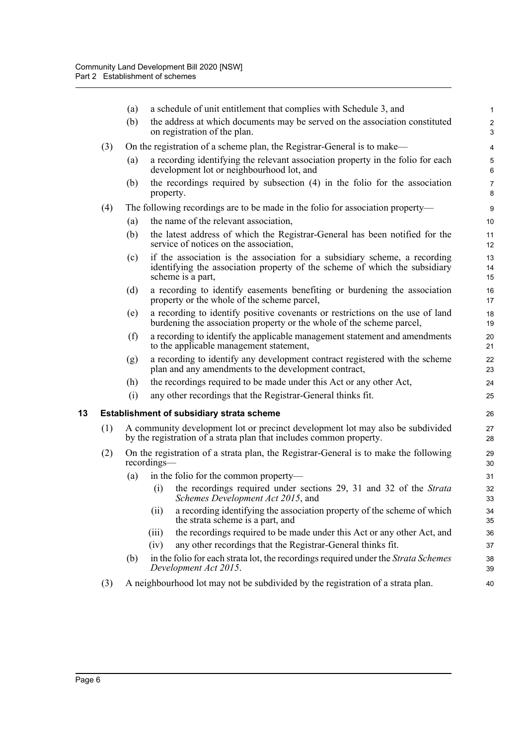<span id="page-18-0"></span>

|    |     | (a) | a schedule of unit entitlement that complies with Schedule 3, and                                                                                                             | $\mathbf{1}$           |
|----|-----|-----|-------------------------------------------------------------------------------------------------------------------------------------------------------------------------------|------------------------|
|    |     | (b) | the address at which documents may be served on the association constituted<br>on registration of the plan.                                                                   | $\sqrt{2}$<br>3        |
|    | (3) |     | On the registration of a scheme plan, the Registrar-General is to make—                                                                                                       | 4                      |
|    |     | (a) | a recording identifying the relevant association property in the folio for each<br>development lot or neighbourhood lot, and                                                  | $\mathbf 5$<br>$\,6\,$ |
|    |     | (b) | the recordings required by subsection (4) in the folio for the association<br>property.                                                                                       | $\overline{7}$<br>8    |
|    | (4) |     | The following recordings are to be made in the folio for association property—                                                                                                | $\boldsymbol{9}$       |
|    |     | (a) | the name of the relevant association,                                                                                                                                         | 10                     |
|    |     | (b) | the latest address of which the Registrar-General has been notified for the<br>service of notices on the association,                                                         | 11<br>12               |
|    |     | (c) | if the association is the association for a subsidiary scheme, a recording<br>identifying the association property of the scheme of which the subsidiary<br>scheme is a part, | 13<br>14<br>15         |
|    |     | (d) | a recording to identify easements benefiting or burdening the association<br>property or the whole of the scheme parcel,                                                      | 16<br>17               |
|    |     | (e) | a recording to identify positive covenants or restrictions on the use of land<br>burdening the association property or the whole of the scheme parcel,                        | 18<br>19               |
|    |     | (f) | a recording to identify the applicable management statement and amendments<br>to the applicable management statement,                                                         | 20<br>21               |
|    |     | (g) | a recording to identify any development contract registered with the scheme<br>plan and any amendments to the development contract,                                           | 22<br>23               |
|    |     | (h) | the recordings required to be made under this Act or any other Act,                                                                                                           | 24                     |
|    |     | (i) | any other recordings that the Registrar-General thinks fit.                                                                                                                   | 25                     |
| 13 |     |     | <b>Establishment of subsidiary strata scheme</b>                                                                                                                              | 26                     |
|    | (1) |     | A community development lot or precinct development lot may also be subdivided<br>by the registration of a strata plan that includes common property.                         | 27<br>28               |
|    | (2) |     | On the registration of a strata plan, the Registrar-General is to make the following<br>recordings—                                                                           | 29<br>30               |
|    |     | (a) | in the folio for the common property—                                                                                                                                         | 31                     |
|    |     |     | the recordings required under sections 29, 31 and 32 of the Strata<br>(i)<br>Schemes Development Act 2015, and                                                                | 32<br>33               |
|    |     |     | a recording identifying the association property of the scheme of which<br>(ii)<br>the strata scheme is a part, and                                                           | 34<br>35               |
|    |     |     | the recordings required to be made under this Act or any other Act, and<br>(iii)                                                                                              | 36                     |
|    |     |     | any other recordings that the Registrar-General thinks fit.<br>(iv)                                                                                                           | 37                     |
|    |     | (b) | in the folio for each strata lot, the recordings required under the Strata Schemes<br>Development Act 2015.                                                                   | 38<br>39               |
|    | (3) |     | A neighbourhood lot may not be subdivided by the registration of a strata plan.                                                                                               | 40                     |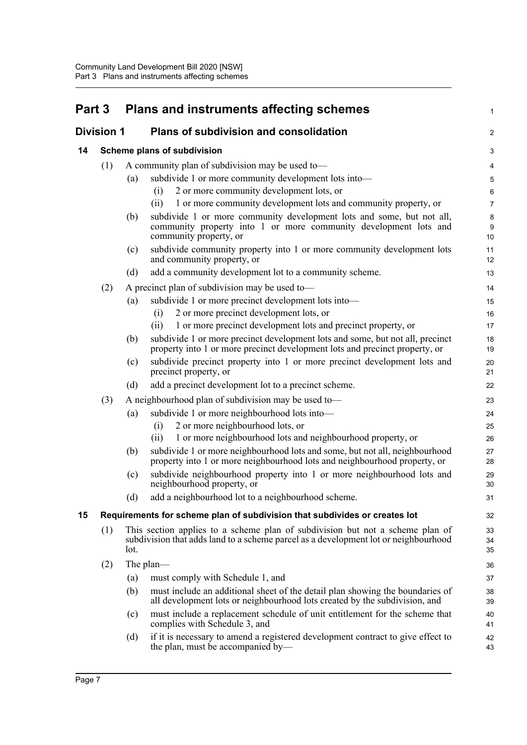<span id="page-19-3"></span><span id="page-19-2"></span><span id="page-19-1"></span><span id="page-19-0"></span>

| Part 3 |                   |      | <b>Plans and instruments affecting schemes</b>                                                                                                                       | 1              |  |
|--------|-------------------|------|----------------------------------------------------------------------------------------------------------------------------------------------------------------------|----------------|--|
|        | <b>Division 1</b> |      | <b>Plans of subdivision and consolidation</b>                                                                                                                        | 2              |  |
| 14     |                   |      | Scheme plans of subdivision                                                                                                                                          | 3              |  |
| (1)    |                   |      | A community plan of subdivision may be used to-                                                                                                                      |                |  |
|        |                   | (a)  | subdivide 1 or more community development lots into-                                                                                                                 | 5              |  |
|        |                   |      | 2 or more community development lots, or<br>(i)                                                                                                                      | 6              |  |
|        |                   |      | 1 or more community development lots and community property, or<br>(ii)                                                                                              | $\overline{7}$ |  |
|        |                   | (b)  | subdivide 1 or more community development lots and some, but not all,<br>community property into 1 or more community development lots and<br>community property, or  | 8<br>9<br>10   |  |
|        |                   | (c)  | subdivide community property into 1 or more community development lots<br>and community property, or                                                                 | 11<br>12       |  |
|        |                   | (d)  | add a community development lot to a community scheme.                                                                                                               | 13             |  |
|        | (2)               |      | A precinct plan of subdivision may be used to-                                                                                                                       | 14             |  |
|        |                   | (a)  | subdivide 1 or more precinct development lots into-                                                                                                                  | 15             |  |
|        |                   |      | 2 or more precinct development lots, or<br>(i)                                                                                                                       | 16             |  |
|        |                   |      | 1 or more precinct development lots and precinct property, or<br>(ii)                                                                                                | 17             |  |
|        |                   | (b)  | subdivide 1 or more precinct development lots and some, but not all, precinct<br>property into 1 or more precinct development lots and precinct property, or         | 18<br>19       |  |
|        |                   | (c)  | subdivide precinct property into 1 or more precinct development lots and<br>precinct property, or                                                                    | 20<br>21       |  |
|        |                   | (d)  | add a precinct development lot to a precinct scheme.                                                                                                                 | 22             |  |
|        | (3)               |      | A neighbourhood plan of subdivision may be used to-                                                                                                                  | 23             |  |
|        |                   | (a)  | subdivide 1 or more neighbourhood lots into-                                                                                                                         | 24             |  |
|        |                   |      | 2 or more neighbourhood lots, or<br>(i)                                                                                                                              | 25             |  |
|        |                   |      | 1 or more neighbourhood lots and neighbourhood property, or<br>(ii)                                                                                                  | 26             |  |
|        |                   | (b)  | subdivide 1 or more neighbourhood lots and some, but not all, neighbourhood<br>property into 1 or more neighbourhood lots and neighbourhood property, or             | 27<br>28       |  |
|        |                   | (c)  | subdivide neighbourhood property into 1 or more neighbourhood lots and<br>neighbourhood property, or                                                                 | 29<br>30       |  |
|        |                   | (d)  | add a neighbourhood lot to a neighbourhood scheme.                                                                                                                   | 31             |  |
| 15     |                   |      | Requirements for scheme plan of subdivision that subdivides or creates lot                                                                                           | 32             |  |
|        | (1)               | lot. | This section applies to a scheme plan of subdivision but not a scheme plan of<br>subdivision that adds land to a scheme parcel as a development lot or neighbourhood | 33<br>34<br>35 |  |
|        | (2)               |      | The plan—                                                                                                                                                            | 36             |  |
|        |                   | (a)  | must comply with Schedule 1, and                                                                                                                                     | 37             |  |
|        |                   | (b)  | must include an additional sheet of the detail plan showing the boundaries of<br>all development lots or neighbourhood lots created by the subdivision, and          | 38<br>39       |  |
|        |                   | (c)  | must include a replacement schedule of unit entitlement for the scheme that<br>complies with Schedule 3, and                                                         | 40<br>41       |  |
|        |                   | (d)  | if it is necessary to amend a registered development contract to give effect to<br>the plan, must be accompanied by—                                                 | 42<br>43       |  |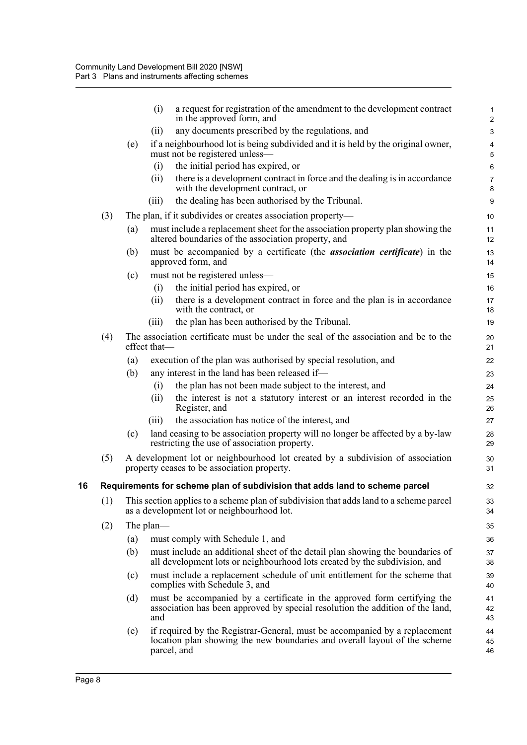<span id="page-20-0"></span>

|    |     |     | (i)<br>a request for registration of the amendment to the development contract<br>in the approved form, and                                                            | 1<br>$\overline{c}$ |
|----|-----|-----|------------------------------------------------------------------------------------------------------------------------------------------------------------------------|---------------------|
|    |     |     | any documents prescribed by the regulations, and<br>(ii)                                                                                                               | $\mathbf{3}$        |
|    |     | (e) | if a neighbourhood lot is being subdivided and it is held by the original owner,                                                                                       | 4                   |
|    |     |     | must not be registered unless-                                                                                                                                         | 5                   |
|    |     |     | the initial period has expired, or<br>(i)                                                                                                                              | $\,6\,$             |
|    |     |     | there is a development contract in force and the dealing is in accordance<br>(ii)<br>with the development contract, or                                                 | 7<br>8              |
|    |     |     | the dealing has been authorised by the Tribunal.<br>(iii)                                                                                                              | $\boldsymbol{9}$    |
|    | (3) |     | The plan, if it subdivides or creates association property—                                                                                                            | 10                  |
|    |     | (a) | must include a replacement sheet for the association property plan showing the<br>altered boundaries of the association property, and                                  | 11<br>12            |
|    |     | (b) | must be accompanied by a certificate (the <i>association certificate</i> ) in the<br>approved form, and                                                                | 13<br>14            |
|    |     | (c) | must not be registered unless-                                                                                                                                         | 15                  |
|    |     |     | the initial period has expired, or<br>(i)                                                                                                                              | 16                  |
|    |     |     | there is a development contract in force and the plan is in accordance<br>(ii)<br>with the contract, or                                                                | 17<br>18            |
|    |     |     | the plan has been authorised by the Tribunal.<br>(iii)                                                                                                                 | 19                  |
|    | (4) |     | The association certificate must be under the seal of the association and be to the<br>effect that-                                                                    | 20<br>21            |
|    |     | (a) | execution of the plan was authorised by special resolution, and                                                                                                        | 22                  |
|    |     | (b) | any interest in the land has been released if-                                                                                                                         | 23                  |
|    |     |     | the plan has not been made subject to the interest, and<br>(i)                                                                                                         | 24                  |
|    |     |     | (ii)<br>the interest is not a statutory interest or an interest recorded in the<br>Register, and                                                                       | 25<br>26            |
|    |     |     | the association has notice of the interest, and<br>(iii)                                                                                                               | 27                  |
|    |     | (c) | land ceasing to be association property will no longer be affected by a by-law<br>restricting the use of association property.                                         | 28<br>29            |
|    | (5) |     | A development lot or neighbourhood lot created by a subdivision of association<br>property ceases to be association property.                                          | 30<br>31            |
| 16 |     |     | Requirements for scheme plan of subdivision that adds land to scheme parcel                                                                                            | 32                  |
|    | (1) |     | This section applies to a scheme plan of subdivision that adds land to a scheme parcel<br>as a development lot or neighbourhood lot.                                   | 33<br>34            |
|    | (2) |     | The plan—                                                                                                                                                              | 35                  |
|    |     | (a) | must comply with Schedule 1, and                                                                                                                                       | 36                  |
|    |     | (b) | must include an additional sheet of the detail plan showing the boundaries of<br>all development lots or neighbourhood lots created by the subdivision, and            | 37<br>38            |
|    |     | (c) | must include a replacement schedule of unit entitlement for the scheme that<br>complies with Schedule 3, and                                                           | 39<br>40            |
|    |     | (d) | must be accompanied by a certificate in the approved form certifying the<br>association has been approved by special resolution the addition of the land,<br>and       | 41<br>42<br>43      |
|    |     | (e) | if required by the Registrar-General, must be accompanied by a replacement<br>location plan showing the new boundaries and overall layout of the scheme<br>parcel, and | 44<br>45<br>46      |
|    |     |     |                                                                                                                                                                        |                     |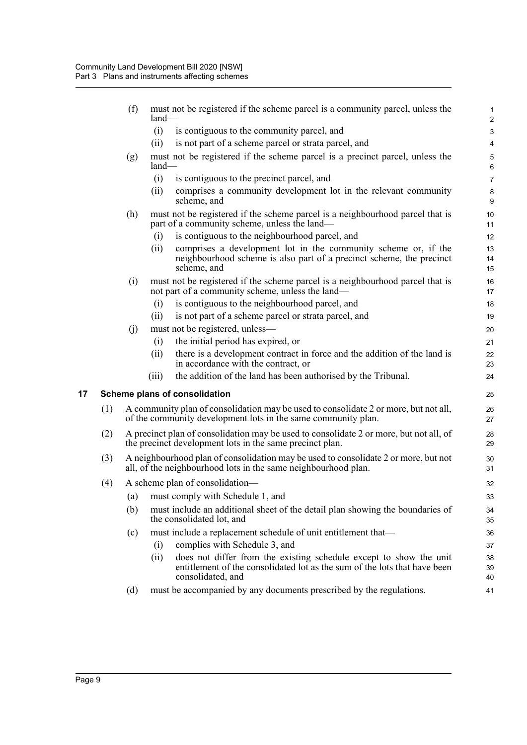<span id="page-21-0"></span>

|    |     | (f) | must not be registered if the scheme parcel is a community parcel, unless the<br>$land-$                                                                                    | 1<br>$\overline{c}$ |
|----|-----|-----|-----------------------------------------------------------------------------------------------------------------------------------------------------------------------------|---------------------|
|    |     |     | (i)<br>is contiguous to the community parcel, and                                                                                                                           | 3                   |
|    |     |     | (ii)<br>is not part of a scheme parcel or strata parcel, and                                                                                                                | 4                   |
|    |     | (g) | must not be registered if the scheme parcel is a precinct parcel, unless the<br>land-                                                                                       | $\mathbf 5$<br>6    |
|    |     |     | (i)<br>is contiguous to the precinct parcel, and                                                                                                                            | $\overline{7}$      |
|    |     |     | comprises a community development lot in the relevant community<br>(ii)<br>scheme, and                                                                                      | $\bf 8$<br>9        |
|    |     | (h) | must not be registered if the scheme parcel is a neighbourhood parcel that is<br>part of a community scheme, unless the land—                                               | 10<br>11            |
|    |     |     | is contiguous to the neighbourhood parcel, and<br>(i)                                                                                                                       | 12                  |
|    |     |     | comprises a development lot in the community scheme or, if the<br>(ii)<br>neighbourhood scheme is also part of a precinct scheme, the precinct<br>scheme, and               | 13<br>14<br>15      |
|    |     | (i) | must not be registered if the scheme parcel is a neighbourhood parcel that is<br>not part of a community scheme, unless the land—                                           | 16<br>17            |
|    |     |     | is contiguous to the neighbourhood parcel, and<br>(i)                                                                                                                       | 18                  |
|    |     |     | is not part of a scheme parcel or strata parcel, and<br>(ii)                                                                                                                | 19                  |
|    |     | (j) | must not be registered, unless—                                                                                                                                             | 20                  |
|    |     |     | (i)<br>the initial period has expired, or                                                                                                                                   | 21                  |
|    |     |     | (ii)<br>there is a development contract in force and the addition of the land is<br>in accordance with the contract, or                                                     | 22<br>23            |
|    |     |     | the addition of the land has been authorised by the Tribunal.<br>(iii)                                                                                                      | 24                  |
| 17 |     |     | Scheme plans of consolidation                                                                                                                                               | 25                  |
|    | (1) |     | A community plan of consolidation may be used to consolidate 2 or more, but not all,<br>of the community development lots in the same community plan.                       | 26<br>27            |
|    | (2) |     | A precinct plan of consolidation may be used to consolidate 2 or more, but not all, of<br>the precinct development lots in the same precinct plan.                          | 28<br>29            |
|    | (3) |     | A neighbourhood plan of consolidation may be used to consolidate 2 or more, but not<br>all, of the neighbourhood lots in the same neighbourhood plan.                       | 30<br>31            |
|    | (4) |     | A scheme plan of consolidation-                                                                                                                                             | 32                  |
|    |     |     | (a) must comply with Schedule 1, and                                                                                                                                        | 33                  |
|    |     | (b) | must include an additional sheet of the detail plan showing the boundaries of<br>the consolidated lot, and                                                                  | 34<br>35            |
|    |     | (c) | must include a replacement schedule of unit entitlement that—                                                                                                               | 36                  |
|    |     |     | complies with Schedule 3, and<br>(i)                                                                                                                                        | 37                  |
|    |     |     | does not differ from the existing schedule except to show the unit<br>(i)<br>entitlement of the consolidated lot as the sum of the lots that have been<br>consolidated, and | 38<br>39<br>40      |
|    |     | (d) | must be accompanied by any documents prescribed by the regulations.                                                                                                         | 41                  |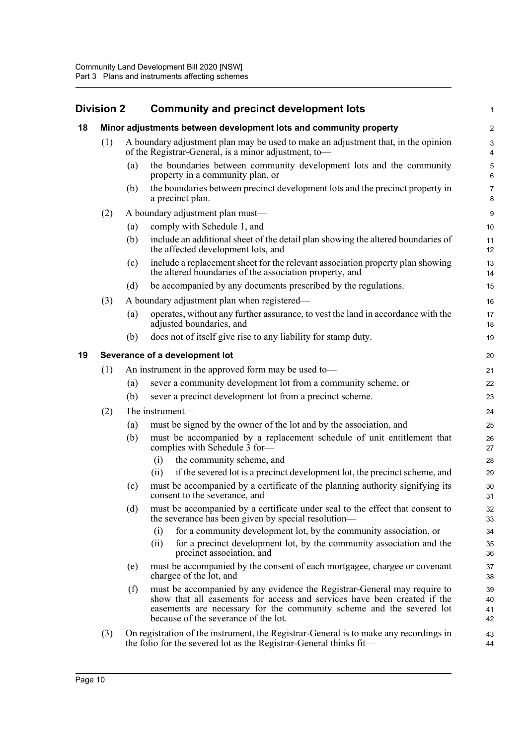#### <span id="page-22-2"></span><span id="page-22-1"></span><span id="page-22-0"></span>**Division 2 Community and precinct development lots 18 Minor adjustments between development lots and community property** (1) A boundary adjustment plan may be used to make an adjustment that, in the opinion of the Registrar-General, is a minor adjustment, to— (a) the boundaries between community development lots and the community property in a community plan, or (b) the boundaries between precinct development lots and the precinct property in a precinct plan. (2) A boundary adjustment plan must— (a) comply with Schedule 1, and (b) include an additional sheet of the detail plan showing the altered boundaries of the affected development lots, and (c) include a replacement sheet for the relevant association property plan showing the altered boundaries of the association property, and (d) be accompanied by any documents prescribed by the regulations. (3) A boundary adjustment plan when registered— (a) operates, without any further assurance, to vest the land in accordance with the adjusted boundaries, and (b) does not of itself give rise to any liability for stamp duty. **19 Severance of a development lot** (1) An instrument in the approved form may be used to— (a) sever a community development lot from a community scheme, or (b) sever a precinct development lot from a precinct scheme. (2) The instrument— (a) must be signed by the owner of the lot and by the association, and (b) must be accompanied by a replacement schedule of unit entitlement that complies with Schedule 3 for— (i) the community scheme, and (ii) if the severed lot is a precinct development lot, the precinct scheme, and (c) must be accompanied by a certificate of the planning authority signifying its consent to the severance, and (d) must be accompanied by a certificate under seal to the effect that consent to the severance has been given by special resolution— (i) for a community development lot, by the community association, or (ii) for a precinct development lot, by the community association and the precinct association, and (e) must be accompanied by the consent of each mortgagee, chargee or covenant chargee of the lot, and (f) must be accompanied by any evidence the Registrar-General may require to show that all easements for access and services have been created if the easements are necessary for the community scheme and the severed lot because of the severance of the lot. (3) On registration of the instrument, the Registrar-General is to make any recordings in the folio for the severed lot as the Registrar-General thinks fit— 1 2 3 4 5 6 7 8 9 10 11 12 13 14 15 16 17 18 19 20 21  $22$ 23 24 25 26 27 28  $29$ 30 31 32 33 34 35 36 37 38 39  $40$ 41 42 43 44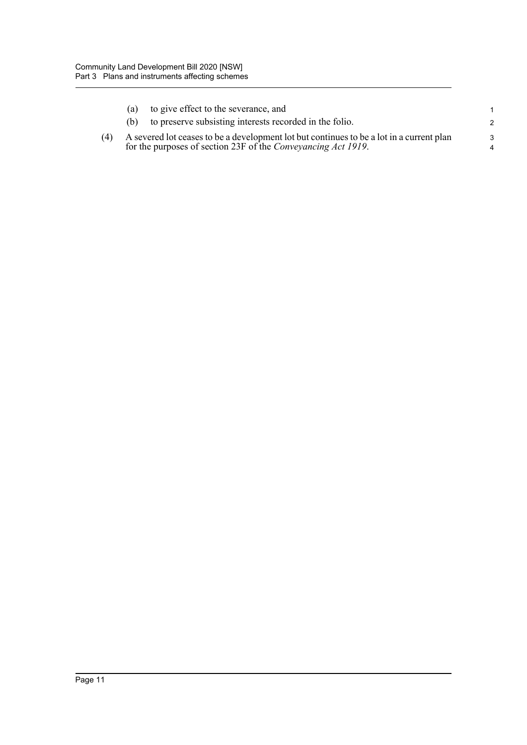|     | (a) | to give effect to the severance, and                                                                                                                      |               |
|-----|-----|-----------------------------------------------------------------------------------------------------------------------------------------------------------|---------------|
|     |     | to preserve subsisting interests recorded in the folio.                                                                                                   | 2             |
| (4) |     | A severed lot ceases to be a development lot but continues to be a lot in a current plan<br>for the purposes of section 23F of the Conveyancing Act 1919. | $\mathcal{R}$ |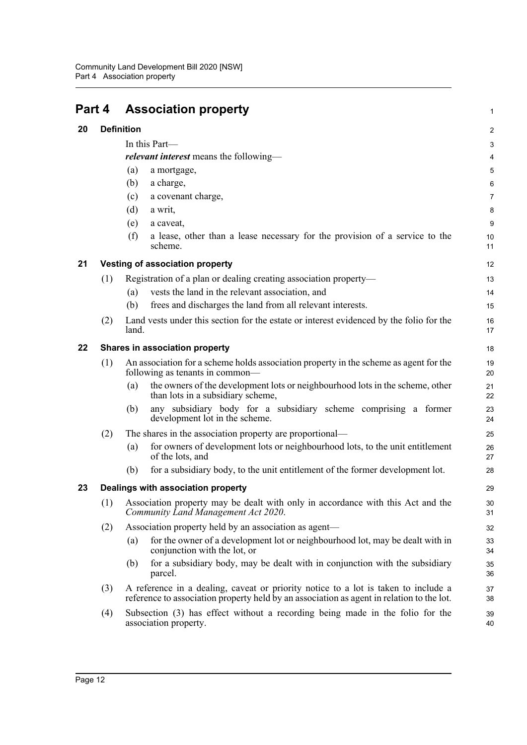<span id="page-24-4"></span><span id="page-24-3"></span><span id="page-24-2"></span><span id="page-24-1"></span><span id="page-24-0"></span>

| Part 4 |     | <b>Association property</b>                                                                                                                                                                                                                                       | 1                                          |  |  |  |
|--------|-----|-------------------------------------------------------------------------------------------------------------------------------------------------------------------------------------------------------------------------------------------------------------------|--------------------------------------------|--|--|--|
| 20     |     | <b>Definition</b>                                                                                                                                                                                                                                                 |                                            |  |  |  |
|        |     | In this Part-<br><i>relevant interest</i> means the following—<br>(a)<br>a mortgage,<br>(b)<br>a charge,<br>a covenant charge,<br>(c)<br>(d)<br>a writ,<br>(e)<br>a caveat,<br>(f)<br>a lease, other than a lease necessary for the provision of a service to the | 2<br>3<br>4<br>5<br>6<br>7<br>8<br>9<br>10 |  |  |  |
|        |     | scheme.                                                                                                                                                                                                                                                           | 11                                         |  |  |  |
| 21     |     | <b>Vesting of association property</b>                                                                                                                                                                                                                            | 12                                         |  |  |  |
|        | (1) | Registration of a plan or dealing creating association property-<br>vests the land in the relevant association, and<br>(a)<br>frees and discharges the land from all relevant interests.<br>(b)                                                                   | 13<br>14<br>15                             |  |  |  |
|        | (2) | Land vests under this section for the estate or interest evidenced by the folio for the<br>land.                                                                                                                                                                  | 16<br>17                                   |  |  |  |
| 22     |     | Shares in association property                                                                                                                                                                                                                                    | 18                                         |  |  |  |
|        | (1) | An association for a scheme holds association property in the scheme as agent for the<br>following as tenants in common—                                                                                                                                          | 19<br>20                                   |  |  |  |
|        |     | the owners of the development lots or neighbourhood lots in the scheme, other<br>(a)<br>than lots in a subsidiary scheme,                                                                                                                                         | 21<br>22                                   |  |  |  |
|        |     | any subsidiary body for a subsidiary scheme comprising a former<br>(b)<br>development lot in the scheme.                                                                                                                                                          | 23<br>24                                   |  |  |  |
|        | (2) | The shares in the association property are proportional—                                                                                                                                                                                                          | 25                                         |  |  |  |
|        |     | for owners of development lots or neighbourhood lots, to the unit entitlement<br>(a)<br>of the lots, and                                                                                                                                                          | 26<br>27                                   |  |  |  |
|        |     | for a subsidiary body, to the unit entitlement of the former development lot.<br>(b)                                                                                                                                                                              | 28                                         |  |  |  |
| 23     |     | Dealings with association property                                                                                                                                                                                                                                | 29                                         |  |  |  |
|        | (1) | Association property may be dealt with only in accordance with this Act and the<br>Community Land Management Act 2020.                                                                                                                                            | 30<br>31                                   |  |  |  |
|        | (2) | Association property held by an association as agent—                                                                                                                                                                                                             | 32                                         |  |  |  |
|        |     | for the owner of a development lot or neighbourhood lot, may be dealt with in<br>(a)<br>conjunction with the lot, or                                                                                                                                              | 33<br>34                                   |  |  |  |
|        |     | for a subsidiary body, may be dealt with in conjunction with the subsidiary<br>(b)<br>parcel.                                                                                                                                                                     | 35<br>36                                   |  |  |  |
|        | (3) | A reference in a dealing, caveat or priority notice to a lot is taken to include a<br>reference to association property held by an association as agent in relation to the lot.                                                                                   | 37<br>38                                   |  |  |  |
|        | (4) | Subsection (3) has effect without a recording being made in the folio for the<br>association property.                                                                                                                                                            | 39<br>40                                   |  |  |  |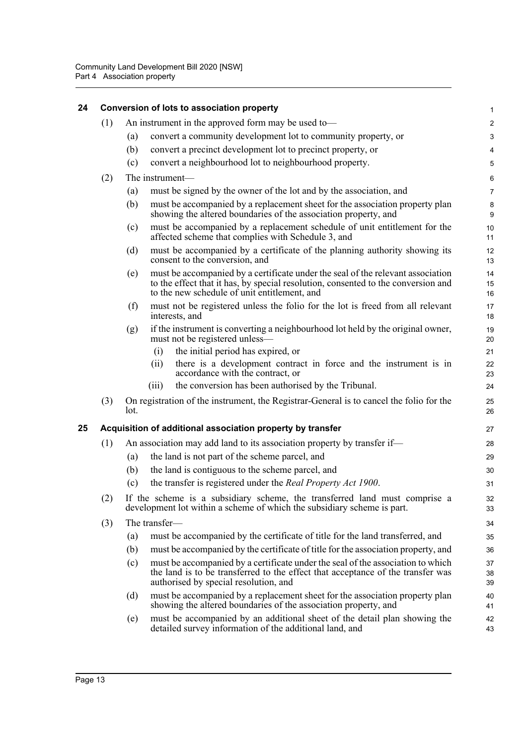<span id="page-25-1"></span><span id="page-25-0"></span>

| 24 |                                                            |                                                                         | Conversion of lots to association property                                                                                                                                                                           | 1              |  |  |
|----|------------------------------------------------------------|-------------------------------------------------------------------------|----------------------------------------------------------------------------------------------------------------------------------------------------------------------------------------------------------------------|----------------|--|--|
|    | (1)                                                        |                                                                         | An instrument in the approved form may be used to—                                                                                                                                                                   | $\overline{c}$ |  |  |
|    |                                                            | (a)                                                                     | convert a community development lot to community property, or                                                                                                                                                        | 3              |  |  |
|    |                                                            | (b)                                                                     | convert a precinct development lot to precinct property, or                                                                                                                                                          | 4              |  |  |
|    |                                                            | (c)                                                                     | convert a neighbourhood lot to neighbourhood property.                                                                                                                                                               | 5              |  |  |
|    | (2)                                                        |                                                                         | The instrument-                                                                                                                                                                                                      | 6              |  |  |
|    |                                                            | (a)                                                                     | must be signed by the owner of the lot and by the association, and                                                                                                                                                   | 7              |  |  |
|    |                                                            | (b)                                                                     | must be accompanied by a replacement sheet for the association property plan<br>showing the altered boundaries of the association property, and                                                                      | 8<br>9         |  |  |
|    |                                                            | (c)                                                                     | must be accompanied by a replacement schedule of unit entitlement for the<br>affected scheme that complies with Schedule 3, and                                                                                      | 10<br>11       |  |  |
|    |                                                            | (d)                                                                     | must be accompanied by a certificate of the planning authority showing its<br>consent to the conversion, and                                                                                                         | 12<br>13       |  |  |
|    |                                                            | (e)                                                                     | must be accompanied by a certificate under the seal of the relevant association<br>to the effect that it has, by special resolution, consented to the conversion and<br>to the new schedule of unit entitlement, and | 14<br>15<br>16 |  |  |
|    |                                                            | (f)                                                                     | must not be registered unless the folio for the lot is freed from all relevant<br>interests, and                                                                                                                     | 17<br>18       |  |  |
|    |                                                            | (g)                                                                     | if the instrument is converting a neighbourhood lot held by the original owner,<br>must not be registered unless-                                                                                                    | 19<br>20       |  |  |
|    |                                                            |                                                                         | the initial period has expired, or<br>(i)                                                                                                                                                                            | 21             |  |  |
|    |                                                            |                                                                         | there is a development contract in force and the instrument is in<br>(i)<br>accordance with the contract, or                                                                                                         | 22<br>23       |  |  |
|    |                                                            |                                                                         | the conversion has been authorised by the Tribunal.<br>(iii)                                                                                                                                                         | 24             |  |  |
|    | (3)                                                        | lot.                                                                    | On registration of the instrument, the Registrar-General is to cancel the folio for the                                                                                                                              | 25<br>26       |  |  |
| 25 | Acquisition of additional association property by transfer |                                                                         |                                                                                                                                                                                                                      |                |  |  |
|    | (1)                                                        | An association may add land to its association property by transfer if— |                                                                                                                                                                                                                      |                |  |  |
|    |                                                            | (a)                                                                     | the land is not part of the scheme parcel, and                                                                                                                                                                       | 29             |  |  |
|    |                                                            | (b)                                                                     | the land is contiguous to the scheme parcel, and                                                                                                                                                                     | 30             |  |  |
|    |                                                            | (c)                                                                     | the transfer is registered under the Real Property Act 1900.                                                                                                                                                         | 31             |  |  |
|    | (2)                                                        |                                                                         | If the scheme is a subsidiary scheme, the transferred land must comprise a<br>development lot within a scheme of which the subsidiary scheme is part.                                                                | 32<br>33       |  |  |
|    | (3)                                                        |                                                                         | The transfer-                                                                                                                                                                                                        | 34             |  |  |
|    |                                                            | (a)                                                                     | must be accompanied by the certificate of title for the land transferred, and                                                                                                                                        | 35             |  |  |
|    |                                                            | (b)                                                                     | must be accompanied by the certificate of title for the association property, and                                                                                                                                    | 36             |  |  |
|    |                                                            | (c)                                                                     | must be accompanied by a certificate under the seal of the association to which<br>the land is to be transferred to the effect that acceptance of the transfer was<br>authorised by special resolution, and          | 37<br>38<br>39 |  |  |
|    |                                                            | (d)                                                                     | must be accompanied by a replacement sheet for the association property plan<br>showing the altered boundaries of the association property, and                                                                      | 40<br>41       |  |  |
|    |                                                            | (e)                                                                     | must be accompanied by an additional sheet of the detail plan showing the<br>detailed survey information of the additional land, and                                                                                 | 42<br>43       |  |  |
|    |                                                            |                                                                         |                                                                                                                                                                                                                      |                |  |  |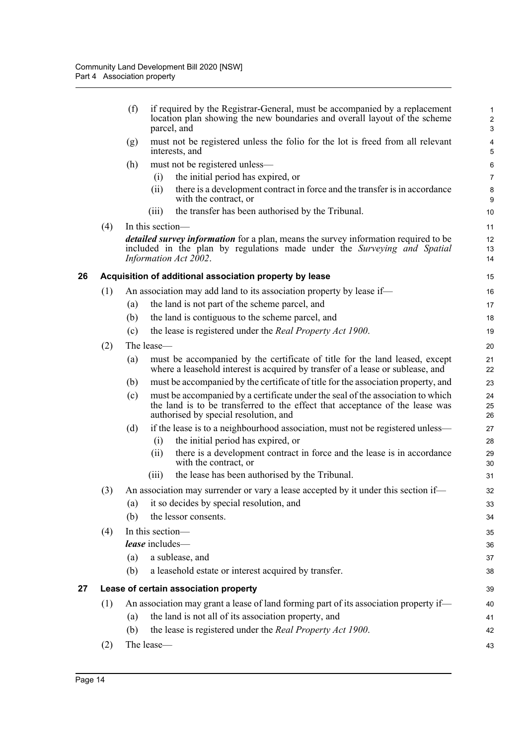<span id="page-26-1"></span><span id="page-26-0"></span>

|    |     | (f) | if required by the Registrar-General, must be accompanied by a replacement<br>location plan showing the new boundaries and overall layout of the scheme<br>parcel, and                                   | $\mathbf{1}$<br>$\boldsymbol{2}$<br>3 |
|----|-----|-----|----------------------------------------------------------------------------------------------------------------------------------------------------------------------------------------------------------|---------------------------------------|
|    |     | (g) | must not be registered unless the folio for the lot is freed from all relevant<br>interests, and                                                                                                         | 4<br>5                                |
|    |     | (h) | must not be registered unless-                                                                                                                                                                           | 6                                     |
|    |     |     | the initial period has expired, or<br>(i)                                                                                                                                                                | $\overline{7}$                        |
|    |     |     | there is a development contract in force and the transfer is in accordance<br>(ii)<br>with the contract, or                                                                                              | $\,8\,$<br>9                          |
|    |     |     | the transfer has been authorised by the Tribunal.<br>(iii)                                                                                                                                               | 10                                    |
|    | (4) |     | In this section-                                                                                                                                                                                         | 11                                    |
|    |     |     | <i>detailed survey information</i> for a plan, means the survey information required to be<br>included in the plan by regulations made under the Surveying and Spatial<br>Information Act 2002.          | 12<br>13<br>14                        |
| 26 |     |     | Acquisition of additional association property by lease                                                                                                                                                  | 15                                    |
|    | (1) |     | An association may add land to its association property by lease if—                                                                                                                                     | 16                                    |
|    |     | (a) | the land is not part of the scheme parcel, and                                                                                                                                                           | 17                                    |
|    |     | (b) | the land is contiguous to the scheme parcel, and                                                                                                                                                         | 18                                    |
|    |     | (c) | the lease is registered under the Real Property Act 1900.                                                                                                                                                | 19                                    |
|    | (2) |     | The lease-                                                                                                                                                                                               | 20                                    |
|    |     | (a) | must be accompanied by the certificate of title for the land leased, except<br>where a leasehold interest is acquired by transfer of a lease or sublease, and                                            | 21<br>22                              |
|    |     | (b) | must be accompanied by the certificate of title for the association property, and                                                                                                                        | 23                                    |
|    |     | (c) | must be accompanied by a certificate under the seal of the association to which<br>the land is to be transferred to the effect that acceptance of the lease was<br>authorised by special resolution, and | 24<br>25<br>26                        |
|    |     | (d) | if the lease is to a neighbourhood association, must not be registered unless—                                                                                                                           | 27                                    |
|    |     |     | (i)<br>the initial period has expired, or                                                                                                                                                                | 28                                    |
|    |     |     | there is a development contract in force and the lease is in accordance<br>(ii)<br>with the contract, or                                                                                                 | 29<br>30                              |
|    |     |     | the lease has been authorised by the Tribunal.<br>(iii)                                                                                                                                                  | 31                                    |
|    | (3) |     | An association may surrender or vary a lease accepted by it under this section if—                                                                                                                       | 32                                    |
|    |     | (a) | it so decides by special resolution, and                                                                                                                                                                 | 33                                    |
|    |     | (b) | the lessor consents.                                                                                                                                                                                     | 34                                    |
|    | (4) |     | In this section-                                                                                                                                                                                         | 35                                    |
|    |     |     | lease includes-                                                                                                                                                                                          | 36                                    |
|    |     | (a) | a sublease, and                                                                                                                                                                                          | 37                                    |
|    |     | (b) | a leasehold estate or interest acquired by transfer.                                                                                                                                                     | 38                                    |
| 27 |     |     | Lease of certain association property                                                                                                                                                                    | 39                                    |
|    | (1) |     | An association may grant a lease of land forming part of its association property if-                                                                                                                    | 40                                    |
|    |     | (a) | the land is not all of its association property, and                                                                                                                                                     | 41                                    |
|    |     | (b) | the lease is registered under the Real Property Act 1900.                                                                                                                                                | 42                                    |
|    | (2) |     | The lease-                                                                                                                                                                                               | 43                                    |
|    |     |     |                                                                                                                                                                                                          |                                       |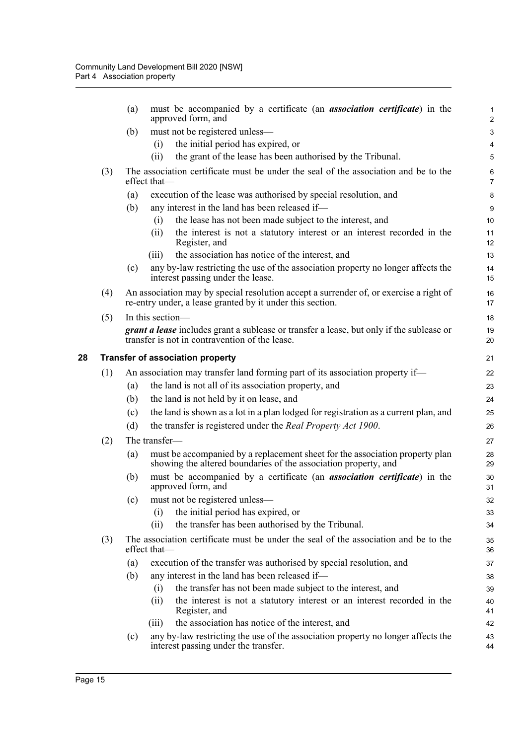<span id="page-27-0"></span>

|    |     | (a)                                                                           | must be accompanied by a certificate (an <i>association certificate</i> ) in the<br>approved form, and                                              | $\mathbf{1}$<br>$\overline{c}$ |  |  |  |
|----|-----|-------------------------------------------------------------------------------|-----------------------------------------------------------------------------------------------------------------------------------------------------|--------------------------------|--|--|--|
|    |     | (b)                                                                           | must not be registered unless-                                                                                                                      | $\ensuremath{\mathsf{3}}$      |  |  |  |
|    |     |                                                                               | the initial period has expired, or<br>(i)                                                                                                           | 4                              |  |  |  |
|    |     |                                                                               | the grant of the lease has been authorised by the Tribunal.<br>(ii)                                                                                 | 5                              |  |  |  |
|    | (3) |                                                                               | The association certificate must be under the seal of the association and be to the<br>effect that                                                  | 6<br>$\overline{7}$            |  |  |  |
|    |     | (a)                                                                           | execution of the lease was authorised by special resolution, and                                                                                    | 8                              |  |  |  |
|    |     | (b)                                                                           | any interest in the land has been released if-                                                                                                      | 9                              |  |  |  |
|    |     |                                                                               | the lease has not been made subject to the interest, and<br>(i)                                                                                     | 10                             |  |  |  |
|    |     |                                                                               | the interest is not a statutory interest or an interest recorded in the<br>(ii)<br>Register, and                                                    | 11<br>12                       |  |  |  |
|    |     |                                                                               | the association has notice of the interest, and<br>(iii)                                                                                            | 13                             |  |  |  |
|    |     | (c)                                                                           | any by-law restricting the use of the association property no longer affects the<br>interest passing under the lease.                               | 14<br>15                       |  |  |  |
|    | (4) |                                                                               | An association may by special resolution accept a surrender of, or exercise a right of<br>re-entry under, a lease granted by it under this section. | 16<br>17                       |  |  |  |
|    | (5) |                                                                               | In this section-                                                                                                                                    | 18                             |  |  |  |
|    |     |                                                                               | <b>grant a lease</b> includes grant a sublease or transfer a lease, but only if the sublease or<br>transfer is not in contravention of the lease.   | 19<br>20                       |  |  |  |
| 28 |     |                                                                               | <b>Transfer of association property</b>                                                                                                             | 21                             |  |  |  |
|    | (1) | An association may transfer land forming part of its association property if— |                                                                                                                                                     |                                |  |  |  |
|    |     | (a)                                                                           | the land is not all of its association property, and                                                                                                | 23                             |  |  |  |
|    |     | (b)                                                                           | the land is not held by it on lease, and                                                                                                            | 24                             |  |  |  |
|    |     | (c)                                                                           | the land is shown as a lot in a plan lodged for registration as a current plan, and                                                                 | 25                             |  |  |  |
|    |     | (d)                                                                           | the transfer is registered under the Real Property Act 1900.                                                                                        | 26                             |  |  |  |
|    | (2) |                                                                               | The transfer-                                                                                                                                       | 27                             |  |  |  |
|    |     | (a)                                                                           | must be accompanied by a replacement sheet for the association property plan<br>showing the altered boundaries of the association property, and     | 28<br>29                       |  |  |  |
|    |     | (b)                                                                           | must be accompanied by a certificate (an <i>association certificate</i> ) in the<br>approved form, and                                              | 30<br>31                       |  |  |  |
|    |     | (c)                                                                           | must not be registered unless-                                                                                                                      | 32                             |  |  |  |
|    |     |                                                                               | the initial period has expired, or<br>(i)                                                                                                           | 33                             |  |  |  |
|    |     |                                                                               | the transfer has been authorised by the Tribunal.<br>(ii)                                                                                           | 34                             |  |  |  |
|    | (3) |                                                                               | The association certificate must be under the seal of the association and be to the<br>effect that-                                                 | 35<br>36                       |  |  |  |
|    |     | (a)                                                                           | execution of the transfer was authorised by special resolution, and                                                                                 | 37                             |  |  |  |
|    |     | (b)                                                                           | any interest in the land has been released if-                                                                                                      | 38                             |  |  |  |
|    |     |                                                                               | the transfer has not been made subject to the interest, and<br>(i)                                                                                  | 39                             |  |  |  |
|    |     |                                                                               | the interest is not a statutory interest or an interest recorded in the<br>(ii)<br>Register, and                                                    | 40<br>41                       |  |  |  |
|    |     |                                                                               | the association has notice of the interest, and<br>(iii)                                                                                            | 42                             |  |  |  |
|    |     | (c)                                                                           | any by-law restricting the use of the association property no longer affects the<br>interest passing under the transfer.                            | 43<br>44                       |  |  |  |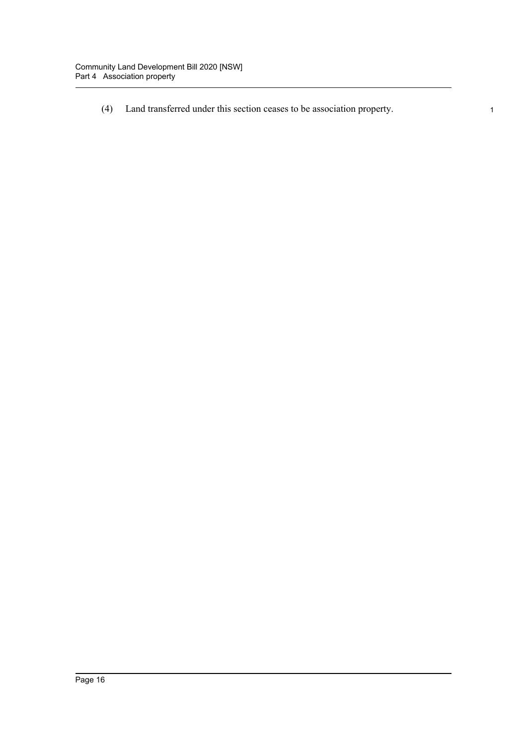(4) Land transferred under this section ceases to be association property. 1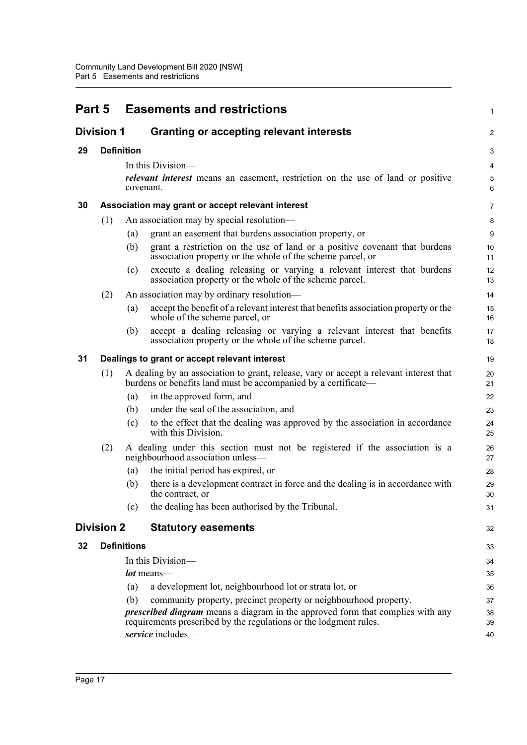<span id="page-29-6"></span><span id="page-29-5"></span><span id="page-29-4"></span><span id="page-29-3"></span><span id="page-29-2"></span><span id="page-29-1"></span><span id="page-29-0"></span>

| Part 5            |                         |                    | <b>Easements and restrictions</b>                                                                                                                          | 1              |  |
|-------------------|-------------------------|--------------------|------------------------------------------------------------------------------------------------------------------------------------------------------------|----------------|--|
| <b>Division 1</b> |                         |                    | <b>Granting or accepting relevant interests</b>                                                                                                            | $\overline{c}$ |  |
| 29                |                         | <b>Definition</b>  |                                                                                                                                                            | 3              |  |
|                   |                         |                    | In this Division—                                                                                                                                          | 4              |  |
|                   |                         | covenant.          | relevant interest means an easement, restriction on the use of land or positive                                                                            | 5<br>6         |  |
| 30                |                         |                    | Association may grant or accept relevant interest                                                                                                          | 7              |  |
|                   | (1)                     |                    | An association may by special resolution—                                                                                                                  | 8              |  |
|                   |                         | (a)                | grant an easement that burdens association property, or                                                                                                    | 9              |  |
|                   |                         | (b)                | grant a restriction on the use of land or a positive covenant that burdens<br>association property or the whole of the scheme parcel, or                   | 10<br>11       |  |
|                   |                         | (c)                | execute a dealing releasing or varying a relevant interest that burdens<br>association property or the whole of the scheme parcel.                         | 12<br>13       |  |
|                   | (2)                     |                    | An association may by ordinary resolution—                                                                                                                 | 14             |  |
|                   |                         | (a)                | accept the benefit of a relevant interest that benefits association property or the<br>whole of the scheme parcel, or                                      | 15<br>16       |  |
|                   |                         | (b)                | accept a dealing releasing or varying a relevant interest that benefits<br>association property or the whole of the scheme parcel.                         | 17<br>18       |  |
| 31                |                         |                    | Dealings to grant or accept relevant interest                                                                                                              | 19             |  |
|                   | (1)                     |                    | A dealing by an association to grant, release, vary or accept a relevant interest that<br>burdens or benefits land must be accompanied by a certificate—   | 20<br>21       |  |
|                   |                         | (a)                | in the approved form, and                                                                                                                                  | 22             |  |
|                   |                         | (b)                | under the seal of the association, and                                                                                                                     | 23             |  |
|                   |                         | (c)                | to the effect that the dealing was approved by the association in accordance<br>with this Division.                                                        | 24<br>25       |  |
|                   | (2)                     |                    | A dealing under this section must not be registered if the association is a<br>neighbourhood association unless-                                           | 26<br>27       |  |
|                   |                         | (a)                | the initial period has expired, or                                                                                                                         | 28             |  |
|                   |                         | (b)                | there is a development contract in force and the dealing is in accordance with<br>the contract, or                                                         | 29<br>30       |  |
|                   |                         | (c)                | the dealing has been authorised by the Tribunal.                                                                                                           | 31             |  |
|                   | <b>Division 2</b>       |                    | <b>Statutory easements</b>                                                                                                                                 | 32             |  |
| 32                |                         | <b>Definitions</b> |                                                                                                                                                            | 33             |  |
|                   |                         |                    | In this Division—                                                                                                                                          | 34             |  |
|                   |                         |                    | <i>lot</i> means—                                                                                                                                          | 35             |  |
|                   |                         | (a)                | a development lot, neighbourhood lot or strata lot, or                                                                                                     | 36             |  |
|                   |                         | (b)                | community property, precinct property or neighbourhood property.                                                                                           | 37             |  |
|                   |                         |                    | <i>prescribed diagram</i> means a diagram in the approved form that complies with any<br>requirements prescribed by the regulations or the lodgment rules. | 38<br>39       |  |
|                   | service includes-<br>40 |                    |                                                                                                                                                            |                |  |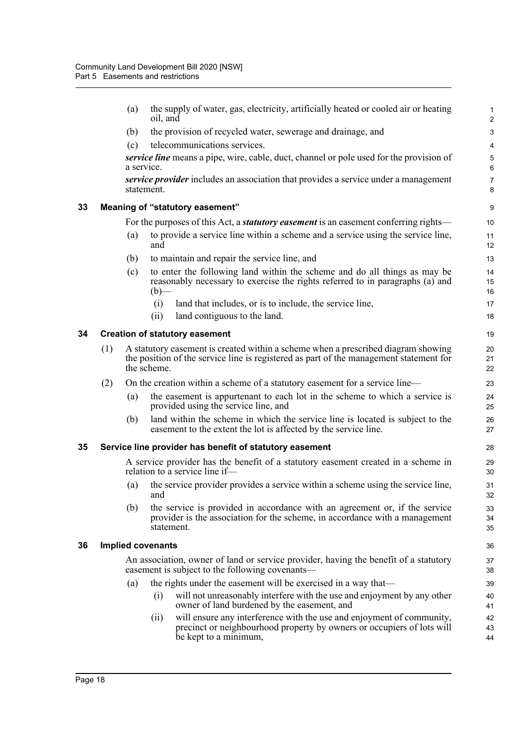<span id="page-30-3"></span><span id="page-30-2"></span><span id="page-30-1"></span><span id="page-30-0"></span>

|    |     | (a)                                                                                                                                                                                        | oil, and          | the supply of water, gas, electricity, artificially heated or cooled air or heating                                                                                      | 1<br>$\overline{a}$ |  |  |
|----|-----|--------------------------------------------------------------------------------------------------------------------------------------------------------------------------------------------|-------------------|--------------------------------------------------------------------------------------------------------------------------------------------------------------------------|---------------------|--|--|
|    |     | (b)                                                                                                                                                                                        |                   | the provision of recycled water, sewerage and drainage, and                                                                                                              | 3                   |  |  |
|    |     | (c)                                                                                                                                                                                        |                   | telecommunications services.                                                                                                                                             | 4                   |  |  |
|    |     | a service.                                                                                                                                                                                 |                   | service line means a pipe, wire, cable, duct, channel or pole used for the provision of                                                                                  | 5<br>6              |  |  |
|    |     |                                                                                                                                                                                            | statement.        | service provider includes an association that provides a service under a management                                                                                      | 7<br>8              |  |  |
| 33 |     |                                                                                                                                                                                            |                   | Meaning of "statutory easement"                                                                                                                                          | 9                   |  |  |
|    |     |                                                                                                                                                                                            |                   | For the purposes of this Act, a <b><i>statutory easement</i></b> is an easement conferring rights—                                                                       | 10                  |  |  |
|    |     | (a)                                                                                                                                                                                        | and               | to provide a service line within a scheme and a service using the service line,                                                                                          | 11<br>12            |  |  |
|    |     | (b)                                                                                                                                                                                        |                   | to maintain and repair the service line, and                                                                                                                             | 13                  |  |  |
|    |     | (c)                                                                                                                                                                                        | $(b)$ —           | to enter the following land within the scheme and do all things as may be<br>reasonably necessary to exercise the rights referred to in paragraphs (a) and               | 14<br>15<br>16      |  |  |
|    |     |                                                                                                                                                                                            | (i)               | land that includes, or is to include, the service line,                                                                                                                  | 17                  |  |  |
|    |     |                                                                                                                                                                                            | (ii)              | land contiguous to the land.                                                                                                                                             | 18                  |  |  |
| 34 |     |                                                                                                                                                                                            |                   | <b>Creation of statutory easement</b>                                                                                                                                    | 19                  |  |  |
|    | (1) | A statutory easement is created within a scheme when a prescribed diagram showing<br>the position of the service line is registered as part of the management statement for<br>the scheme. |                   |                                                                                                                                                                          |                     |  |  |
|    | (2) |                                                                                                                                                                                            |                   | On the creation within a scheme of a statutory easement for a service line—                                                                                              | 23                  |  |  |
|    |     | (a)                                                                                                                                                                                        |                   | the easement is appurtenant to each lot in the scheme to which a service is<br>provided using the service line, and                                                      | 24<br>25            |  |  |
|    |     | (b)                                                                                                                                                                                        |                   | land within the scheme in which the service line is located is subject to the<br>easement to the extent the lot is affected by the service line.                         | 26<br>27            |  |  |
| 35 |     |                                                                                                                                                                                            |                   | Service line provider has benefit of statutory easement                                                                                                                  | 28                  |  |  |
|    |     |                                                                                                                                                                                            |                   | A service provider has the benefit of a statutory easement created in a scheme in<br>relation to a service line if-                                                      | 29<br>30            |  |  |
|    |     | (a)                                                                                                                                                                                        | and               | the service provider provides a service within a scheme using the service line,                                                                                          | 31<br>32            |  |  |
|    |     | (b)                                                                                                                                                                                        | statement.        | the service is provided in accordance with an agreement or, if the service<br>provider is the association for the scheme, in accordance with a management                | 33<br>34<br>35      |  |  |
| 36 |     |                                                                                                                                                                                            | Implied covenants |                                                                                                                                                                          | 36                  |  |  |
|    |     | An association, owner of land or service provider, having the benefit of a statutory<br>easement is subject to the following covenants—                                                    |                   |                                                                                                                                                                          |                     |  |  |
|    |     | (a)                                                                                                                                                                                        |                   | the rights under the easement will be exercised in a way that—                                                                                                           | 39                  |  |  |
|    |     |                                                                                                                                                                                            | (i)               | will not unreasonably interfere with the use and enjoyment by any other<br>owner of land burdened by the easement, and                                                   | 40<br>41            |  |  |
|    |     |                                                                                                                                                                                            | (11)              | will ensure any interference with the use and enjoyment of community,<br>precinct or neighbourhood property by owners or occupiers of lots will<br>be kept to a minimum, | 42<br>43<br>44      |  |  |
|    |     |                                                                                                                                                                                            |                   |                                                                                                                                                                          |                     |  |  |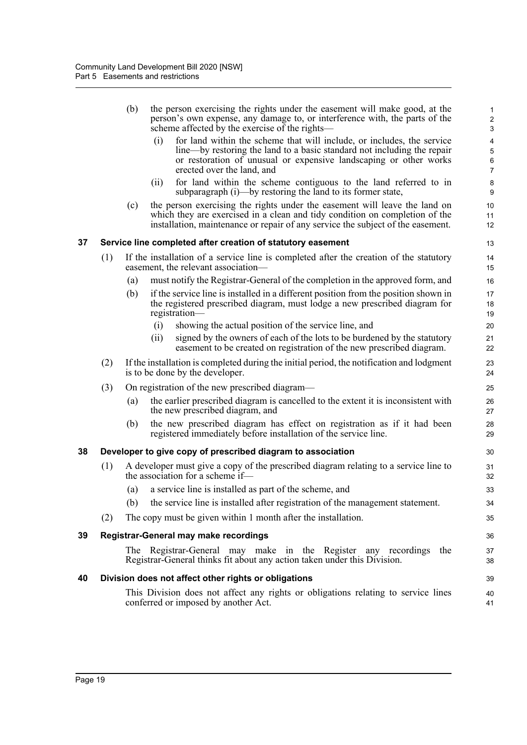<span id="page-31-3"></span><span id="page-31-2"></span><span id="page-31-1"></span><span id="page-31-0"></span>

|    |     | (b) |      | the person exercising the rights under the easement will make good, at the<br>person's own expense, any damage to, or interference with, the parts of the<br>scheme affected by the exercise of the rights—                                          | $\mathbf{1}$<br>$\overline{c}$<br>$\ensuremath{\mathsf{3}}$ |
|----|-----|-----|------|------------------------------------------------------------------------------------------------------------------------------------------------------------------------------------------------------------------------------------------------------|-------------------------------------------------------------|
|    |     |     | (i)  | for land within the scheme that will include, or includes, the service<br>line—by restoring the land to a basic standard not including the repair<br>or restoration of unusual or expensive landscaping or other works<br>erected over the land, and | 4<br>5<br>6<br>$\overline{7}$                               |
|    |     |     | (ii) | for land within the scheme contiguous to the land referred to in<br>subparagraph (i)—by restoring the land to its former state,                                                                                                                      | 8<br>9                                                      |
|    |     | (c) |      | the person exercising the rights under the easement will leave the land on<br>which they are exercised in a clean and tidy condition on completion of the<br>installation, maintenance or repair of any service the subject of the easement.         | 10<br>11<br>12                                              |
| 37 |     |     |      | Service line completed after creation of statutory easement                                                                                                                                                                                          | 13                                                          |
|    | (1) |     |      | If the installation of a service line is completed after the creation of the statutory<br>easement, the relevant association—                                                                                                                        | 14<br>15                                                    |
|    |     | (a) |      | must notify the Registrar-General of the completion in the approved form, and                                                                                                                                                                        | 16                                                          |
|    |     | (b) |      | if the service line is installed in a different position from the position shown in<br>the registered prescribed diagram, must lodge a new prescribed diagram for<br>registration-                                                                   | 17<br>18<br>19                                              |
|    |     |     | (i)  | showing the actual position of the service line, and                                                                                                                                                                                                 | 20                                                          |
|    |     |     | (ii) | signed by the owners of each of the lots to be burdened by the statutory<br>easement to be created on registration of the new prescribed diagram.                                                                                                    | 21<br>22                                                    |
|    | (2) |     |      | If the installation is completed during the initial period, the notification and lodgment<br>is to be done by the developer.                                                                                                                         | 23<br>24                                                    |
|    | (3) |     |      | On registration of the new prescribed diagram—                                                                                                                                                                                                       | 25                                                          |
|    |     | (a) |      | the earlier prescribed diagram is cancelled to the extent it is inconsistent with<br>the new prescribed diagram, and                                                                                                                                 | 26<br>27                                                    |
|    |     | (b) |      | the new prescribed diagram has effect on registration as if it had been<br>registered immediately before installation of the service line.                                                                                                           | 28<br>29                                                    |
| 38 |     |     |      | Developer to give copy of prescribed diagram to association                                                                                                                                                                                          | 30                                                          |
|    | (1) |     |      | A developer must give a copy of the prescribed diagram relating to a service line to<br>the association for a scheme if-                                                                                                                             | 31<br>32                                                    |
|    |     | (a) |      | a service line is installed as part of the scheme, and                                                                                                                                                                                               | 33                                                          |
|    |     | (b) |      | the service line is installed after registration of the management statement.                                                                                                                                                                        | 34                                                          |
|    | (2) |     |      | The copy must be given within 1 month after the installation.                                                                                                                                                                                        | 35                                                          |
| 39 |     |     |      | Registrar-General may make recordings                                                                                                                                                                                                                | 36                                                          |
|    |     |     |      | The Registrar-General may make in the Register any recordings<br>the<br>Registrar-General thinks fit about any action taken under this Division.                                                                                                     | 37<br>38                                                    |
| 40 |     |     |      | Division does not affect other rights or obligations                                                                                                                                                                                                 | 39                                                          |
|    |     |     |      | This Division does not affect any rights or obligations relating to service lines<br>conferred or imposed by another Act.                                                                                                                            | 40<br>41                                                    |
|    |     |     |      |                                                                                                                                                                                                                                                      |                                                             |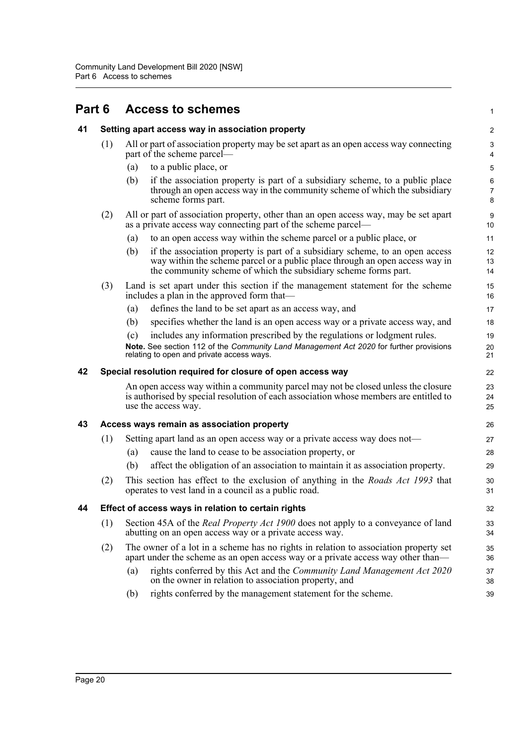## <span id="page-32-1"></span><span id="page-32-0"></span>**Part 6 Access to schemes**

<span id="page-32-4"></span><span id="page-32-3"></span><span id="page-32-2"></span>

| 41 |     | Setting apart access way in association property                                                                                                                                                                                        | $\mathbf 2$                    |
|----|-----|-----------------------------------------------------------------------------------------------------------------------------------------------------------------------------------------------------------------------------------------|--------------------------------|
|    | (1) | All or part of association property may be set apart as an open access way connecting<br>part of the scheme parcel—                                                                                                                     | $\ensuremath{\mathsf{3}}$<br>4 |
|    |     | to a public place, or<br>(a)                                                                                                                                                                                                            | $\mathbf 5$                    |
|    |     | (b)<br>if the association property is part of a subsidiary scheme, to a public place<br>through an open access way in the community scheme of which the subsidiary<br>scheme forms part.                                                | 6<br>7<br>8                    |
|    | (2) | All or part of association property, other than an open access way, may be set apart<br>as a private access way connecting part of the scheme parcel—                                                                                   | 9<br>10                        |
|    |     | to an open access way within the scheme parcel or a public place, or<br>(a)                                                                                                                                                             | 11                             |
|    |     | if the association property is part of a subsidiary scheme, to an open access<br>(b)<br>way within the scheme parcel or a public place through an open access way in<br>the community scheme of which the subsidiary scheme forms part. | 12<br>13<br>14                 |
|    | (3) | Land is set apart under this section if the management statement for the scheme<br>includes a plan in the approved form that—                                                                                                           | 15<br>16                       |
|    |     | defines the land to be set apart as an access way, and<br>(a)                                                                                                                                                                           | 17                             |
|    |     | (b)<br>specifies whether the land is an open access way or a private access way, and                                                                                                                                                    | 18                             |
|    |     | includes any information prescribed by the regulations or lodgment rules.<br>(c)<br>Note. See section 112 of the Community Land Management Act 2020 for further provisions<br>relating to open and private access ways.                 | 19<br>20<br>21                 |
| 42 |     | Special resolution required for closure of open access way                                                                                                                                                                              | 22                             |
|    |     | An open access way within a community parcel may not be closed unless the closure<br>is authorised by special resolution of each association whose members are entitled to<br>use the access way.                                       | 23<br>24<br>25                 |
| 43 |     | Access ways remain as association property                                                                                                                                                                                              | 26                             |
|    | (1) | Setting apart land as an open access way or a private access way does not—                                                                                                                                                              | 27                             |
|    |     | cause the land to cease to be association property, or<br>(a)                                                                                                                                                                           | 28                             |
|    |     | affect the obligation of an association to maintain it as association property.<br>(b)                                                                                                                                                  | 29                             |
|    | (2) | This section has effect to the exclusion of anything in the <i>Roads Act 1993</i> that<br>operates to vest land in a council as a public road.                                                                                          | 30<br>31                       |
| 44 |     | Effect of access ways in relation to certain rights                                                                                                                                                                                     | 32                             |
|    | (1) | Section 45A of the <i>Real Property Act 1900</i> does not apply to a conveyance of land<br>abutting on an open access way or a private access way.                                                                                      | 33<br>34                       |
|    | (2) | The owner of a lot in a scheme has no rights in relation to association property set<br>apart under the scheme as an open access way or a private access way other than—                                                                | 35<br>36                       |
|    |     | rights conferred by this Act and the <i>Community Land Management Act 2020</i><br>(a)<br>on the owner in relation to association property, and                                                                                          | 37<br>38                       |
|    |     | rights conferred by the management statement for the scheme.<br>(b)                                                                                                                                                                     | 39                             |

1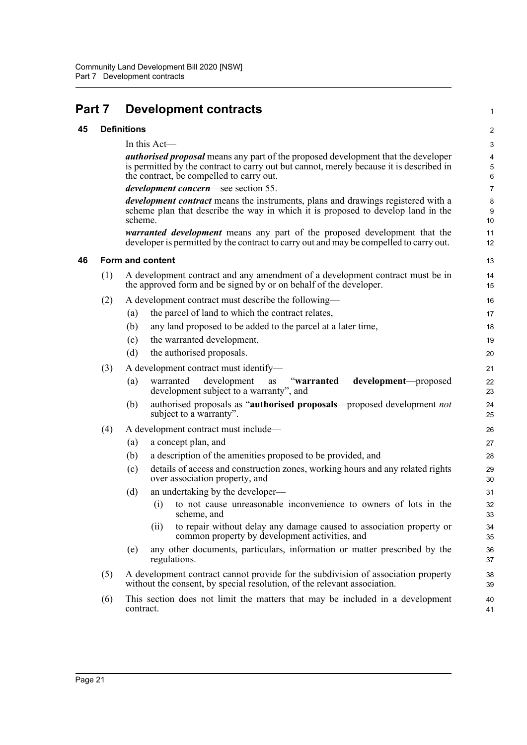<span id="page-33-2"></span><span id="page-33-1"></span><span id="page-33-0"></span>

| Part 7 |     | <b>Development contracts</b>                                                                                                                                                                                                           | 1              |
|--------|-----|----------------------------------------------------------------------------------------------------------------------------------------------------------------------------------------------------------------------------------------|----------------|
| 45     |     | <b>Definitions</b>                                                                                                                                                                                                                     | $\overline{c}$ |
|        |     | In this Act-                                                                                                                                                                                                                           | 3              |
|        |     | <b><i>authorised proposal</i></b> means any part of the proposed development that the developer<br>is permitted by the contract to carry out but cannot, merely because it is described in<br>the contract, be compelled to carry out. | 4<br>5<br>6    |
|        |     | <i>development concern—see section 55.</i>                                                                                                                                                                                             | $\overline{7}$ |
|        |     | <i>development contract</i> means the instruments, plans and drawings registered with a<br>scheme plan that describe the way in which it is proposed to develop land in the<br>scheme.                                                 | 8<br>9<br>10   |
|        |     | warranted development means any part of the proposed development that the<br>developer is permitted by the contract to carry out and may be compelled to carry out.                                                                    | 11<br>12       |
| 46     |     | Form and content                                                                                                                                                                                                                       | 13             |
|        | (1) | A development contract and any amendment of a development contract must be in<br>the approved form and be signed by or on behalf of the developer.                                                                                     | 14<br>15       |
|        | (2) | A development contract must describe the following—                                                                                                                                                                                    | 16             |
|        |     | the parcel of land to which the contract relates,<br>(a)                                                                                                                                                                               | 17             |
|        |     | any land proposed to be added to the parcel at a later time,<br>(b)                                                                                                                                                                    | 18             |
|        |     | the warranted development,<br>(c)                                                                                                                                                                                                      | 19             |
|        |     | (d)<br>the authorised proposals.                                                                                                                                                                                                       | 20             |
|        | (3) | A development contract must identify-                                                                                                                                                                                                  | 21             |
|        |     | (a)<br>warranted<br>development<br>"warranted<br>development—proposed<br>as<br>development subject to a warranty", and                                                                                                                 | 22<br>23       |
|        |     | authorised proposals as "authorised proposals—proposed development not<br>(b)<br>subject to a warranty".                                                                                                                               | 24<br>25       |
|        | (4) | A development contract must include—                                                                                                                                                                                                   | 26             |
|        |     | a concept plan, and<br>(a)                                                                                                                                                                                                             | 27             |
|        |     | (b)<br>a description of the amenities proposed to be provided, and                                                                                                                                                                     | 28             |
|        |     | details of access and construction zones, working hours and any related rights<br>(c)<br>over association property, and                                                                                                                | 29<br>30       |
|        |     | (d)<br>an undertaking by the developer—                                                                                                                                                                                                | 31             |
|        |     | to not cause unreasonable inconvenience to owners of lots in the<br>(i)<br>scheme, and                                                                                                                                                 | 32<br>33       |
|        |     | to repair without delay any damage caused to association property or<br>(ii)<br>common property by development activities, and                                                                                                         | 34<br>35       |
|        |     | any other documents, particulars, information or matter prescribed by the<br>(e)<br>regulations.                                                                                                                                       | 36<br>37       |
|        | (5) | A development contract cannot provide for the subdivision of association property<br>without the consent, by special resolution, of the relevant association.                                                                          | 38<br>39       |
|        | (6) | This section does not limit the matters that may be included in a development<br>contract.                                                                                                                                             | 40<br>41       |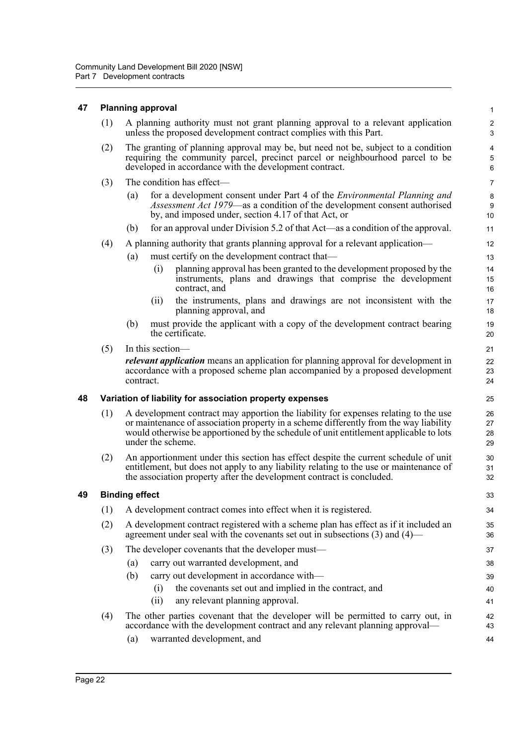#### <span id="page-34-0"></span>**47 Planning approval**

|     | A planning authority must not grant planning approval to a relevant application<br>unless the proposed development contract complies with this Part.                                                                         | $\mathcal{P}$<br>3 |  |  |
|-----|------------------------------------------------------------------------------------------------------------------------------------------------------------------------------------------------------------------------------|--------------------|--|--|
| (2) | The granting of planning approval may be, but need not be, subject to a condition<br>requiring the community parcel, precinct parcel or neighbourhood parcel to be<br>developed in accordance with the development contract. |                    |  |  |
|     | The condition has effect-                                                                                                                                                                                                    | 7                  |  |  |
|     | for a development consent under Part 4 of the Environmental Planning and<br>(a)<br><i>Assessment Act 1979</i> —as a condition of the development consent authorised<br>by, and imposed under, section 4.17 of that Act, or   | 8<br>9<br>10       |  |  |
|     |                                                                                                                                                                                                                              |                    |  |  |

1

33

(b) for an approval under Division 5.2 of that Act—as a condition of the approval.

(4) A planning authority that grants planning approval for a relevant application—

- (a) must certify on the development contract that—
	- (i) planning approval has been granted to the development proposed by the instruments, plans and drawings that comprise the development contract, and
	- (ii) the instruments, plans and drawings are not inconsistent with the planning approval, and
- (b) must provide the applicant with a copy of the development contract bearing the certificate.
- (5) In this section—

*relevant application* means an application for planning approval for development in accordance with a proposed scheme plan accompanied by a proposed development contract.

#### <span id="page-34-1"></span>**48 Variation of liability for association property expenses**

- (1) A development contract may apportion the liability for expenses relating to the use or maintenance of association property in a scheme differently from the way liability would otherwise be apportioned by the schedule of unit entitlement applicable to lots under the scheme.
- (2) An apportionment under this section has effect despite the current schedule of unit entitlement, but does not apply to any liability relating to the use or maintenance of the association property after the development contract is concluded.

#### <span id="page-34-2"></span>**49 Binding effect**

|     |                                                                                                                                                                          | ັັ       |  |  |
|-----|--------------------------------------------------------------------------------------------------------------------------------------------------------------------------|----------|--|--|
|     | A development contract comes into effect when it is registered.                                                                                                          |          |  |  |
| (2) | A development contract registered with a scheme plan has effect as if it included an<br>agreement under seal with the covenants set out in subsections $(3)$ and $(4)$ — | 35<br>36 |  |  |
| (3) | The developer covenants that the developer must—                                                                                                                         | 37       |  |  |
|     | carry out warranted development, and<br>(a)                                                                                                                              | 38       |  |  |
|     | carry out development in accordance with—<br>(b)                                                                                                                         | 39       |  |  |
|     | the covenants set out and implied in the contract, and<br>(1)                                                                                                            | 40       |  |  |
|     | any relevant planning approval.<br>(11)                                                                                                                                  | 41       |  |  |
| (4) | The other parties covenant that the developer will be permitted to carry out, in                                                                                         | 42       |  |  |
|     | accordance with the development contract and any relevant planning approval—                                                                                             | 43       |  |  |
|     | warranted development, and<br>(a)                                                                                                                                        | 44       |  |  |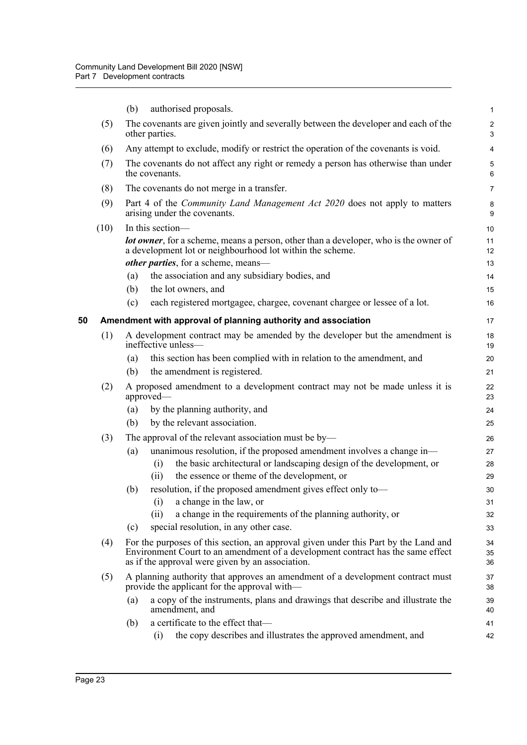<span id="page-35-0"></span>

|    |      | authorised proposals.<br>(b)                                                                                                                                                                                               | $\mathbf{1}$        |
|----|------|----------------------------------------------------------------------------------------------------------------------------------------------------------------------------------------------------------------------------|---------------------|
|    | (5)  | The covenants are given jointly and severally between the developer and each of the<br>other parties.                                                                                                                      | $\overline{c}$<br>3 |
|    | (6)  | Any attempt to exclude, modify or restrict the operation of the covenants is void.                                                                                                                                         | $\overline{4}$      |
|    | (7)  | The covenants do not affect any right or remedy a person has otherwise than under<br>the covenants.                                                                                                                        | $\mathbf 5$<br>6    |
|    | (8)  | The covenants do not merge in a transfer.                                                                                                                                                                                  | $\overline{7}$      |
|    | (9)  | Part 4 of the <i>Community Land Management Act 2020</i> does not apply to matters<br>arising under the covenants.                                                                                                          | 8<br>9              |
|    | (10) | In this section-                                                                                                                                                                                                           | 10                  |
|    |      | lot owner, for a scheme, means a person, other than a developer, who is the owner of<br>a development lot or neighbourhood lot within the scheme.                                                                          | 11<br>12            |
|    |      | other parties, for a scheme, means-                                                                                                                                                                                        | 13                  |
|    |      | the association and any subsidiary bodies, and<br>(a)                                                                                                                                                                      | 14                  |
|    |      | the lot owners, and<br>(b)                                                                                                                                                                                                 | 15                  |
|    |      | each registered mortgagee, chargee, covenant chargee or lessee of a lot.<br>(c)                                                                                                                                            | 16                  |
| 50 |      | Amendment with approval of planning authority and association                                                                                                                                                              | 17                  |
|    | (1)  | A development contract may be amended by the developer but the amendment is<br>ineffective unless—                                                                                                                         | 18<br>19            |
|    |      | this section has been complied with in relation to the amendment, and<br>(a)                                                                                                                                               | 20                  |
|    |      | the amendment is registered.<br>(b)                                                                                                                                                                                        | 21                  |
|    | (2)  | A proposed amendment to a development contract may not be made unless it is<br>approved—                                                                                                                                   | 22<br>23            |
|    |      | by the planning authority, and<br>(a)                                                                                                                                                                                      | 24                  |
|    |      | by the relevant association.<br>(b)                                                                                                                                                                                        | 25                  |
|    | (3)  | The approval of the relevant association must be by—                                                                                                                                                                       | 26                  |
|    |      | unanimous resolution, if the proposed amendment involves a change in-<br>(a)                                                                                                                                               | 27                  |
|    |      | the basic architectural or landscaping design of the development, or<br>(i)                                                                                                                                                | 28                  |
|    |      | the essence or theme of the development, or<br>(ii)                                                                                                                                                                        | 29                  |
|    |      | resolution, if the proposed amendment gives effect only to-<br>(b)                                                                                                                                                         | 30                  |
|    |      | a change in the law, or<br>$\left( 1\right)$<br>a change in the requirements of the planning authority, or<br>(ii)                                                                                                         | 31                  |
|    |      | special resolution, in any other case.<br>(c)                                                                                                                                                                              | 32<br>33            |
|    |      |                                                                                                                                                                                                                            |                     |
|    | (4)  | For the purposes of this section, an approval given under this Part by the Land and<br>Environment Court to an amendment of a development contract has the same effect<br>as if the approval were given by an association. | 34<br>35<br>36      |
|    | (5)  | A planning authority that approves an amendment of a development contract must<br>provide the applicant for the approval with—                                                                                             | 37<br>38            |
|    |      | a copy of the instruments, plans and drawings that describe and illustrate the<br>(a)<br>amendment, and                                                                                                                    | 39<br>40            |
|    |      | a certificate to the effect that-<br>(b)                                                                                                                                                                                   | 41                  |
|    |      | the copy describes and illustrates the approved amendment, and<br>(i)                                                                                                                                                      | 42                  |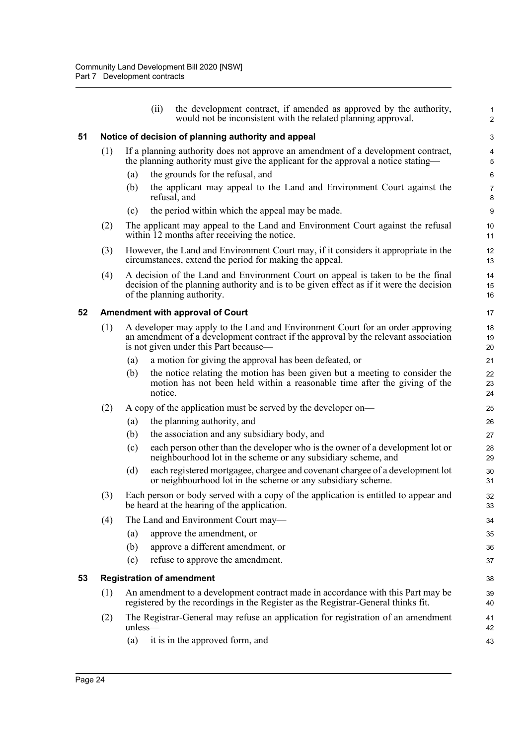|    |     | (ii)              | the development contract, if amended as approved by the authority,<br>would not be inconsistent with the related planning approval.                                                                           | 1<br>$\overline{\mathbf{c}}$ |
|----|-----|-------------------|---------------------------------------------------------------------------------------------------------------------------------------------------------------------------------------------------------------|------------------------------|
| 51 |     |                   | Notice of decision of planning authority and appeal                                                                                                                                                           | 3                            |
|    | (1) |                   | If a planning authority does not approve an amendment of a development contract,<br>the planning authority must give the applicant for the approval a notice stating—                                         | 4<br>5                       |
|    |     | (a)               | the grounds for the refusal, and                                                                                                                                                                              | 6                            |
|    |     | (b)               | the applicant may appeal to the Land and Environment Court against the<br>refusal, and                                                                                                                        | 7<br>8                       |
|    |     | (c)               | the period within which the appeal may be made.                                                                                                                                                               | 9                            |
|    | (2) |                   | The applicant may appeal to the Land and Environment Court against the refusal<br>within 12 months after receiving the notice.                                                                                | 10<br>11                     |
|    | (3) |                   | However, the Land and Environment Court may, if it considers it appropriate in the<br>circumstances, extend the period for making the appeal.                                                                 | 12<br>13                     |
|    | (4) |                   | A decision of the Land and Environment Court on appeal is taken to be the final<br>decision of the planning authority and is to be given effect as if it were the decision<br>of the planning authority.      | 14<br>15<br>16               |
| 52 |     |                   | <b>Amendment with approval of Court</b>                                                                                                                                                                       | 17                           |
|    | (1) |                   | A developer may apply to the Land and Environment Court for an order approving<br>an amendment of a development contract if the approval by the relevant association<br>is not given under this Part because— | 18<br>19<br>20               |
|    |     | $\left( a\right)$ | a motion for giving the approval has been defeated, or                                                                                                                                                        | 21                           |
|    |     | (b)<br>notice.    | the notice relating the motion has been given but a meeting to consider the<br>motion has not been held within a reasonable time after the giving of the                                                      | 22<br>23<br>24               |
|    | (2) |                   | A copy of the application must be served by the developer on—                                                                                                                                                 | 25                           |
|    |     | (a)               | the planning authority, and                                                                                                                                                                                   | 26                           |
|    |     | (b)               | the association and any subsidiary body, and                                                                                                                                                                  | 27                           |
|    |     | (c)               | each person other than the developer who is the owner of a development lot or<br>neighbourhood lot in the scheme or any subsidiary scheme, and                                                                | 28<br>29                     |
|    |     | (d)               | each registered mortgagee, chargee and covenant chargee of a development lot<br>or neighbourhood lot in the scheme or any subsidiary scheme.                                                                  | 30<br>31                     |
|    | (3) |                   | Each person or body served with a copy of the application is entitled to appear and<br>be heard at the hearing of the application.                                                                            | 32<br>33                     |
|    | (4) |                   | The Land and Environment Court may—                                                                                                                                                                           | 34                           |
|    |     | (a)               | approve the amendment, or                                                                                                                                                                                     | 35                           |
|    |     | (b)               | approve a different amendment, or                                                                                                                                                                             | 36                           |
|    |     | (c)               | refuse to approve the amendment.                                                                                                                                                                              | 37                           |
| 53 |     |                   | <b>Registration of amendment</b>                                                                                                                                                                              | 38                           |
|    | (1) |                   | An amendment to a development contract made in accordance with this Part may be<br>registered by the recordings in the Register as the Registrar-General thinks fit.                                          | 39<br>40                     |
|    | (2) | unless-           | The Registrar-General may refuse an application for registration of an amendment                                                                                                                              | 41<br>42                     |
|    |     | (a)               | it is in the approved form, and                                                                                                                                                                               | 43                           |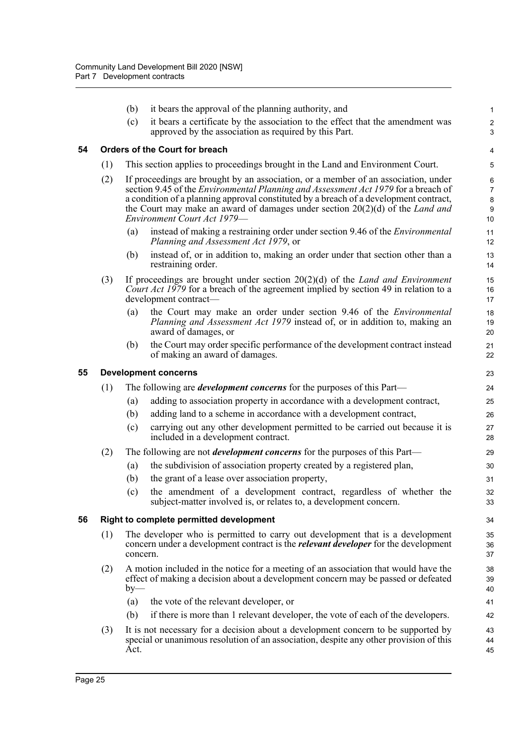|    |                             | (b)      | it bears the approval of the planning authority, and                                                                                                                                                                                                                                                                                                                                       | 1                                             |  |  |
|----|-----------------------------|----------|--------------------------------------------------------------------------------------------------------------------------------------------------------------------------------------------------------------------------------------------------------------------------------------------------------------------------------------------------------------------------------------------|-----------------------------------------------|--|--|
|    |                             | (c)      | it bears a certificate by the association to the effect that the amendment was<br>approved by the association as required by this Part.                                                                                                                                                                                                                                                    | $\boldsymbol{2}$<br>3                         |  |  |
| 54 |                             |          | <b>Orders of the Court for breach</b>                                                                                                                                                                                                                                                                                                                                                      | 4                                             |  |  |
|    | (1)                         |          | This section applies to proceedings brought in the Land and Environment Court.                                                                                                                                                                                                                                                                                                             | 5                                             |  |  |
|    | (2)                         |          | If proceedings are brought by an association, or a member of an association, under<br>section 9.45 of the <i>Environmental Planning and Assessment Act 1979</i> for a breach of<br>a condition of a planning approval constituted by a breach of a development contract,<br>the Court may make an award of damages under section $20(2)(d)$ of the Land and<br>Environment Court Act 1979- | 6<br>$\overline{7}$<br>$\bf 8$<br>$9\,$<br>10 |  |  |
|    |                             | (a)      | instead of making a restraining order under section 9.46 of the <i>Environmental</i><br>Planning and Assessment Act 1979, or                                                                                                                                                                                                                                                               | 11<br>12                                      |  |  |
|    |                             | (b)      | instead of, or in addition to, making an order under that section other than a<br>restraining order.                                                                                                                                                                                                                                                                                       | 13<br>14                                      |  |  |
|    | (3)                         |          | If proceedings are brought under section $20(2)(d)$ of the Land and Environment<br>Court Act 1979 for a breach of the agreement implied by section 49 in relation to a<br>development contract-                                                                                                                                                                                            | 15<br>16<br>17                                |  |  |
|    |                             | (a)      | the Court may make an order under section 9.46 of the Environmental<br><i>Planning and Assessment Act 1979</i> instead of, or in addition to, making an<br>award of damages, or                                                                                                                                                                                                            | 18<br>19<br>20                                |  |  |
|    |                             | (b)      | the Court may order specific performance of the development contract instead<br>of making an award of damages.                                                                                                                                                                                                                                                                             | 21<br>22                                      |  |  |
| 55 | <b>Development concerns</b> |          |                                                                                                                                                                                                                                                                                                                                                                                            |                                               |  |  |
|    | (1)                         |          | The following are <i>development concerns</i> for the purposes of this Part—                                                                                                                                                                                                                                                                                                               | 24                                            |  |  |
|    |                             | (a)      | adding to association property in accordance with a development contract,                                                                                                                                                                                                                                                                                                                  | 25                                            |  |  |
|    |                             | (b)      | adding land to a scheme in accordance with a development contract,                                                                                                                                                                                                                                                                                                                         | 26                                            |  |  |
|    |                             | (c)      | carrying out any other development permitted to be carried out because it is<br>included in a development contract.                                                                                                                                                                                                                                                                        | 27<br>28                                      |  |  |
|    | (2)                         |          | The following are not <i>development concerns</i> for the purposes of this Part—                                                                                                                                                                                                                                                                                                           | 29                                            |  |  |
|    |                             | (a)      | the subdivision of association property created by a registered plan,                                                                                                                                                                                                                                                                                                                      | 30                                            |  |  |
|    |                             | (b)      | the grant of a lease over association property,                                                                                                                                                                                                                                                                                                                                            | 31                                            |  |  |
|    |                             | (c)      | the amendment of a development contract, regardless of whether the<br>subject-matter involved is, or relates to, a development concern.                                                                                                                                                                                                                                                    | 32<br>33                                      |  |  |
| 56 |                             |          | Right to complete permitted development                                                                                                                                                                                                                                                                                                                                                    | 34                                            |  |  |
|    | (1)                         | concern. | The developer who is permitted to carry out development that is a development<br>concern under a development contract is the <i>relevant developer</i> for the development                                                                                                                                                                                                                 | 35<br>36<br>37                                |  |  |
|    | (2)                         | $by-$    | A motion included in the notice for a meeting of an association that would have the<br>effect of making a decision about a development concern may be passed or defeated                                                                                                                                                                                                                   | 38<br>39<br>40                                |  |  |
|    |                             | (a)      | the vote of the relevant developer, or                                                                                                                                                                                                                                                                                                                                                     | 41                                            |  |  |
|    |                             | (b)      | if there is more than 1 relevant developer, the vote of each of the developers.                                                                                                                                                                                                                                                                                                            | 42                                            |  |  |
|    | (3)                         | Act.     | It is not necessary for a decision about a development concern to be supported by<br>special or unanimous resolution of an association, despite any other provision of this                                                                                                                                                                                                                | 43<br>44<br>45                                |  |  |
|    |                             |          |                                                                                                                                                                                                                                                                                                                                                                                            |                                               |  |  |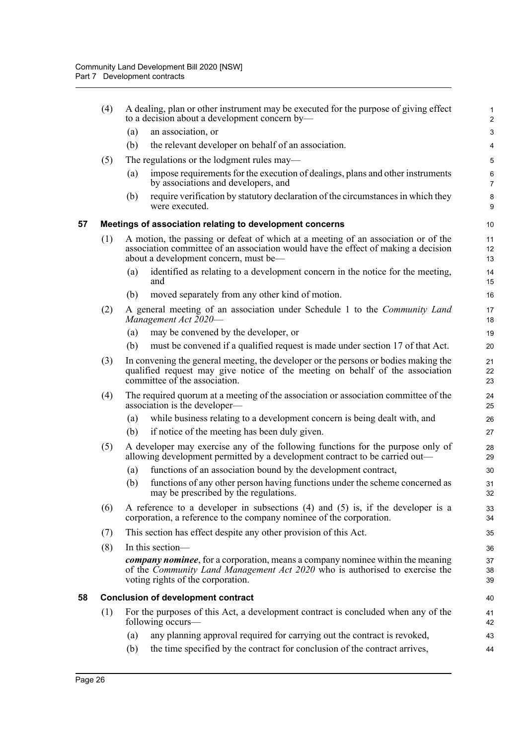|    | (4) | A dealing, plan or other instrument may be executed for the purpose of giving effect<br>to a decision about a development concern by-                                                                                    | $\mathbf{1}$<br>$\overline{2}$ |
|----|-----|--------------------------------------------------------------------------------------------------------------------------------------------------------------------------------------------------------------------------|--------------------------------|
|    |     | an association, or<br>(a)                                                                                                                                                                                                | 3                              |
|    |     | (b)<br>the relevant developer on behalf of an association.                                                                                                                                                               | 4                              |
|    | (5) | The regulations or the lodgment rules may-                                                                                                                                                                               | 5                              |
|    |     | impose requirements for the execution of dealings, plans and other instruments<br>(a)<br>by associations and developers, and                                                                                             | 6<br>$\overline{7}$            |
|    |     | require verification by statutory declaration of the circumstances in which they<br>(b)<br>were executed.                                                                                                                | 8<br>9                         |
| 57 |     | Meetings of association relating to development concerns                                                                                                                                                                 | 10                             |
|    | (1) | A motion, the passing or defeat of which at a meeting of an association or of the<br>association committee of an association would have the effect of making a decision<br>about a development concern, must be—         | 11<br>12<br>13                 |
|    |     | identified as relating to a development concern in the notice for the meeting,<br>(a)<br>and                                                                                                                             | 14<br>15                       |
|    |     | (b)<br>moved separately from any other kind of motion.                                                                                                                                                                   | 16                             |
|    | (2) | A general meeting of an association under Schedule 1 to the Community Land<br>Management Act 2020-                                                                                                                       | 17<br>18                       |
|    |     | may be convened by the developer, or<br>(a)                                                                                                                                                                              | 19                             |
|    |     | must be convened if a qualified request is made under section 17 of that Act.<br>(b)                                                                                                                                     | 20                             |
|    | (3) | In convening the general meeting, the developer or the persons or bodies making the<br>qualified request may give notice of the meeting on behalf of the association<br>committee of the association.                    | 21<br>22<br>23                 |
|    | (4) | The required quorum at a meeting of the association or association committee of the<br>association is the developer—                                                                                                     | 24<br>25                       |
|    |     | while business relating to a development concern is being dealt with, and<br>(a)                                                                                                                                         | 26                             |
|    |     | if notice of the meeting has been duly given.<br>(b)                                                                                                                                                                     | 27                             |
|    | (5) | A developer may exercise any of the following functions for the purpose only of<br>allowing development permitted by a development contract to be carried out—                                                           | 28<br>29                       |
|    |     | functions of an association bound by the development contract,<br>(a)                                                                                                                                                    | 30                             |
|    |     | (b)<br>functions of any other person having functions under the scheme concerned as<br>may be prescribed by the regulations.                                                                                             | 31<br>32                       |
|    | (6) | A reference to a developer in subsections $(4)$ and $(5)$ is, if the developer is a<br>corporation, a reference to the company nominee of the corporation.                                                               | 33<br>34                       |
|    | (7) | This section has effect despite any other provision of this Act.                                                                                                                                                         | 35                             |
|    | (8) | In this section-                                                                                                                                                                                                         | 36                             |
|    |     | <b><i>company nominee</i></b> , for a corporation, means a company nominee within the meaning<br>of the <i>Community Land Management Act 2020</i> who is authorised to exercise the<br>voting rights of the corporation. | 37<br>38<br>39                 |
| 58 |     | <b>Conclusion of development contract</b>                                                                                                                                                                                | 40                             |
|    | (1) | For the purposes of this Act, a development contract is concluded when any of the<br>following occurs-                                                                                                                   | 41<br>42                       |
|    |     | any planning approval required for carrying out the contract is revoked,<br>(a)                                                                                                                                          | 43                             |
|    |     | (b)<br>the time specified by the contract for conclusion of the contract arrives,                                                                                                                                        | 44                             |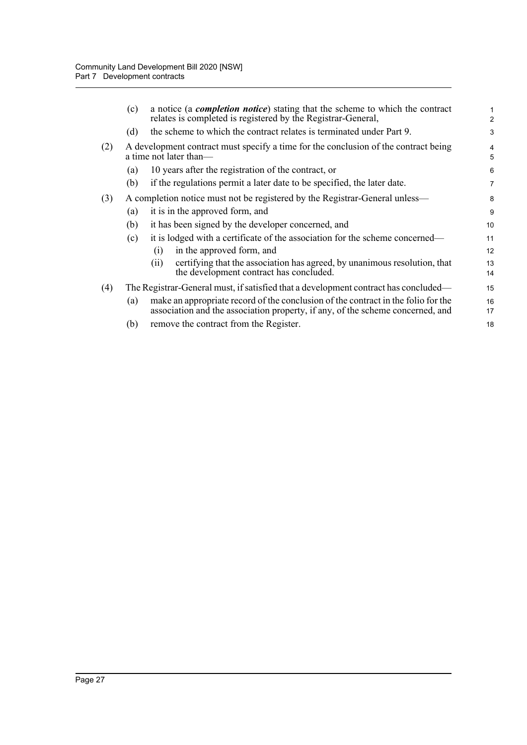|     | (c) | a notice (a <i>completion notice</i> ) stating that the scheme to which the contract<br>relates is completed is registered by the Registrar-General,                | 2        |
|-----|-----|---------------------------------------------------------------------------------------------------------------------------------------------------------------------|----------|
|     | (d) | the scheme to which the contract relates is terminated under Part 9.                                                                                                | 3        |
| (2) |     | A development contract must specify a time for the conclusion of the contract being<br>a time not later than—                                                       | 4<br>5   |
|     | (a) | 10 years after the registration of the contract, or                                                                                                                 | 6        |
|     | (b) | if the regulations permit a later date to be specified, the later date.                                                                                             | 7        |
| (3) |     | A completion notice must not be registered by the Registrar-General unless-                                                                                         | 8        |
|     | (a) | it is in the approved form, and                                                                                                                                     | 9        |
|     | (b) | it has been signed by the developer concerned, and                                                                                                                  | 10       |
|     | (c) | it is lodged with a certificate of the association for the scheme concerned—                                                                                        | 11       |
|     |     | in the approved form, and<br>(1)                                                                                                                                    | 12       |
|     |     | certifying that the association has agreed, by unanimous resolution, that<br>(i)<br>the development contract has concluded.                                         | 13<br>14 |
| (4) |     | The Registrar-General must, if satisfied that a development contract has concluded—                                                                                 | 15       |
|     | (a) | make an appropriate record of the conclusion of the contract in the folio for the<br>association and the association property, if any, of the scheme concerned, and | 16<br>17 |
|     | (b) | remove the contract from the Register.                                                                                                                              | 18       |
|     |     |                                                                                                                                                                     |          |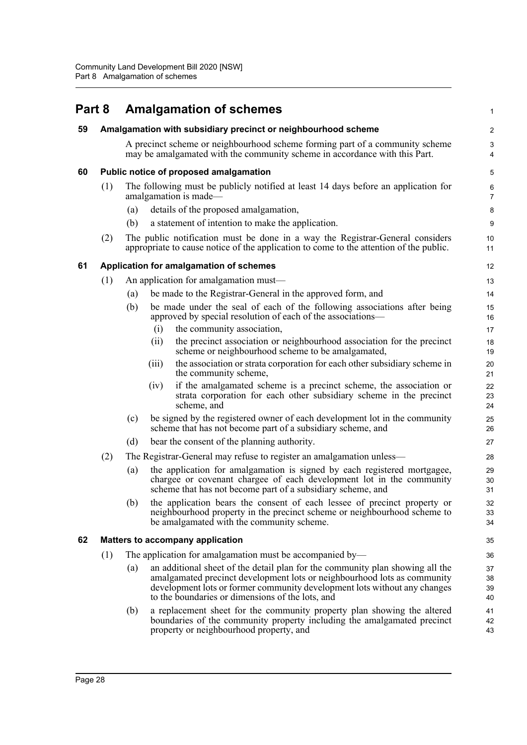| Part 8 |     |     | <b>Amalgamation of schemes</b>                                                                                                                                                                                                                                                             | 1                       |
|--------|-----|-----|--------------------------------------------------------------------------------------------------------------------------------------------------------------------------------------------------------------------------------------------------------------------------------------------|-------------------------|
| 59     |     |     | Amalgamation with subsidiary precinct or neighbourhood scheme                                                                                                                                                                                                                              | $\overline{\mathbf{c}}$ |
|        |     |     | A precinct scheme or neighbourhood scheme forming part of a community scheme<br>may be amalgamated with the community scheme in accordance with this Part.                                                                                                                                 | 3<br>4                  |
| 60     |     |     | Public notice of proposed amalgamation                                                                                                                                                                                                                                                     | 5                       |
|        | (1) |     | The following must be publicly notified at least 14 days before an application for<br>amalgamation is made—                                                                                                                                                                                | 6<br>7                  |
|        |     | (a) | details of the proposed amalgamation,                                                                                                                                                                                                                                                      | 8                       |
|        |     | (b) | a statement of intention to make the application.                                                                                                                                                                                                                                          | 9                       |
|        | (2) |     | The public notification must be done in a way the Registrar-General considers<br>appropriate to cause notice of the application to come to the attention of the public.                                                                                                                    | 10<br>11                |
| 61     |     |     | Application for amalgamation of schemes                                                                                                                                                                                                                                                    | 12                      |
|        | (1) |     | An application for amalgamation must—                                                                                                                                                                                                                                                      | 13                      |
|        |     | (a) | be made to the Registrar-General in the approved form, and                                                                                                                                                                                                                                 | 14                      |
|        |     | (b) | be made under the seal of each of the following associations after being<br>approved by special resolution of each of the associations—                                                                                                                                                    | 15<br>16                |
|        |     |     | the community association,<br>(i)                                                                                                                                                                                                                                                          | 17                      |
|        |     |     | the precinct association or neighbourhood association for the precinct<br>(i)<br>scheme or neighbourhood scheme to be amalgamated,                                                                                                                                                         | 18<br>19                |
|        |     |     | the association or strata corporation for each other subsidiary scheme in<br>(iii)<br>the community scheme,                                                                                                                                                                                | 20<br>21                |
|        |     |     | if the amalgamated scheme is a precinct scheme, the association or<br>(iv)<br>strata corporation for each other subsidiary scheme in the precinct<br>scheme, and                                                                                                                           | 22<br>23<br>24          |
|        |     | (c) | be signed by the registered owner of each development lot in the community<br>scheme that has not become part of a subsidiary scheme, and                                                                                                                                                  | 25<br>26                |
|        |     | (d) | bear the consent of the planning authority.                                                                                                                                                                                                                                                | 27                      |
|        | (2) |     | The Registrar-General may refuse to register an amalgamation unless—                                                                                                                                                                                                                       | 28                      |
|        |     | (a) | the application for amalgamation is signed by each registered mortgagee,<br>chargee or covenant chargee of each development lot in the community<br>scheme that has not become part of a subsidiary scheme, and                                                                            | 29<br>30<br>31          |
|        |     | (b) | the application bears the consent of each lessee of precinct property or                                                                                                                                                                                                                   | 32                      |
|        |     |     | neighbourhood property in the precinct scheme or neighbourhood scheme to<br>be amalgamated with the community scheme.                                                                                                                                                                      | 33<br>34                |
| 62     |     |     | <b>Matters to accompany application</b>                                                                                                                                                                                                                                                    | 35                      |
|        | (1) |     | The application for amalgamation must be accompanied by—                                                                                                                                                                                                                                   | 36                      |
|        |     | (a) | an additional sheet of the detail plan for the community plan showing all the<br>amalgamated precinct development lots or neighbourhood lots as community<br>development lots or former community development lots without any changes<br>to the boundaries or dimensions of the lots, and | 37<br>38<br>39<br>40    |
|        |     | (b) | a replacement sheet for the community property plan showing the altered<br>boundaries of the community property including the amalgamated precinct<br>property or neighbourhood property, and                                                                                              | 41<br>42<br>43          |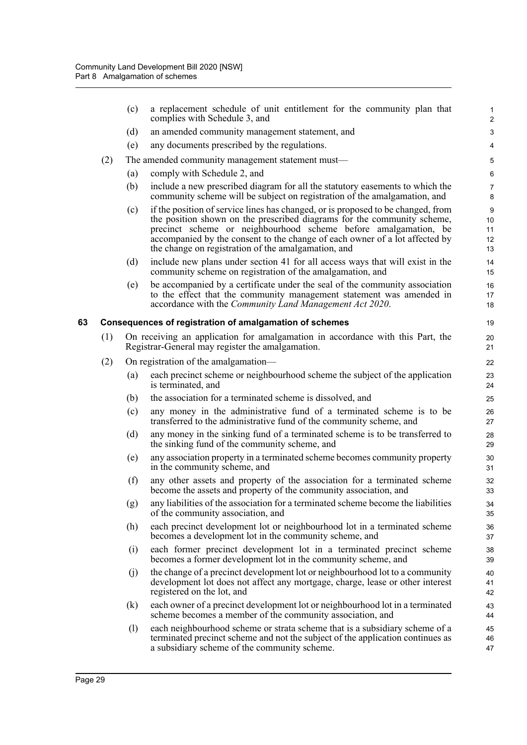|    |     | (c) | a replacement schedule of unit entitlement for the community plan that<br>complies with Schedule 3, and                                                                                                                                                                                                                                                              | 1<br>$\overline{c}$       |
|----|-----|-----|----------------------------------------------------------------------------------------------------------------------------------------------------------------------------------------------------------------------------------------------------------------------------------------------------------------------------------------------------------------------|---------------------------|
|    |     | (d) | an amended community management statement, and                                                                                                                                                                                                                                                                                                                       | 3                         |
|    |     | (e) | any documents prescribed by the regulations.                                                                                                                                                                                                                                                                                                                         | 4                         |
|    | (2) |     | The amended community management statement must—                                                                                                                                                                                                                                                                                                                     | 5                         |
|    |     | (a) | comply with Schedule 2, and                                                                                                                                                                                                                                                                                                                                          | 6                         |
|    |     | (b) | include a new prescribed diagram for all the statutory easements to which the<br>community scheme will be subject on registration of the amalgamation, and                                                                                                                                                                                                           | 7<br>8                    |
|    |     | (c) | if the position of service lines has changed, or is proposed to be changed, from<br>the position shown on the prescribed diagrams for the community scheme,<br>precinct scheme or neighbourhood scheme before amalgamation, be<br>accompanied by the consent to the change of each owner of a lot affected by<br>the change on registration of the amalgamation, and | 9<br>10<br>11<br>12<br>13 |
|    |     | (d) | include new plans under section 41 for all access ways that will exist in the<br>community scheme on registration of the amalgamation, and                                                                                                                                                                                                                           | 14<br>15                  |
|    |     | (e) | be accompanied by a certificate under the seal of the community association<br>to the effect that the community management statement was amended in<br>accordance with the Community Land Management Act 2020.                                                                                                                                                       | 16<br>17<br>18            |
| 63 |     |     | Consequences of registration of amalgamation of schemes                                                                                                                                                                                                                                                                                                              | 19                        |
|    | (1) |     | On receiving an application for amalgamation in accordance with this Part, the<br>Registrar-General may register the amalgamation.                                                                                                                                                                                                                                   | 20<br>21                  |
|    | (2) |     | On registration of the amalgamation—                                                                                                                                                                                                                                                                                                                                 | 22                        |
|    |     | (a) | each precinct scheme or neighbourhood scheme the subject of the application<br>is terminated, and                                                                                                                                                                                                                                                                    | 23<br>24                  |
|    |     | (b) | the association for a terminated scheme is dissolved, and                                                                                                                                                                                                                                                                                                            | 25                        |
|    |     | (c) | any money in the administrative fund of a terminated scheme is to be<br>transferred to the administrative fund of the community scheme, and                                                                                                                                                                                                                          | 26<br>27                  |
|    |     | (d) | any money in the sinking fund of a terminated scheme is to be transferred to<br>the sinking fund of the community scheme, and                                                                                                                                                                                                                                        | 28<br>29                  |
|    |     | (e) | any association property in a terminated scheme becomes community property<br>in the community scheme, and                                                                                                                                                                                                                                                           | 30<br>31                  |
|    |     | (f) | any other assets and property of the association for a terminated scheme<br>become the assets and property of the community association, and                                                                                                                                                                                                                         | 32<br>33                  |
|    |     | (g) | any liabilities of the association for a terminated scheme become the liabilities<br>of the community association, and                                                                                                                                                                                                                                               | 34<br>35                  |
|    |     | (h) | each precinct development lot or neighbourhood lot in a terminated scheme<br>becomes a development lot in the community scheme, and                                                                                                                                                                                                                                  | 36<br>37                  |
|    |     | (i) | each former precinct development lot in a terminated precinct scheme<br>becomes a former development lot in the community scheme, and                                                                                                                                                                                                                                | 38<br>39                  |
|    |     | (j) | the change of a precinct development lot or neighbourhood lot to a community<br>development lot does not affect any mortgage, charge, lease or other interest<br>registered on the lot, and                                                                                                                                                                          | 40<br>41<br>42            |
|    |     | (k) | each owner of a precinct development lot or neighbourhood lot in a terminated<br>scheme becomes a member of the community association, and                                                                                                                                                                                                                           | 43<br>44                  |
|    |     | (1) | each neighbourhood scheme or strata scheme that is a subsidiary scheme of a<br>terminated precinct scheme and not the subject of the application continues as<br>a subsidiary scheme of the community scheme.                                                                                                                                                        | 45<br>46<br>47            |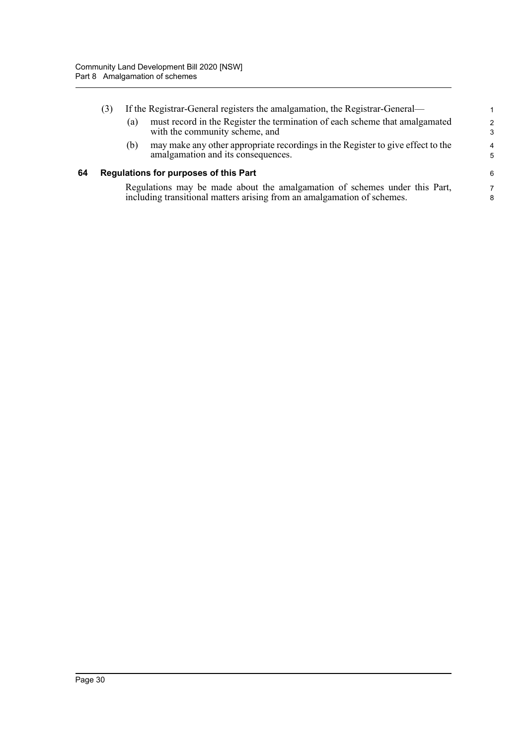|    | (3) |     | If the Registrar-General registers the amalgamation, the Registrar-General—                                                                           |                    |
|----|-----|-----|-------------------------------------------------------------------------------------------------------------------------------------------------------|--------------------|
|    |     | (a) | must record in the Register the termination of each scheme that amalgamated<br>with the community scheme, and                                         | $\mathcal{P}$<br>3 |
|    |     | (b) | may make any other appropriate recordings in the Register to give effect to the<br>amalgamation and its consequences.                                 | 4<br>5             |
| 64 |     |     | Regulations for purposes of this Part                                                                                                                 | 6                  |
|    |     |     | Regulations may be made about the amalgamation of schemes under this Part,<br>including transitional matters arising from an amalgamation of schemes. | 8                  |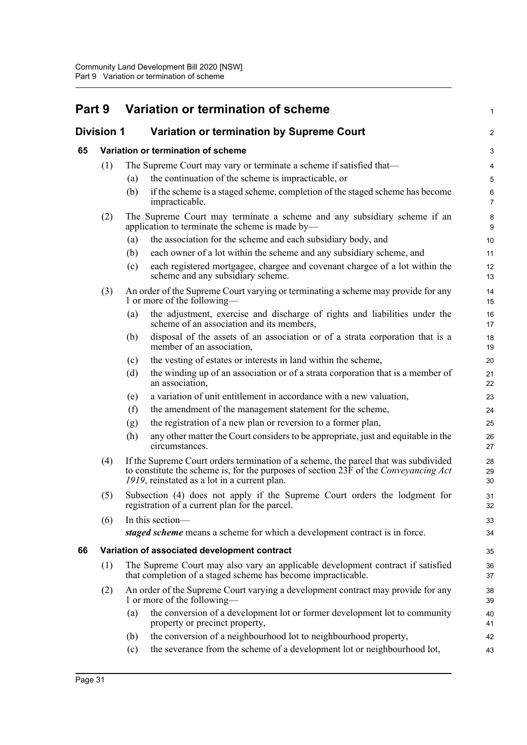| Part 9 |                   |                                           | Variation or termination of scheme                                                                                                                                                                                          | 1                   |
|--------|-------------------|-------------------------------------------|-----------------------------------------------------------------------------------------------------------------------------------------------------------------------------------------------------------------------------|---------------------|
|        | <b>Division 1</b> | Variation or termination by Supreme Court |                                                                                                                                                                                                                             | $\overline{a}$      |
| 65     |                   |                                           | Variation or termination of scheme                                                                                                                                                                                          | 3                   |
|        | (1)               |                                           | The Supreme Court may vary or terminate a scheme if satisfied that—                                                                                                                                                         | 4                   |
|        |                   | (a)                                       | the continuation of the scheme is impracticable, or                                                                                                                                                                         | 5                   |
|        |                   | (b)                                       | if the scheme is a staged scheme, completion of the staged scheme has become<br>impracticable.                                                                                                                              | 6<br>$\overline{7}$ |
|        | (2)               |                                           | The Supreme Court may terminate a scheme and any subsidiary scheme if an<br>application to terminate the scheme is made by-                                                                                                 | 8<br>9              |
|        |                   | (a)                                       | the association for the scheme and each subsidiary body, and                                                                                                                                                                | 10                  |
|        |                   | (b)                                       | each owner of a lot within the scheme and any subsidiary scheme, and                                                                                                                                                        | 11                  |
|        |                   | (c)                                       | each registered mortgagee, chargee and covenant chargee of a lot within the<br>scheme and any subsidiary scheme.                                                                                                            | 12<br>13            |
|        | (3)               |                                           | An order of the Supreme Court varying or terminating a scheme may provide for any<br>1 or more of the following—                                                                                                            | 14<br>15            |
|        |                   | (a)                                       | the adjustment, exercise and discharge of rights and liabilities under the<br>scheme of an association and its members,                                                                                                     | 16<br>17            |
|        |                   | (b)                                       | disposal of the assets of an association or of a strata corporation that is a<br>member of an association,                                                                                                                  | 18<br>19            |
|        |                   | (c)                                       | the vesting of estates or interests in land within the scheme,                                                                                                                                                              | 20                  |
|        |                   | (d)                                       | the winding up of an association or of a strata corporation that is a member of<br>an association,                                                                                                                          | 21<br>22            |
|        |                   | (e)                                       | a variation of unit entitlement in accordance with a new valuation,                                                                                                                                                         | 23                  |
|        |                   | (f)                                       | the amendment of the management statement for the scheme,                                                                                                                                                                   | 24                  |
|        |                   | (g)                                       | the registration of a new plan or reversion to a former plan,                                                                                                                                                               | 25                  |
|        |                   | (h)                                       | any other matter the Court considers to be appropriate, just and equitable in the<br>circumstances.                                                                                                                         | 26<br>27            |
|        | (4)               |                                           | If the Supreme Court orders termination of a scheme, the parcel that was subdivided<br>to constitute the scheme is, for the purposes of section 23F of the Conveyancing Act<br>1919, reinstated as a lot in a current plan. | 28<br>29<br>30      |
|        | (5)               |                                           | Subsection (4) does not apply if the Supreme Court orders the lodgment for<br>registration of a current plan for the parcel.                                                                                                | 31<br>32            |
|        | (6)               |                                           | In this section-                                                                                                                                                                                                            | 33                  |
|        |                   |                                           | staged scheme means a scheme for which a development contract is in force.                                                                                                                                                  | 34                  |
| 66     |                   |                                           | Variation of associated development contract                                                                                                                                                                                | 35                  |
|        | (1)               |                                           | The Supreme Court may also vary an applicable development contract if satisfied<br>that completion of a staged scheme has become impracticable.                                                                             | 36<br>37            |
|        | (2)               |                                           | An order of the Supreme Court varying a development contract may provide for any<br>1 or more of the following-                                                                                                             | 38<br>39            |
|        |                   | (a)                                       | the conversion of a development lot or former development lot to community<br>property or precinct property,                                                                                                                | 40<br>41            |
|        |                   | (b)                                       | the conversion of a neighbourhood lot to neighbourhood property,                                                                                                                                                            | 42                  |
|        |                   | (c)                                       | the severance from the scheme of a development lot or neighbourhood lot,                                                                                                                                                    | 43                  |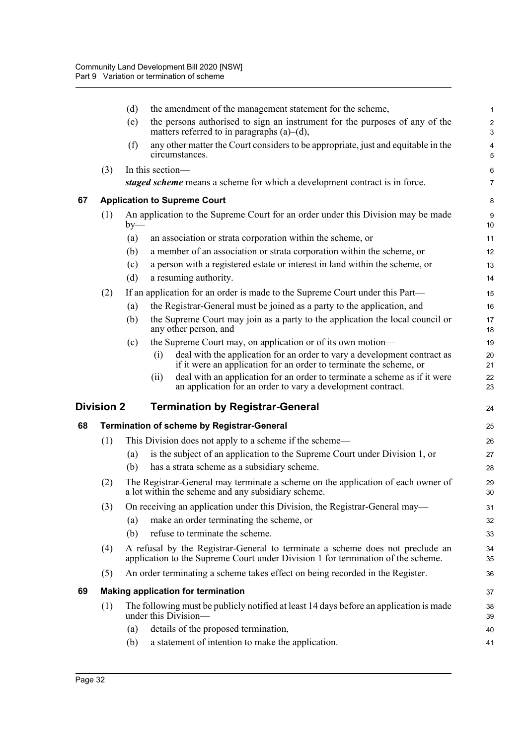|    |                   | (d)   | the amendment of the management statement for the scheme,                                                                                                         | $\mathbf{1}$                   |
|----|-------------------|-------|-------------------------------------------------------------------------------------------------------------------------------------------------------------------|--------------------------------|
|    |                   | (e)   | the persons authorised to sign an instrument for the purposes of any of the<br>matters referred to in paragraphs $(a)$ – $(d)$ ,                                  | $\boldsymbol{2}$<br>$\sqrt{3}$ |
|    |                   | (f)   | any other matter the Court considers to be appropriate, just and equitable in the<br>circumstances.                                                               | $\pmb{4}$<br>5                 |
|    | (3)               |       | In this section-                                                                                                                                                  | 6                              |
|    |                   |       | staged scheme means a scheme for which a development contract is in force.                                                                                        | $\overline{7}$                 |
| 67 |                   |       | <b>Application to Supreme Court</b>                                                                                                                               | 8                              |
|    | (1)               | $by-$ | An application to the Supreme Court for an order under this Division may be made                                                                                  | 9<br>10                        |
|    |                   | (a)   | an association or strata corporation within the scheme, or                                                                                                        | 11                             |
|    |                   | (b)   | a member of an association or strata corporation within the scheme, or                                                                                            | 12                             |
|    |                   | (c)   | a person with a registered estate or interest in land within the scheme, or                                                                                       | 13                             |
|    |                   | (d)   | a resuming authority.                                                                                                                                             | 14                             |
|    | (2)               |       | If an application for an order is made to the Supreme Court under this Part—                                                                                      | 15                             |
|    |                   | (a)   | the Registrar-General must be joined as a party to the application, and                                                                                           | 16                             |
|    |                   | (b)   | the Supreme Court may join as a party to the application the local council or<br>any other person, and                                                            | 17<br>18                       |
|    |                   | (c)   | the Supreme Court may, on application or of its own motion-                                                                                                       | 19                             |
|    |                   |       | deal with the application for an order to vary a development contract as<br>(i)<br>if it were an application for an order to terminate the scheme, or             | 20<br>21                       |
|    |                   |       | deal with an application for an order to terminate a scheme as if it were<br>(ii)<br>an application for an order to vary a development contract.                  | 22<br>23                       |
|    | <b>Division 2</b> |       | <b>Termination by Registrar-General</b>                                                                                                                           | 24                             |
| 68 |                   |       | <b>Termination of scheme by Registrar-General</b>                                                                                                                 | 25                             |
|    | (1)               |       | This Division does not apply to a scheme if the scheme—                                                                                                           | 26                             |
|    |                   | (a)   | is the subject of an application to the Supreme Court under Division 1, or                                                                                        | 27                             |
|    |                   | (b)   | has a strata scheme as a subsidiary scheme.                                                                                                                       | 28                             |
|    | (2)               |       | The Registrar-General may terminate a scheme on the application of each owner of<br>a lot within the scheme and any subsidiary scheme.                            | 29<br>30                       |
|    | (3)               |       | On receiving an application under this Division, the Registrar-General may—                                                                                       | 31                             |
|    |                   | (a)   | make an order terminating the scheme, or                                                                                                                          | 32                             |
|    |                   | (b)   | refuse to terminate the scheme.                                                                                                                                   | 33                             |
|    | (4)               |       | A refusal by the Registrar-General to terminate a scheme does not preclude an<br>application to the Supreme Court under Division 1 for termination of the scheme. | 34<br>35                       |
|    | (5)               |       | An order terminating a scheme takes effect on being recorded in the Register.                                                                                     | 36                             |
| 69 |                   |       | <b>Making application for termination</b>                                                                                                                         | 37                             |
|    | (1)               |       | The following must be publicly notified at least 14 days before an application is made<br>under this Division—                                                    | 38<br>39                       |
|    |                   | (a)   | details of the proposed termination,                                                                                                                              | 40                             |
|    |                   | (b)   | a statement of intention to make the application.                                                                                                                 | 41                             |
|    |                   |       |                                                                                                                                                                   |                                |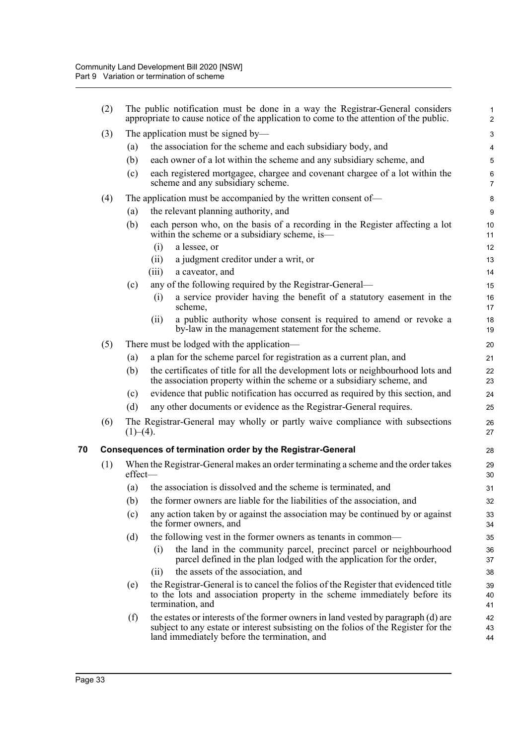|    | (2) |          | The public notification must be done in a way the Registrar-General considers<br>appropriate to cause notice of the application to come to the attention of the public.                                                 | $\mathbf{1}$<br>$\overline{2}$ |
|----|-----|----------|-------------------------------------------------------------------------------------------------------------------------------------------------------------------------------------------------------------------------|--------------------------------|
|    | (3) |          | The application must be signed by—                                                                                                                                                                                      | 3                              |
|    |     | (a)      | the association for the scheme and each subsidiary body, and                                                                                                                                                            | 4                              |
|    |     | (b)      | each owner of a lot within the scheme and any subsidiary scheme, and                                                                                                                                                    | 5                              |
|    |     | (c)      | each registered mortgagee, chargee and covenant chargee of a lot within the<br>scheme and any subsidiary scheme.                                                                                                        | $\,6\,$<br>$\overline{7}$      |
|    | (4) |          | The application must be accompanied by the written consent of—                                                                                                                                                          | 8                              |
|    |     | (a)      | the relevant planning authority, and                                                                                                                                                                                    | $\boldsymbol{9}$               |
|    |     | (b)      | each person who, on the basis of a recording in the Register affecting a lot<br>within the scheme or a subsidiary scheme, is—                                                                                           | 10<br>11                       |
|    |     |          | a lessee, or<br>(i)                                                                                                                                                                                                     | 12                             |
|    |     |          | a judgment creditor under a writ, or<br>(ii)                                                                                                                                                                            | 13                             |
|    |     |          | a caveator, and<br>(iii)                                                                                                                                                                                                | 14                             |
|    |     | (c)      | any of the following required by the Registrar-General—                                                                                                                                                                 | 15                             |
|    |     |          | a service provider having the benefit of a statutory easement in the<br>(i)<br>scheme,                                                                                                                                  | 16<br>17                       |
|    |     |          | a public authority whose consent is required to amend or revoke a<br>(i)<br>by-law in the management statement for the scheme.                                                                                          | 18<br>19                       |
|    | (5) |          | There must be lodged with the application—                                                                                                                                                                              | 20                             |
|    |     | (a)      | a plan for the scheme parcel for registration as a current plan, and                                                                                                                                                    | 21                             |
|    |     | (b)      | the certificates of title for all the development lots or neighbourhood lots and<br>the association property within the scheme or a subsidiary scheme, and                                                              | 22<br>23                       |
|    |     | (c)      | evidence that public notification has occurred as required by this section, and                                                                                                                                         | 24                             |
|    |     | (d)      | any other documents or evidence as the Registrar-General requires.                                                                                                                                                      | 25                             |
|    | (6) | (1)–(4). | The Registrar-General may wholly or partly waive compliance with subsections                                                                                                                                            | 26<br>27                       |
| 70 |     |          | Consequences of termination order by the Registrar-General                                                                                                                                                              | 28                             |
|    | (1) | effect-  | When the Registrar-General makes an order terminating a scheme and the order takes                                                                                                                                      | 29<br>30                       |
|    |     | (a)      | the association is dissolved and the scheme is terminated, and                                                                                                                                                          | 31                             |
|    |     |          | (b) the former owners are liable for the liabilities of the association, and                                                                                                                                            | 32                             |
|    |     | (c)      | any action taken by or against the association may be continued by or against<br>the former owners, and                                                                                                                 | 33<br>34                       |
|    |     | (d)      | the following vest in the former owners as tenants in common—                                                                                                                                                           | 35                             |
|    |     |          | the land in the community parcel, precinct parcel or neighbourhood<br>(i)<br>parcel defined in the plan lodged with the application for the order,                                                                      | 36<br>37                       |
|    |     |          | the assets of the association, and<br>(i)                                                                                                                                                                               | 38                             |
|    |     | (e)      | the Registrar-General is to cancel the folios of the Register that evidenced title<br>to the lots and association property in the scheme immediately before its<br>termination, and                                     | 39<br>40<br>41                 |
|    |     | (f)      | the estates or interests of the former owners in land vested by paragraph (d) are<br>subject to any estate or interest subsisting on the folios of the Register for the<br>land immediately before the termination, and | 42<br>43<br>44                 |
|    |     |          |                                                                                                                                                                                                                         |                                |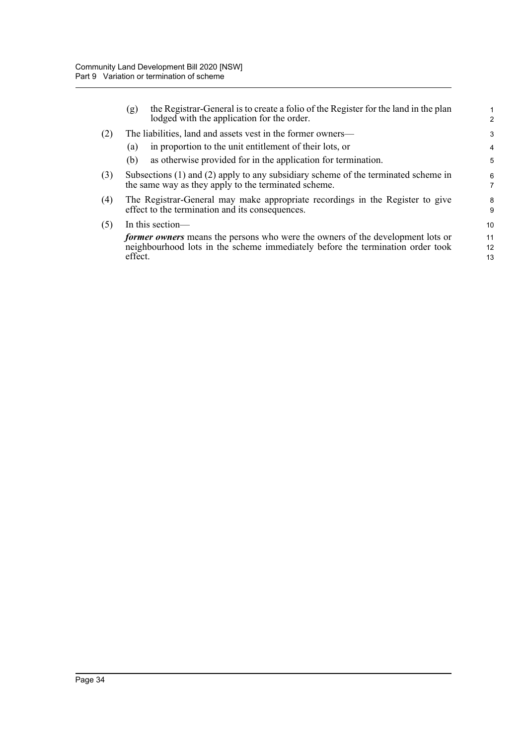|     | (g)     | the Registrar-General is to create a folio of the Register for the land in the plan<br>lodged with the application for the order.                                       | 2              |
|-----|---------|-------------------------------------------------------------------------------------------------------------------------------------------------------------------------|----------------|
| (2) |         | The liabilities, land and assets vest in the former owners—                                                                                                             | 3              |
|     | (a)     | in proportion to the unit entitlement of their lots, or                                                                                                                 | 4              |
|     | (b)     | as otherwise provided for in the application for termination.                                                                                                           | 5              |
| (3) |         | Subsections $(1)$ and $(2)$ apply to any subsidiary scheme of the terminated scheme in<br>the same way as they apply to the terminated scheme.                          | 6<br>7         |
| (4) |         | The Registrar-General may make appropriate recordings in the Register to give<br>effect to the termination and its consequences.                                        | 8<br>9         |
| (5) |         | In this section—                                                                                                                                                        | 10             |
|     | effect. | <i>former owners</i> means the persons who were the owners of the development lots or<br>neighbourhood lots in the scheme immediately before the termination order took | 11<br>12<br>13 |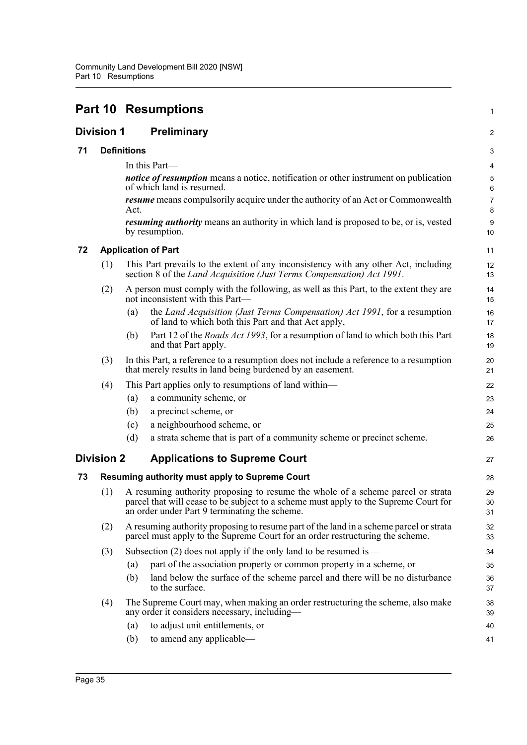|    |                   | <b>Part 10 Resumptions</b>                                                                                                                                                                                               | 1              |
|----|-------------------|--------------------------------------------------------------------------------------------------------------------------------------------------------------------------------------------------------------------------|----------------|
|    | <b>Division 1</b> | <b>Preliminary</b>                                                                                                                                                                                                       | $\overline{a}$ |
| 71 |                   | <b>Definitions</b>                                                                                                                                                                                                       | 3              |
|    |                   | In this Part-                                                                                                                                                                                                            | 4              |
|    |                   | <i>notice of resumption</i> means a notice, notification or other instrument on publication<br>of which land is resumed.                                                                                                 | 5<br>6         |
|    |                   | <i>resume</i> means compulsorily acquire under the authority of an Act or Commonwealth<br>Act.                                                                                                                           | 7<br>8         |
|    |                   | <i>resuming authority</i> means an authority in which land is proposed to be, or is, vested<br>by resumption.                                                                                                            | 9<br>10        |
| 72 |                   | <b>Application of Part</b>                                                                                                                                                                                               | 11             |
|    | (1)               | This Part prevails to the extent of any inconsistency with any other Act, including<br>section 8 of the Land Acquisition (Just Terms Compensation) Act 1991.                                                             | 12<br>13       |
|    | (2)               | A person must comply with the following, as well as this Part, to the extent they are<br>not inconsistent with this Part—                                                                                                | 14<br>15       |
|    |                   | the Land Acquisition (Just Terms Compensation) Act 1991, for a resumption<br>(a)<br>of land to which both this Part and that Act apply,                                                                                  | 16<br>17       |
|    |                   | Part 12 of the <i>Roads Act 1993</i> , for a resumption of land to which both this Part<br>(b)<br>and that Part apply.                                                                                                   | 18<br>19       |
|    | (3)               | In this Part, a reference to a resumption does not include a reference to a resumption<br>that merely results in land being burdened by an easement.                                                                     | 20<br>21       |
|    | (4)               | This Part applies only to resumptions of land within—                                                                                                                                                                    | 22             |
|    |                   | a community scheme, or<br>(a)                                                                                                                                                                                            | 23             |
|    |                   | (b)<br>a precinct scheme, or                                                                                                                                                                                             | 24             |
|    |                   | a neighbourhood scheme, or<br>(c)                                                                                                                                                                                        | 25             |
|    |                   | (d)<br>a strata scheme that is part of a community scheme or precinct scheme.                                                                                                                                            | 26             |
|    | <b>Division 2</b> | <b>Applications to Supreme Court</b>                                                                                                                                                                                     | 27             |
| 73 |                   | Resuming authority must apply to Supreme Court                                                                                                                                                                           | 28             |
|    | (1)               | A resuming authority proposing to resume the whole of a scheme parcel or strata<br>parcel that will cease to be subject to a scheme must apply to the Supreme Court for<br>an order under Part 9 terminating the scheme. | 29<br>30<br>31 |
|    | (2)               | A resuming authority proposing to resume part of the land in a scheme parcel or strata<br>parcel must apply to the Supreme Court for an order restructuring the scheme.                                                  | 32<br>33       |
|    | (3)               | Subsection $(2)$ does not apply if the only land to be resumed is—                                                                                                                                                       | 34             |
|    |                   | part of the association property or common property in a scheme, or<br>(a)                                                                                                                                               | 35             |
|    |                   | land below the surface of the scheme parcel and there will be no disturbance<br>(b)<br>to the surface.                                                                                                                   | 36<br>37       |
|    | (4)               | The Supreme Court may, when making an order restructuring the scheme, also make<br>any order it considers necessary, including-                                                                                          | 38<br>39       |
|    |                   | to adjust unit entitlements, or<br>(a)                                                                                                                                                                                   | 40             |
|    |                   | to amend any applicable-<br>(b)                                                                                                                                                                                          | 41             |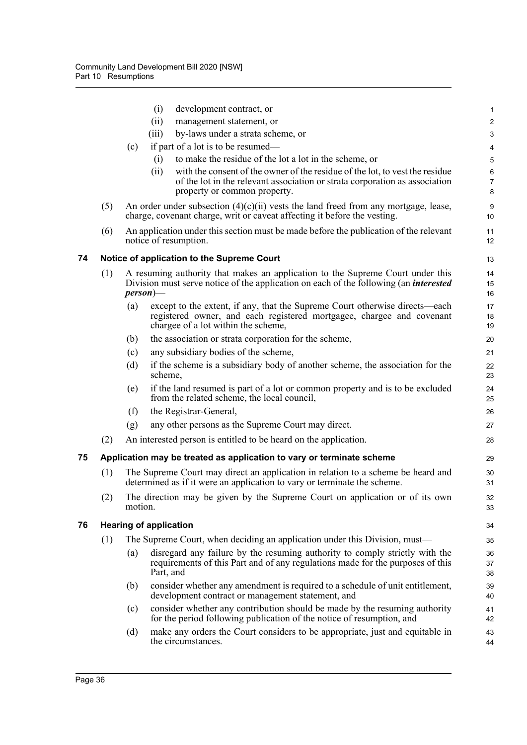|    |     |         | (i)<br>development contract, or                                                                                                                                                                     | 1                       |
|----|-----|---------|-----------------------------------------------------------------------------------------------------------------------------------------------------------------------------------------------------|-------------------------|
|    |     |         | (ii)<br>management statement, or                                                                                                                                                                    | $\overline{\mathbf{c}}$ |
|    |     |         | by-laws under a strata scheme, or<br>(iii)                                                                                                                                                          | 3                       |
|    |     | (c)     | if part of a lot is to be resumed—                                                                                                                                                                  | 4                       |
|    |     |         | to make the residue of the lot a lot in the scheme, or<br>(i)                                                                                                                                       | 5                       |
|    |     |         | with the consent of the owner of the residue of the lot, to vest the residue<br>(ii)<br>of the lot in the relevant association or strata corporation as association<br>property or common property. | 6<br>7<br>8             |
|    | (5) |         | An order under subsection $(4)(c)(ii)$ vests the land freed from any mortgage, lease,<br>charge, covenant charge, writ or caveat affecting it before the vesting.                                   | 9<br>10                 |
|    | (6) |         | An application under this section must be made before the publication of the relevant<br>notice of resumption.                                                                                      | 11<br>12                |
| 74 |     |         | Notice of application to the Supreme Court                                                                                                                                                          | 13                      |
|    | (1) |         | A resuming authority that makes an application to the Supreme Court under this<br>Division must serve notice of the application on each of the following (an <i>interested</i><br>$person$ —        | 14<br>15<br>16          |
|    |     | (a)     | except to the extent, if any, that the Supreme Court otherwise directs—each<br>registered owner, and each registered mortgagee, chargee and covenant<br>chargee of a lot within the scheme,         | 17<br>18<br>19          |
|    |     | (b)     | the association or strata corporation for the scheme,                                                                                                                                               | 20                      |
|    |     | (c)     | any subsidiary bodies of the scheme,                                                                                                                                                                | 21                      |
|    |     | (d)     | if the scheme is a subsidiary body of another scheme, the association for the<br>scheme,                                                                                                            | 22<br>23                |
|    |     | (e)     | if the land resumed is part of a lot or common property and is to be excluded<br>from the related scheme, the local council,                                                                        | 24<br>25                |
|    |     | (f)     | the Registrar-General,                                                                                                                                                                              | 26                      |
|    |     | (g)     | any other persons as the Supreme Court may direct.                                                                                                                                                  | 27                      |
|    | (2) |         | An interested person is entitled to be heard on the application.                                                                                                                                    | 28                      |
| 75 |     |         | Application may be treated as application to vary or terminate scheme                                                                                                                               | 29                      |
|    | (1) |         | The Supreme Court may direct an application in relation to a scheme be heard and<br>determined as if it were an application to vary or terminate the scheme.                                        | 30<br>31                |
|    | (2) | motion. | The direction may be given by the Supreme Court on application or of its own                                                                                                                        | 32<br>33                |
| 76 |     |         | <b>Hearing of application</b>                                                                                                                                                                       | 34                      |
|    | (1) |         | The Supreme Court, when deciding an application under this Division, must—                                                                                                                          | 35                      |
|    |     | (a)     | disregard any failure by the resuming authority to comply strictly with the<br>requirements of this Part and of any regulations made for the purposes of this<br>Part, and                          | 36<br>37<br>38          |
|    |     | (b)     | consider whether any amendment is required to a schedule of unit entitlement,<br>development contract or management statement, and                                                                  | 39<br>40                |
|    |     | (c)     | consider whether any contribution should be made by the resuming authority<br>for the period following publication of the notice of resumption, and                                                 | 41<br>42                |
|    |     | (d)     | make any orders the Court considers to be appropriate, just and equitable in<br>the circumstances.                                                                                                  | 43<br>44                |
|    |     |         |                                                                                                                                                                                                     |                         |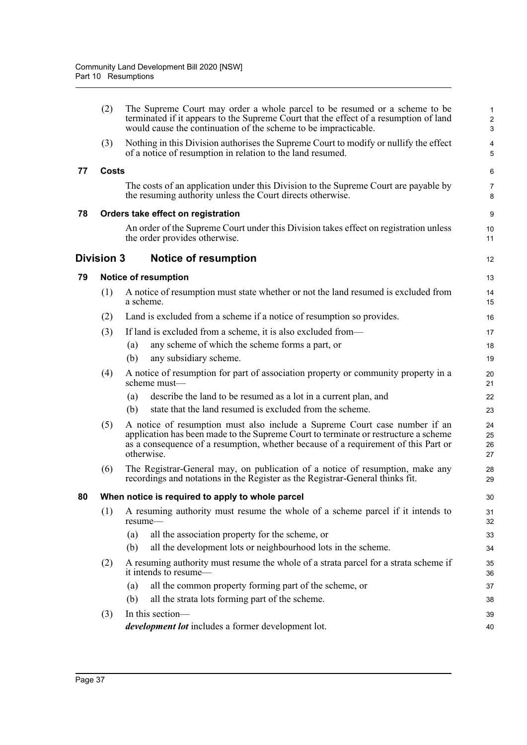|    | (2)               | The Supreme Court may order a whole parcel to be resumed or a scheme to be<br>terminated if it appears to the Supreme Court that the effect of a resumption of land<br>would cause the continuation of the scheme to be impracticable.                                | 1<br>$\overline{\mathbf{c}}$<br>3 |
|----|-------------------|-----------------------------------------------------------------------------------------------------------------------------------------------------------------------------------------------------------------------------------------------------------------------|-----------------------------------|
|    | (3)               | Nothing in this Division authorises the Supreme Court to modify or nullify the effect<br>of a notice of resumption in relation to the land resumed.                                                                                                                   | 4<br>5                            |
| 77 | <b>Costs</b>      |                                                                                                                                                                                                                                                                       | 6                                 |
|    |                   | The costs of an application under this Division to the Supreme Court are payable by<br>the resuming authority unless the Court directs otherwise.                                                                                                                     | 7<br>8                            |
| 78 |                   | Orders take effect on registration                                                                                                                                                                                                                                    | 9                                 |
|    |                   | An order of the Supreme Court under this Division takes effect on registration unless<br>the order provides otherwise.                                                                                                                                                | 10<br>11                          |
|    | <b>Division 3</b> | <b>Notice of resumption</b>                                                                                                                                                                                                                                           | 12                                |
| 79 |                   | <b>Notice of resumption</b>                                                                                                                                                                                                                                           | 13                                |
|    | (1)               | A notice of resumption must state whether or not the land resumed is excluded from<br>a scheme.                                                                                                                                                                       | 14<br>15                          |
|    | (2)               | Land is excluded from a scheme if a notice of resumption so provides.                                                                                                                                                                                                 | 16                                |
|    | (3)               | If land is excluded from a scheme, it is also excluded from—                                                                                                                                                                                                          | 17                                |
|    |                   | any scheme of which the scheme forms a part, or<br>(a)                                                                                                                                                                                                                | 18                                |
|    |                   | (b)<br>any subsidiary scheme.                                                                                                                                                                                                                                         | 19                                |
|    | (4)               | A notice of resumption for part of association property or community property in a<br>scheme must-                                                                                                                                                                    | 20<br>21                          |
|    |                   | describe the land to be resumed as a lot in a current plan, and<br>(a)                                                                                                                                                                                                | 22                                |
|    |                   | state that the land resumed is excluded from the scheme.<br>(b)                                                                                                                                                                                                       | 23                                |
|    | (5)               | A notice of resumption must also include a Supreme Court case number if an<br>application has been made to the Supreme Court to terminate or restructure a scheme<br>as a consequence of a resumption, whether because of a requirement of this Part or<br>otherwise. | 24<br>25<br>26<br>27              |
|    | (6)               | The Registrar-General may, on publication of a notice of resumption, make any<br>recordings and notations in the Register as the Registrar-General thinks fit.                                                                                                        | 28<br>29                          |
| 80 |                   | When notice is required to apply to whole parcel                                                                                                                                                                                                                      | 30                                |
|    | (1)               | A resuming authority must resume the whole of a scheme parcel if it intends to<br>resume-                                                                                                                                                                             | 31<br>32                          |
|    |                   | all the association property for the scheme, or<br>(a)                                                                                                                                                                                                                | 33                                |
|    |                   | all the development lots or neighbourhood lots in the scheme.<br>(b)                                                                                                                                                                                                  | 34                                |
|    | (2)               | A resuming authority must resume the whole of a strata parcel for a strata scheme if<br>it intends to resume—                                                                                                                                                         | 35<br>36                          |
|    |                   | all the common property forming part of the scheme, or<br>(a)                                                                                                                                                                                                         | 37                                |
|    |                   | all the strata lots forming part of the scheme.<br>(b)                                                                                                                                                                                                                | 38                                |
|    | (3)               | In this section-<br>development lot includes a former development lot.                                                                                                                                                                                                | 39<br>40                          |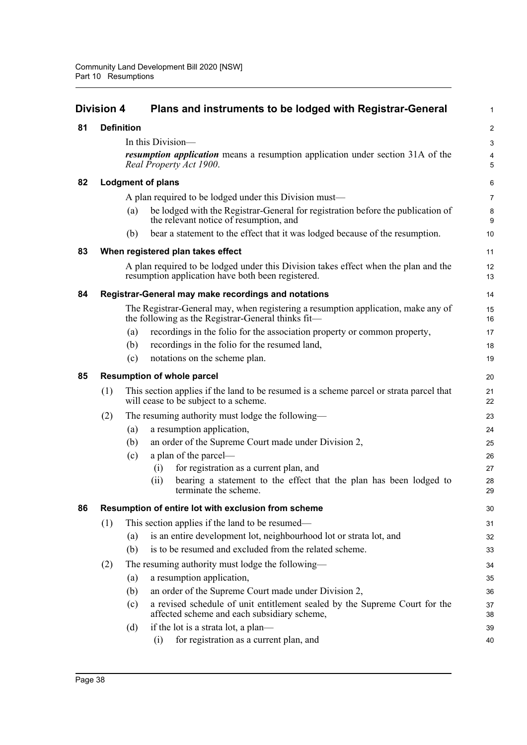|    | <b>Division 4</b> |                   | Plans and instruments to be lodged with Registrar-General                                                                                | 1              |
|----|-------------------|-------------------|------------------------------------------------------------------------------------------------------------------------------------------|----------------|
| 81 |                   | <b>Definition</b> |                                                                                                                                          | $\overline{2}$ |
|    |                   |                   | In this Division—                                                                                                                        | 3              |
|    |                   |                   | <i>resumption application</i> means a resumption application under section 31A of the<br>Real Property Act 1900.                         | 4<br>5         |
| 82 |                   |                   | <b>Lodgment of plans</b>                                                                                                                 | 6              |
|    |                   |                   | A plan required to be lodged under this Division must—                                                                                   | $\overline{7}$ |
|    |                   | (a)               | be lodged with the Registrar-General for registration before the publication of<br>the relevant notice of resumption, and                | 8<br>9         |
|    |                   | (b)               | bear a statement to the effect that it was lodged because of the resumption.                                                             | 10             |
| 83 |                   |                   | When registered plan takes effect                                                                                                        | 11             |
|    |                   |                   | A plan required to be lodged under this Division takes effect when the plan and the<br>resumption application have both been registered. | 12<br>13       |
| 84 |                   |                   | Registrar-General may make recordings and notations                                                                                      | 14             |
|    |                   |                   | The Registrar-General may, when registering a resumption application, make any of<br>the following as the Registrar-General thinks fit-  | 15<br>16       |
|    |                   | (a)               | recordings in the folio for the association property or common property,                                                                 | 17             |
|    |                   | (b)               | recordings in the folio for the resumed land,                                                                                            | 18             |
|    |                   | (c)               | notations on the scheme plan.                                                                                                            | 19             |
| 85 |                   |                   | <b>Resumption of whole parcel</b>                                                                                                        | 20             |
|    | (1)               |                   | This section applies if the land to be resumed is a scheme parcel or strata parcel that<br>will cease to be subject to a scheme.         | 21<br>22       |
|    | (2)               |                   | The resuming authority must lodge the following—                                                                                         | 23             |
|    |                   | (a)               | a resumption application,                                                                                                                | 24             |
|    |                   | (b)               | an order of the Supreme Court made under Division 2,                                                                                     | 25             |
|    |                   | (c)               | a plan of the parcel-                                                                                                                    | 26             |
|    |                   |                   | for registration as a current plan, and<br>(i)                                                                                           | 27             |
|    |                   |                   | bearing a statement to the effect that the plan has been lodged to<br>(ii)<br>terminate the scheme.                                      | 28<br>29       |
| 86 |                   |                   | Resumption of entire lot with exclusion from scheme                                                                                      | 30             |
|    | (1)               |                   | This section applies if the land to be resumed—                                                                                          | 31             |
|    |                   | (a)               | is an entire development lot, neighbourhood lot or strata lot, and                                                                       | 32             |
|    |                   | (b)               | is to be resumed and excluded from the related scheme.                                                                                   | 33             |
|    | (2)               |                   | The resuming authority must lodge the following—                                                                                         | 34             |
|    |                   | (a)               | a resumption application,                                                                                                                | 35             |
|    |                   | (b)               | an order of the Supreme Court made under Division 2,                                                                                     | 36             |
|    |                   | (c)               | a revised schedule of unit entitlement sealed by the Supreme Court for the<br>affected scheme and each subsidiary scheme,                | 37<br>38       |
|    |                   | (d)               | if the lot is a strata lot, a plan—<br>for registration as a current plan, and<br>(i)                                                    | 39<br>40       |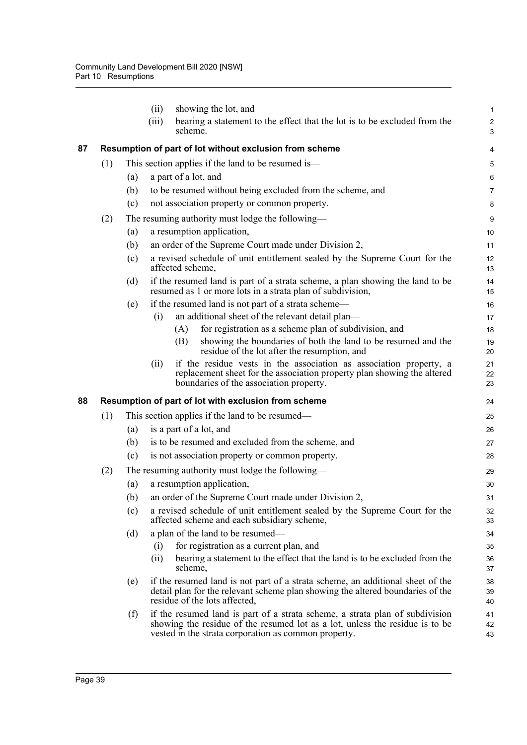|    |     |     | (ii)<br>showing the lot, and                                                                                                                                                                                         | 1                            |
|----|-----|-----|----------------------------------------------------------------------------------------------------------------------------------------------------------------------------------------------------------------------|------------------------------|
|    |     |     | (iii)<br>bearing a statement to the effect that the lot is to be excluded from the<br>scheme.                                                                                                                        | $\overline{\mathbf{c}}$<br>3 |
| 87 |     |     | Resumption of part of lot without exclusion from scheme                                                                                                                                                              | 4                            |
|    | (1) |     | This section applies if the land to be resumed is—                                                                                                                                                                   | 5                            |
|    |     | (a) | a part of a lot, and                                                                                                                                                                                                 | 6                            |
|    |     | (b) | to be resumed without being excluded from the scheme, and                                                                                                                                                            | 7                            |
|    |     | (c) | not association property or common property.                                                                                                                                                                         | 8                            |
|    | (2) |     | The resuming authority must lodge the following—                                                                                                                                                                     | 9                            |
|    |     | (a) | a resumption application,                                                                                                                                                                                            | 10                           |
|    |     | (b) | an order of the Supreme Court made under Division 2,                                                                                                                                                                 | 11                           |
|    |     | (c) | a revised schedule of unit entitlement sealed by the Supreme Court for the<br>affected scheme,                                                                                                                       | 12<br>13                     |
|    |     | (d) | if the resumed land is part of a strata scheme, a plan showing the land to be<br>resumed as 1 or more lots in a strata plan of subdivision,                                                                          | 14<br>15                     |
|    |     | (e) | if the resumed land is not part of a strata scheme-                                                                                                                                                                  | 16                           |
|    |     |     | an additional sheet of the relevant detail plan—<br>(i)                                                                                                                                                              | 17                           |
|    |     |     | for registration as a scheme plan of subdivision, and<br>(A)                                                                                                                                                         | 18                           |
|    |     |     | showing the boundaries of both the land to be resumed and the<br>(B)<br>residue of the lot after the resumption, and                                                                                                 | 19<br>20                     |
|    |     |     | if the residue vests in the association as association property, a<br>(ii)<br>replacement sheet for the association property plan showing the altered<br>boundaries of the association property.                     | 21<br>22<br>23               |
| 88 |     |     | Resumption of part of lot with exclusion from scheme                                                                                                                                                                 | 24                           |
|    | (1) |     | This section applies if the land to be resumed—                                                                                                                                                                      | 25                           |
|    |     | (a) | is a part of a lot, and                                                                                                                                                                                              | 26                           |
|    |     | (b) | is to be resumed and excluded from the scheme, and                                                                                                                                                                   | 27                           |
|    |     | (c) | is not association property or common property.                                                                                                                                                                      | 28                           |
|    | (2) |     | The resuming authority must lodge the following—                                                                                                                                                                     | 29                           |
|    |     | (a) | a resumption application,                                                                                                                                                                                            | 30                           |
|    |     | (b) | an order of the Supreme Court made under Division 2,                                                                                                                                                                 | 31                           |
|    |     | (c) | a revised schedule of unit entitlement sealed by the Supreme Court for the<br>affected scheme and each subsidiary scheme,                                                                                            | 32<br>33                     |
|    |     | (d) | a plan of the land to be resumed-                                                                                                                                                                                    | 34                           |
|    |     |     | for registration as a current plan, and<br>(i)                                                                                                                                                                       | 35                           |
|    |     |     | bearing a statement to the effect that the land is to be excluded from the<br>(ii)<br>scheme,                                                                                                                        | 36<br>37                     |
|    |     | (e) | if the resumed land is not part of a strata scheme, an additional sheet of the<br>detail plan for the relevant scheme plan showing the altered boundaries of the<br>residue of the lots affected,                    | 38<br>39<br>40               |
|    |     | (f) | if the resumed land is part of a strata scheme, a strata plan of subdivision<br>showing the residue of the resumed lot as a lot, unless the residue is to be<br>vested in the strata corporation as common property. | 41<br>42<br>43               |
|    |     |     |                                                                                                                                                                                                                      |                              |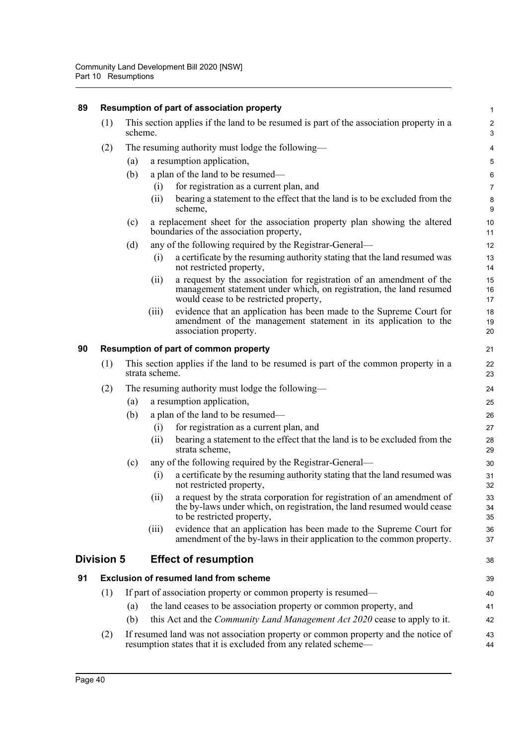| 89 | Resumption of part of association property |                                                                                                      |       |                                                                                                                                                                                       |                              |  |  |
|----|--------------------------------------------|------------------------------------------------------------------------------------------------------|-------|---------------------------------------------------------------------------------------------------------------------------------------------------------------------------------------|------------------------------|--|--|
|    | (1)                                        | scheme.                                                                                              |       | This section applies if the land to be resumed is part of the association property in a                                                                                               | $\overline{2}$<br>$\sqrt{3}$ |  |  |
|    | (2)                                        |                                                                                                      |       | The resuming authority must lodge the following—                                                                                                                                      | $\overline{4}$               |  |  |
|    |                                            | (a)                                                                                                  |       | a resumption application,                                                                                                                                                             | 5                            |  |  |
|    |                                            | (b)                                                                                                  |       | a plan of the land to be resumed—                                                                                                                                                     | $\,6\,$                      |  |  |
|    |                                            |                                                                                                      | (i)   | for registration as a current plan, and                                                                                                                                               | $\overline{7}$               |  |  |
|    |                                            |                                                                                                      | (i)   | bearing a statement to the effect that the land is to be excluded from the<br>scheme,                                                                                                 | $\bf 8$<br>9                 |  |  |
|    |                                            | (c)                                                                                                  |       | a replacement sheet for the association property plan showing the altered<br>boundaries of the association property,                                                                  | 10<br>11                     |  |  |
|    |                                            | (d)                                                                                                  |       | any of the following required by the Registrar-General—                                                                                                                               | 12                           |  |  |
|    |                                            |                                                                                                      | (i)   | a certificate by the resuming authority stating that the land resumed was<br>not restricted property,                                                                                 | 13<br>14                     |  |  |
|    |                                            |                                                                                                      | (ii)  | a request by the association for registration of an amendment of the<br>management statement under which, on registration, the land resumed<br>would cease to be restricted property, | 15<br>16<br>17               |  |  |
|    |                                            |                                                                                                      | (iii) | evidence that an application has been made to the Supreme Court for<br>amendment of the management statement in its application to the<br>association property.                       | 18<br>19<br>20               |  |  |
| 90 | Resumption of part of common property      |                                                                                                      |       |                                                                                                                                                                                       |                              |  |  |
|    | (1)                                        | This section applies if the land to be resumed is part of the common property in a<br>strata scheme. |       |                                                                                                                                                                                       |                              |  |  |
|    | (2)                                        |                                                                                                      |       | The resuming authority must lodge the following—                                                                                                                                      | 24                           |  |  |
|    |                                            | (a)                                                                                                  |       | a resumption application,                                                                                                                                                             | 25                           |  |  |
|    |                                            | (b)                                                                                                  |       | a plan of the land to be resumed—                                                                                                                                                     | 26                           |  |  |
|    |                                            |                                                                                                      | (i)   | for registration as a current plan, and                                                                                                                                               | 27                           |  |  |
|    |                                            |                                                                                                      | (ii)  | bearing a statement to the effect that the land is to be excluded from the<br>strata scheme,                                                                                          | 28<br>29                     |  |  |
|    |                                            | (c)                                                                                                  |       | any of the following required by the Registrar-General—                                                                                                                               | 30                           |  |  |
|    |                                            |                                                                                                      | (i)   | a certificate by the resuming authority stating that the land resumed was<br>not restricted property,                                                                                 | 31<br>32                     |  |  |
|    |                                            |                                                                                                      | (ii)  | a request by the strata corporation for registration of an amendment of<br>the by-laws under which, on registration, the land resumed would cease<br>to be restricted property,       | 33<br>34<br>35               |  |  |
|    |                                            |                                                                                                      | (iii) | evidence that an application has been made to the Supreme Court for<br>amendment of the by-laws in their application to the common property.                                          | 36<br>37                     |  |  |
|    | <b>Division 5</b>                          |                                                                                                      |       | <b>Effect of resumption</b>                                                                                                                                                           | 38                           |  |  |
| 91 |                                            |                                                                                                      |       | <b>Exclusion of resumed land from scheme</b>                                                                                                                                          | 39                           |  |  |
|    | (1)                                        |                                                                                                      |       | If part of association property or common property is resumed—                                                                                                                        | 40                           |  |  |
|    |                                            | (a)                                                                                                  |       | the land ceases to be association property or common property, and                                                                                                                    | 41                           |  |  |
|    |                                            | (b)                                                                                                  |       | this Act and the <i>Community Land Management Act 2020</i> cease to apply to it.                                                                                                      | 42                           |  |  |
|    | (2)                                        |                                                                                                      |       | If resumed land was not association property or common property and the notice of<br>resumption states that it is excluded from any related scheme—                                   | 43<br>44                     |  |  |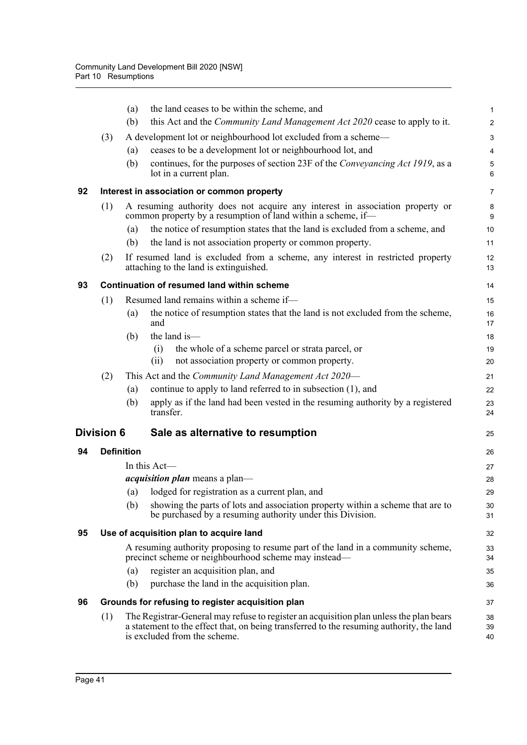|    |                   | the land ceases to be within the scheme, and<br>(a)                                                                                                                                                                | $\mathbf{1}$   |
|----|-------------------|--------------------------------------------------------------------------------------------------------------------------------------------------------------------------------------------------------------------|----------------|
|    |                   | this Act and the Community Land Management Act 2020 cease to apply to it.<br>(b)                                                                                                                                   | $\overline{2}$ |
|    | (3)               | A development lot or neighbourhood lot excluded from a scheme—                                                                                                                                                     | 3              |
|    |                   | ceases to be a development lot or neighbourhood lot, and<br>(a)                                                                                                                                                    | $\overline{4}$ |
|    |                   | continues, for the purposes of section 23F of the Conveyancing Act 1919, as a<br>(b)<br>lot in a current plan.                                                                                                     | 5<br>6         |
| 92 |                   | Interest in association or common property                                                                                                                                                                         | $\overline{7}$ |
|    | (1)               | A resuming authority does not acquire any interest in association property or<br>common property by a resumption of land within a scheme, if—                                                                      | 8<br>9         |
|    |                   | the notice of resumption states that the land is excluded from a scheme, and<br>(a)                                                                                                                                | 10             |
|    |                   | (b)<br>the land is not association property or common property.                                                                                                                                                    | 11             |
|    | (2)               | If resumed land is excluded from a scheme, any interest in restricted property<br>attaching to the land is extinguished.                                                                                           | 12<br>13       |
| 93 |                   | <b>Continuation of resumed land within scheme</b>                                                                                                                                                                  | 14             |
|    | (1)               | Resumed land remains within a scheme if-                                                                                                                                                                           | 15             |
|    |                   | the notice of resumption states that the land is not excluded from the scheme,<br>(a)<br>and                                                                                                                       | 16<br>17       |
|    |                   | the land is-<br>(b)                                                                                                                                                                                                | 18             |
|    |                   | the whole of a scheme parcel or strata parcel, or<br>(i)                                                                                                                                                           | 19             |
|    |                   | not association property or common property.<br>(ii)                                                                                                                                                               | 20             |
|    | (2)               | This Act and the Community Land Management Act 2020—                                                                                                                                                               | 21             |
|    |                   | continue to apply to land referred to in subsection (1), and<br>(a)<br>apply as if the land had been vested in the resuming authority by a registered<br>(b)                                                       | 22<br>23       |
|    |                   | transfer.                                                                                                                                                                                                          | 24             |
|    | <b>Division 6</b> | Sale as alternative to resumption                                                                                                                                                                                  | 25             |
| 94 |                   | <b>Definition</b>                                                                                                                                                                                                  | 26             |
|    |                   | In this Act-                                                                                                                                                                                                       | 27             |
|    |                   | <i>acquisition plan</i> means a plan-                                                                                                                                                                              | 28             |
|    |                   | lodged for registration as a current plan, and<br>(a)                                                                                                                                                              | 29             |
|    |                   | showing the parts of lots and association property within a scheme that are to<br>(b)<br>be purchased by a resuming authority under this Division.                                                                 | 30<br>31       |
| 95 |                   | Use of acquisition plan to acquire land                                                                                                                                                                            | 32             |
|    |                   | A resuming authority proposing to resume part of the land in a community scheme,<br>precinct scheme or neighbourhood scheme may instead—                                                                           | 33<br>34       |
|    |                   | register an acquisition plan, and<br>(a)                                                                                                                                                                           | 35             |
|    |                   | purchase the land in the acquisition plan.<br>(b)                                                                                                                                                                  | 36             |
| 96 |                   | Grounds for refusing to register acquisition plan                                                                                                                                                                  | 37             |
|    | (1)               | The Registrar-General may refuse to register an acquisition plan unless the plan bears<br>a statement to the effect that, on being transferred to the resuming authority, the land<br>is excluded from the scheme. | 38<br>39<br>40 |
|    |                   |                                                                                                                                                                                                                    |                |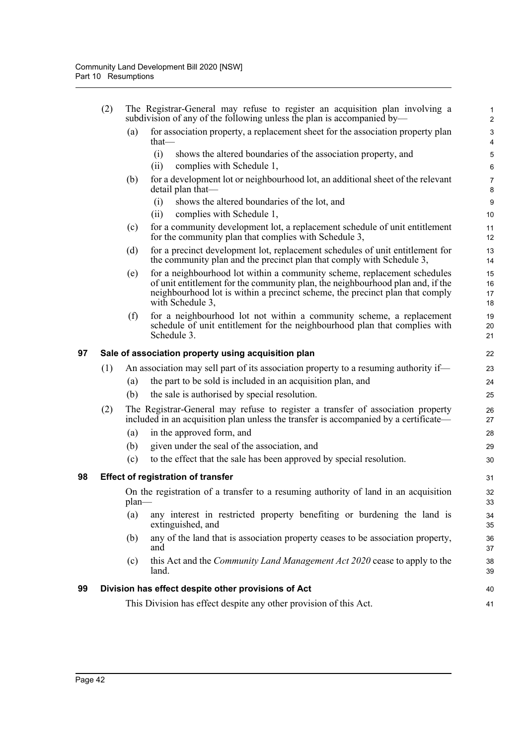|    | (2) |          | The Registrar-General may refuse to register an acquisition plan involving a<br>subdivision of any of the following unless the plan is accompanied by—                  | 1<br>$\overline{2}$                                  |
|----|-----|----------|-------------------------------------------------------------------------------------------------------------------------------------------------------------------------|------------------------------------------------------|
|    |     | (a)      | for association property, a replacement sheet for the association property plan<br>that—                                                                                | $\ensuremath{\mathsf{3}}$<br>$\overline{\mathbf{4}}$ |
|    |     |          | (i)<br>shows the altered boundaries of the association property, and                                                                                                    | 5                                                    |
|    |     |          | (ii)<br>complies with Schedule 1,                                                                                                                                       | $\,6\,$                                              |
|    |     | (b)      | for a development lot or neighbourhood lot, an additional sheet of the relevant                                                                                         | $\overline{7}$                                       |
|    |     |          | detail plan that-                                                                                                                                                       | $\bf 8$                                              |
|    |     |          | shows the altered boundaries of the lot, and<br>(i)                                                                                                                     | $9\,$                                                |
|    |     |          | (ii)<br>complies with Schedule 1,                                                                                                                                       | 10                                                   |
|    |     | (c)      | for a community development lot, a replacement schedule of unit entitlement<br>for the community plan that complies with Schedule 3,                                    | 11<br>12                                             |
|    |     | (d)      | for a precinct development lot, replacement schedules of unit entitlement for<br>the community plan and the precinct plan that comply with Schedule 3,                  | 13<br>14                                             |
|    |     | (e)      | for a neighbourhood lot within a community scheme, replacement schedules                                                                                                | 15                                                   |
|    |     |          | of unit entitlement for the community plan, the neighbourhood plan and, if the<br>neighbourhood lot is within a precinct scheme, the precinct plan that comply          | 16                                                   |
|    |     |          | with Schedule 3,                                                                                                                                                        | 17<br>18                                             |
|    |     | (f)      | for a neighbourhood lot not within a community scheme, a replacement                                                                                                    | 19                                                   |
|    |     |          | schedule of unit entitlement for the neighbourhood plan that complies with<br>Schedule 3.                                                                               | 20<br>21                                             |
| 97 |     |          | Sale of association property using acquisition plan                                                                                                                     | 22                                                   |
|    | (1) |          | An association may sell part of its association property to a resuming authority if—                                                                                    | 23                                                   |
|    |     | (a)      | the part to be sold is included in an acquisition plan, and                                                                                                             | 24                                                   |
|    |     | (b)      | the sale is authorised by special resolution.                                                                                                                           | 25                                                   |
|    | (2) |          | The Registrar-General may refuse to register a transfer of association property<br>included in an acquisition plan unless the transfer is accompanied by a certificate- | 26<br>27                                             |
|    |     | (a)      | in the approved form, and                                                                                                                                               | 28                                                   |
|    |     | (b)      | given under the seal of the association, and                                                                                                                            | 29                                                   |
|    |     | (c)      | to the effect that the sale has been approved by special resolution.                                                                                                    | 30                                                   |
| 98 |     |          | <b>Effect of registration of transfer</b>                                                                                                                               | 31                                                   |
|    |     | $plan$ — | On the registration of a transfer to a resuming authority of land in an acquisition                                                                                     | 32<br>33                                             |
|    |     | (a)      | any interest in restricted property benefiting or burdening the land is<br>extinguished, and                                                                            | 34<br>35                                             |
|    |     | (b)      | any of the land that is association property ceases to be association property,<br>and                                                                                  | 36<br>37                                             |
|    |     | (c)      | this Act and the <i>Community Land Management Act 2020</i> cease to apply to the<br>land.                                                                               | 38<br>39                                             |
| 99 |     |          | Division has effect despite other provisions of Act                                                                                                                     | 40                                                   |
|    |     |          | This Division has effect despite any other provision of this Act.                                                                                                       | 41                                                   |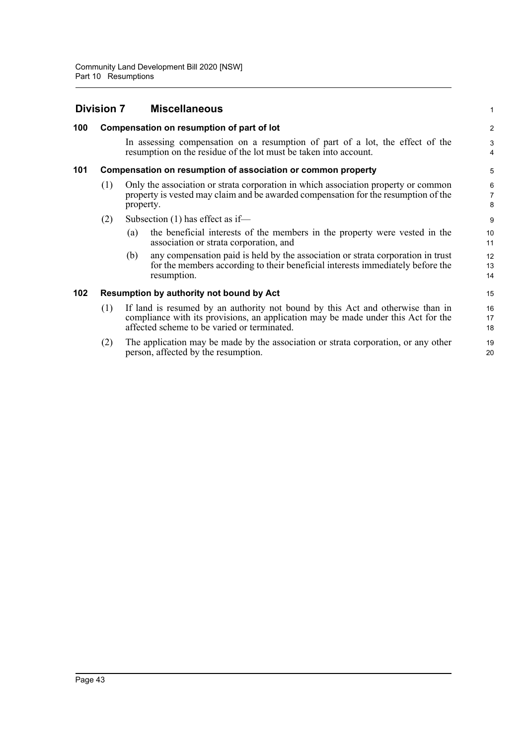|     | <b>Division 7</b> |           | <b>Miscellaneous</b>                                                                                                                                                                                               | 1                        |
|-----|-------------------|-----------|--------------------------------------------------------------------------------------------------------------------------------------------------------------------------------------------------------------------|--------------------------|
| 100 |                   |           | Compensation on resumption of part of lot                                                                                                                                                                          | 2                        |
|     |                   |           | In assessing compensation on a resumption of part of a lot, the effect of the<br>resumption on the residue of the lot must be taken into account.                                                                  | 3<br>$\overline{4}$      |
| 101 |                   |           | Compensation on resumption of association or common property                                                                                                                                                       | 5                        |
|     | (1)               | property. | Only the association or strata corporation in which association property or common<br>property is vested may claim and be awarded compensation for the resumption of the                                           | 6<br>$\overline{7}$<br>8 |
|     | (2)               |           | Subsection $(1)$ has effect as if—                                                                                                                                                                                 | 9                        |
|     |                   | (a)       | the beneficial interests of the members in the property were vested in the<br>association or strata corporation, and                                                                                               | 10<br>11                 |
|     |                   | (b)       | any compensation paid is held by the association or strata corporation in trust<br>for the members according to their beneficial interests immediately before the<br>resumption.                                   | 12<br>13<br>14           |
| 102 |                   |           | Resumption by authority not bound by Act                                                                                                                                                                           | 15                       |
|     | (1)               |           | If land is resumed by an authority not bound by this Act and otherwise than in<br>compliance with its provisions, an application may be made under this Act for the<br>affected scheme to be varied or terminated. | 16<br>17<br>18           |
|     | (2)               |           | The application may be made by the association or strata corporation, or any other<br>person, affected by the resumption.                                                                                          | 19<br>20                 |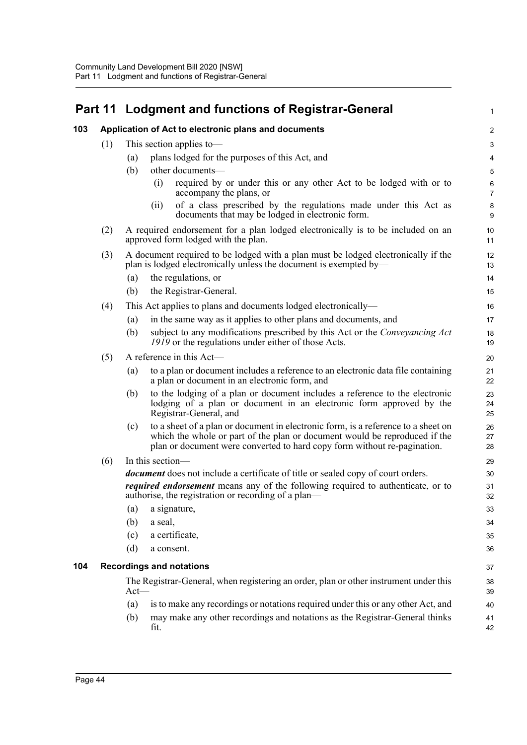|     | Part 11 |                   | <b>Lodgment and functions of Registrar-General</b>                                                                                                                                                                                          | $\mathbf{1}$     |
|-----|---------|-------------------|---------------------------------------------------------------------------------------------------------------------------------------------------------------------------------------------------------------------------------------------|------------------|
| 103 |         |                   | Application of Act to electronic plans and documents                                                                                                                                                                                        | $\overline{c}$   |
|     | (1)     |                   | This section applies to-                                                                                                                                                                                                                    | 3                |
|     |         | $\left( a\right)$ | plans lodged for the purposes of this Act, and                                                                                                                                                                                              | 4                |
|     |         | (b)               | other documents-                                                                                                                                                                                                                            | 5                |
|     |         |                   | required by or under this or any other Act to be lodged with or to<br>(i)                                                                                                                                                                   | 6                |
|     |         |                   | accompany the plans, or                                                                                                                                                                                                                     | $\overline{7}$   |
|     |         |                   | of a class prescribed by the regulations made under this Act as<br>(ii)<br>documents that may be lodged in electronic form.                                                                                                                 | $\bf 8$<br>$9\,$ |
|     | (2)     |                   | A required endorsement for a plan lodged electronically is to be included on an<br>approved form lodged with the plan.                                                                                                                      | 10<br>11         |
|     | (3)     |                   | A document required to be lodged with a plan must be lodged electronically if the<br>plan is lodged electronically unless the document is exempted by—                                                                                      | 12<br>13         |
|     |         | (a)               | the regulations, or                                                                                                                                                                                                                         | 14               |
|     |         | (b)               | the Registrar-General.                                                                                                                                                                                                                      | 15               |
|     | (4)     |                   | This Act applies to plans and documents lodged electronically—                                                                                                                                                                              | 16               |
|     |         | (a)               | in the same way as it applies to other plans and documents, and                                                                                                                                                                             | 17               |
|     |         | (b)               | subject to any modifications prescribed by this Act or the Conveyancing Act<br>1919 or the regulations under either of those Acts.                                                                                                          | 18<br>19         |
|     | (5)     |                   | A reference in this Act-                                                                                                                                                                                                                    | 20               |
|     |         | (a)               | to a plan or document includes a reference to an electronic data file containing<br>a plan or document in an electronic form, and                                                                                                           | 21<br>22         |
|     |         | (b)               | to the lodging of a plan or document includes a reference to the electronic<br>lodging of a plan or document in an electronic form approved by the<br>Registrar-General, and                                                                | 23<br>24<br>25   |
|     |         | (c)               | to a sheet of a plan or document in electronic form, is a reference to a sheet on<br>which the whole or part of the plan or document would be reproduced if the<br>plan or document were converted to hard copy form without re-pagination. | 26<br>27<br>28   |
|     | (6)     |                   | In this section-                                                                                                                                                                                                                            | 29               |
|     |         |                   | <i>document</i> does not include a certificate of title or sealed copy of court orders.                                                                                                                                                     | 30               |
|     |         |                   | <i>required endorsement</i> means any of the following required to authenticate, or to<br>authorise, the registration or recording of a plan—                                                                                               | 31<br>32         |
|     |         | (a)               | a signature,                                                                                                                                                                                                                                | 33               |
|     |         | (b)               | a seal,                                                                                                                                                                                                                                     | 34               |
|     |         | (c)               | a certificate,                                                                                                                                                                                                                              | 35               |
|     |         | (d)               | a consent.                                                                                                                                                                                                                                  | 36               |
| 104 |         |                   | <b>Recordings and notations</b>                                                                                                                                                                                                             | 37               |
|     |         | $Act$ —           | The Registrar-General, when registering an order, plan or other instrument under this                                                                                                                                                       | 38<br>39         |
|     |         | (a)               | is to make any recordings or notations required under this or any other Act, and                                                                                                                                                            | 40               |
|     |         | (b)               | may make any other recordings and notations as the Registrar-General thinks<br>fit.                                                                                                                                                         | 41<br>42         |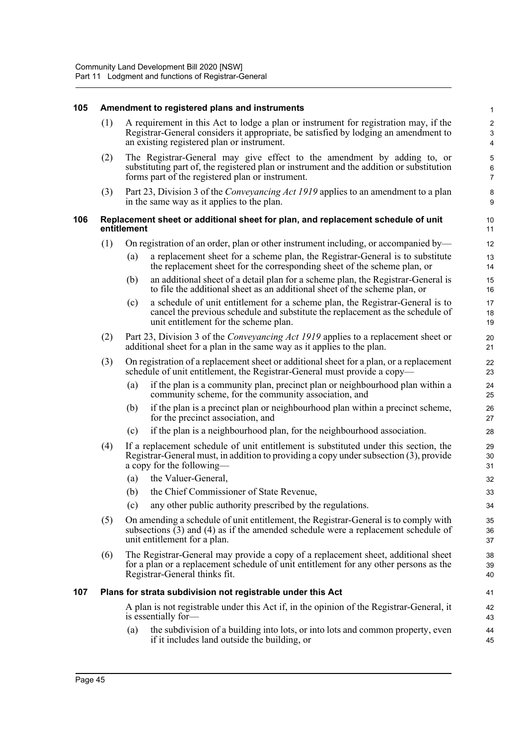### **105 Amendment to registered plans and instruments**

(1) A requirement in this Act to lodge a plan or instrument for registration may, if the Registrar-General considers it appropriate, be satisfied by lodging an amendment to an existing registered plan or instrument.

41 42 43

- (2) The Registrar-General may give effect to the amendment by adding to, or substituting part of, the registered plan or instrument and the addition or substitution forms part of the registered plan or instrument.
- (3) Part 23, Division 3 of the *Conveyancing Act 1919* applies to an amendment to a plan in the same way as it applies to the plan.

#### **106 Replacement sheet or additional sheet for plan, and replacement schedule of unit entitlement**

- (1) On registration of an order, plan or other instrument including, or accompanied by—
	- (a) a replacement sheet for a scheme plan, the Registrar-General is to substitute the replacement sheet for the corresponding sheet of the scheme plan, or
	- (b) an additional sheet of a detail plan for a scheme plan, the Registrar-General is to file the additional sheet as an additional sheet of the scheme plan, or
	- (c) a schedule of unit entitlement for a scheme plan, the Registrar-General is to cancel the previous schedule and substitute the replacement as the schedule of unit entitlement for the scheme plan.
- (2) Part 23, Division 3 of the *Conveyancing Act 1919* applies to a replacement sheet or additional sheet for a plan in the same way as it applies to the plan.
- (3) On registration of a replacement sheet or additional sheet for a plan, or a replacement schedule of unit entitlement, the Registrar-General must provide a copy—
	- (a) if the plan is a community plan, precinct plan or neighbourhood plan within a community scheme, for the community association, and
	- (b) if the plan is a precinct plan or neighbourhood plan within a precinct scheme, for the precinct association, and
	- (c) if the plan is a neighbourhood plan, for the neighbourhood association.
- (4) If a replacement schedule of unit entitlement is substituted under this section, the Registrar-General must, in addition to providing a copy under subsection (3), provide a copy for the following—
	- (a) the Valuer-General,
	- (b) the Chief Commissioner of State Revenue,
	- (c) any other public authority prescribed by the regulations.
- (5) On amending a schedule of unit entitlement, the Registrar-General is to comply with subsections (3) and (4) as if the amended schedule were a replacement schedule of unit entitlement for a plan.
- (6) The Registrar-General may provide a copy of a replacement sheet, additional sheet for a plan or a replacement schedule of unit entitlement for any other persons as the Registrar-General thinks fit.

#### **107 Plans for strata subdivision not registrable under this Act**

A plan is not registrable under this Act if, in the opinion of the Registrar-General, it is essentially for-

(a) the subdivision of a building into lots, or into lots and common property, even if it includes land outside the building, or 44 45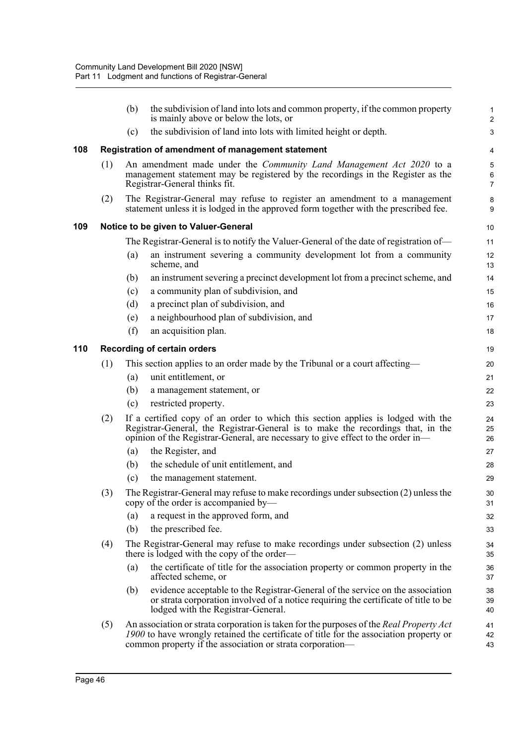|     |     | (b) | the subdivision of land into lots and common property, if the common property<br>is mainly above or below the lots, or                                                                                                                                 | 1<br>$\overline{a}$ |
|-----|-----|-----|--------------------------------------------------------------------------------------------------------------------------------------------------------------------------------------------------------------------------------------------------------|---------------------|
|     |     | (c) | the subdivision of land into lots with limited height or depth.                                                                                                                                                                                        | 3                   |
| 108 |     |     | Registration of amendment of management statement                                                                                                                                                                                                      | 4                   |
|     | (1) |     | An amendment made under the <i>Community Land Management Act 2020</i> to a<br>management statement may be registered by the recordings in the Register as the<br>Registrar-General thinks fit.                                                         | 5<br>6<br>7         |
|     | (2) |     | The Registrar-General may refuse to register an amendment to a management<br>statement unless it is lodged in the approved form together with the prescribed fee.                                                                                      | 8<br>9              |
| 109 |     |     | Notice to be given to Valuer-General                                                                                                                                                                                                                   | 10                  |
|     |     |     | The Registrar-General is to notify the Valuer-General of the date of registration of-                                                                                                                                                                  | 11                  |
|     |     | (a) | an instrument severing a community development lot from a community<br>scheme, and                                                                                                                                                                     | 12<br>13            |
|     |     | (b) | an instrument severing a precinct development lot from a precinct scheme, and                                                                                                                                                                          | 14                  |
|     |     | (c) | a community plan of subdivision, and                                                                                                                                                                                                                   | 15                  |
|     |     | (d) | a precinct plan of subdivision, and                                                                                                                                                                                                                    | 16                  |
|     |     | (e) | a neighbourhood plan of subdivision, and                                                                                                                                                                                                               | 17                  |
|     |     | (f) | an acquisition plan.                                                                                                                                                                                                                                   | 18                  |
| 110 |     |     | <b>Recording of certain orders</b>                                                                                                                                                                                                                     | 19                  |
|     | (1) |     | This section applies to an order made by the Tribunal or a court affecting—                                                                                                                                                                            | 20                  |
|     |     | (a) | unit entitlement, or                                                                                                                                                                                                                                   | 21                  |
|     |     | (b) | a management statement, or                                                                                                                                                                                                                             | 22                  |
|     |     | (c) | restricted property.                                                                                                                                                                                                                                   | 23                  |
|     | (2) |     | If a certified copy of an order to which this section applies is lodged with the<br>Registrar-General, the Registrar-General is to make the recordings that, in the<br>opinion of the Registrar-General, are necessary to give effect to the order in- | 24<br>25<br>26      |
|     |     | (a) | the Register, and                                                                                                                                                                                                                                      | 27                  |
|     |     | (b) | the schedule of unit entitlement, and                                                                                                                                                                                                                  | 28                  |
|     |     | (c) | the management statement.                                                                                                                                                                                                                              | 29                  |
|     | (3) |     | The Registrar-General may refuse to make recordings under subsection (2) unless the<br>copy of the order is accompanied by—                                                                                                                            | 30<br>31            |
|     |     | (a) | a request in the approved form, and                                                                                                                                                                                                                    | 32                  |
|     |     | (b) | the prescribed fee.                                                                                                                                                                                                                                    | 33                  |
|     | (4) |     | The Registrar-General may refuse to make recordings under subsection (2) unless<br>there is lodged with the copy of the order—                                                                                                                         | 34<br>35            |
|     |     | (a) | the certificate of title for the association property or common property in the<br>affected scheme, or                                                                                                                                                 | 36<br>37            |
|     |     | (b) | evidence acceptable to the Registrar-General of the service on the association<br>or strata corporation involved of a notice requiring the certificate of title to be<br>lodged with the Registrar-General.                                            | 38<br>39<br>40      |
|     | (5) |     | An association or strata corporation is taken for the purposes of the Real Property Act<br>1900 to have wrongly retained the certificate of title for the association property or<br>common property if the association or strata corporation—         | 41<br>42<br>43      |
|     |     |     |                                                                                                                                                                                                                                                        |                     |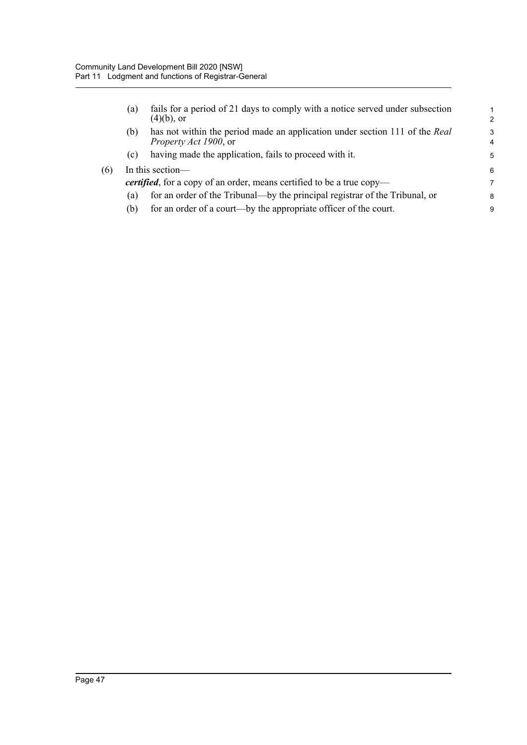$(6)$ 

| (a) | fails for a period of 21 days to comply with a notice served under subsection<br>$(4)(b)$ , or              | 1<br>$\mathcal{P}$ |
|-----|-------------------------------------------------------------------------------------------------------------|--------------------|
| (b) | has not within the period made an application under section 111 of the Real<br><i>Property Act 1900, or</i> | 3<br>4             |
| (c) | having made the application, fails to proceed with it.                                                      | 5                  |
|     | In this section-                                                                                            | 6                  |
|     | <i>certified</i> , for a copy of an order, means certified to be a true copy—                               | 7                  |
| (a) | for an order of the Tribunal—by the principal registrar of the Tribunal, or                                 | 8                  |
| (b) | for an order of a court—by the appropriate officer of the court.                                            | 9                  |
|     |                                                                                                             |                    |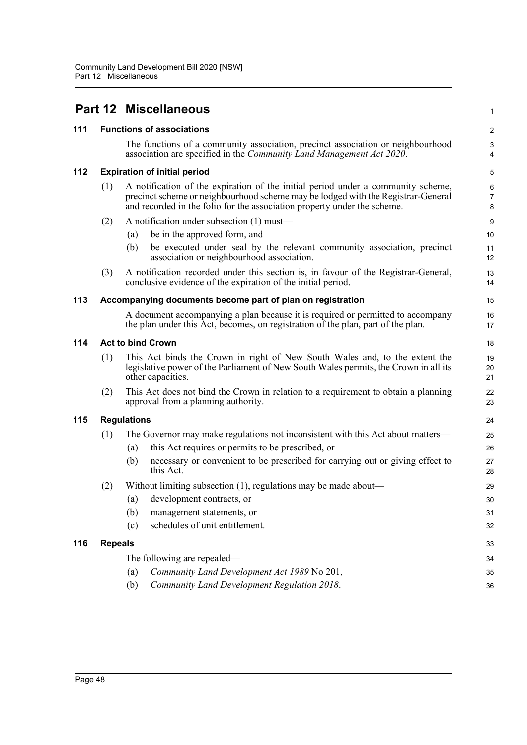|     |                                                            |                                                                                                                                                                                          | <b>Part 12 Miscellaneous</b>                                                                                                                                                                                                                     | 1                       |  |  |
|-----|------------------------------------------------------------|------------------------------------------------------------------------------------------------------------------------------------------------------------------------------------------|--------------------------------------------------------------------------------------------------------------------------------------------------------------------------------------------------------------------------------------------------|-------------------------|--|--|
| 111 |                                                            |                                                                                                                                                                                          | <b>Functions of associations</b>                                                                                                                                                                                                                 | $\overline{\mathbf{c}}$ |  |  |
|     |                                                            |                                                                                                                                                                                          | The functions of a community association, precinct association or neighbourhood<br>association are specified in the Community Land Management Act 2020.                                                                                          | 3<br>4                  |  |  |
| 112 |                                                            |                                                                                                                                                                                          | <b>Expiration of initial period</b>                                                                                                                                                                                                              | 5                       |  |  |
|     | (1)                                                        |                                                                                                                                                                                          | A notification of the expiration of the initial period under a community scheme,<br>precinct scheme or neighbourhood scheme may be lodged with the Registrar-General<br>and recorded in the folio for the association property under the scheme. | 6<br>7<br>8             |  |  |
|     | (2)                                                        |                                                                                                                                                                                          | A notification under subsection (1) must-                                                                                                                                                                                                        | 9                       |  |  |
|     |                                                            | (a)                                                                                                                                                                                      | be in the approved form, and                                                                                                                                                                                                                     | 10                      |  |  |
|     |                                                            | (b)                                                                                                                                                                                      | be executed under seal by the relevant community association, precinct<br>association or neighbourhood association.                                                                                                                              | 11<br>12                |  |  |
|     | (3)                                                        |                                                                                                                                                                                          | A notification recorded under this section is, in favour of the Registrar-General,<br>conclusive evidence of the expiration of the initial period.                                                                                               | 13<br>14                |  |  |
| 113 | Accompanying documents become part of plan on registration |                                                                                                                                                                                          |                                                                                                                                                                                                                                                  |                         |  |  |
|     |                                                            |                                                                                                                                                                                          | A document accompanying a plan because it is required or permitted to accompany<br>the plan under this Act, becomes, on registration of the plan, part of the plan.                                                                              | 16<br>17                |  |  |
| 114 | <b>Act to bind Crown</b>                                   |                                                                                                                                                                                          |                                                                                                                                                                                                                                                  |                         |  |  |
|     | (1)                                                        | This Act binds the Crown in right of New South Wales and, to the extent the<br>legislative power of the Parliament of New South Wales permits, the Crown in all its<br>other capacities. |                                                                                                                                                                                                                                                  |                         |  |  |
|     | (2)                                                        | This Act does not bind the Crown in relation to a requirement to obtain a planning<br>approval from a planning authority.                                                                |                                                                                                                                                                                                                                                  |                         |  |  |
| 115 | <b>Regulations</b>                                         |                                                                                                                                                                                          |                                                                                                                                                                                                                                                  |                         |  |  |
|     | (1)                                                        |                                                                                                                                                                                          | The Governor may make regulations not inconsistent with this Act about matters—                                                                                                                                                                  | 25                      |  |  |
|     |                                                            | (a)                                                                                                                                                                                      | this Act requires or permits to be prescribed, or                                                                                                                                                                                                | 26                      |  |  |
|     |                                                            | (b)                                                                                                                                                                                      | necessary or convenient to be prescribed for carrying out or giving effect to<br>this Act.                                                                                                                                                       | 27<br>28                |  |  |
|     | (2)                                                        |                                                                                                                                                                                          | Without limiting subsection $(1)$ , regulations may be made about—                                                                                                                                                                               | 29                      |  |  |
|     |                                                            | $\left(a\right)$                                                                                                                                                                         | development contracts, or                                                                                                                                                                                                                        | 30                      |  |  |
|     |                                                            | (b)                                                                                                                                                                                      | management statements, or                                                                                                                                                                                                                        | 31                      |  |  |
|     |                                                            | (c)                                                                                                                                                                                      | schedules of unit entitlement.                                                                                                                                                                                                                   | 32                      |  |  |
| 116 | <b>Repeals</b>                                             |                                                                                                                                                                                          |                                                                                                                                                                                                                                                  | 33                      |  |  |
|     |                                                            |                                                                                                                                                                                          | The following are repealed—                                                                                                                                                                                                                      | 34                      |  |  |
|     |                                                            | (a)                                                                                                                                                                                      | Community Land Development Act 1989 No 201,                                                                                                                                                                                                      | 35                      |  |  |
|     |                                                            | (b)                                                                                                                                                                                      | Community Land Development Regulation 2018.                                                                                                                                                                                                      | 36                      |  |  |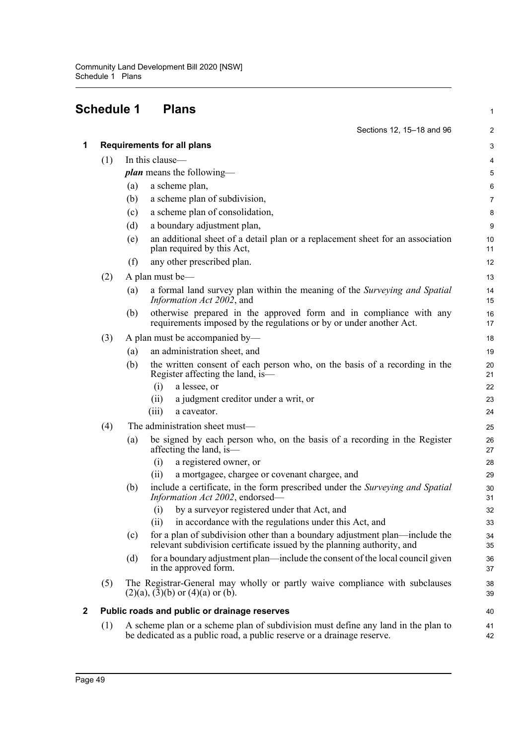# **Schedule 1 Plans**

| 3                                                                                                                                                                                                                                                                                                                                |
|----------------------------------------------------------------------------------------------------------------------------------------------------------------------------------------------------------------------------------------------------------------------------------------------------------------------------------|
| 4                                                                                                                                                                                                                                                                                                                                |
| 5                                                                                                                                                                                                                                                                                                                                |
| 6                                                                                                                                                                                                                                                                                                                                |
| 7                                                                                                                                                                                                                                                                                                                                |
| 8                                                                                                                                                                                                                                                                                                                                |
| 9                                                                                                                                                                                                                                                                                                                                |
| 10<br>11                                                                                                                                                                                                                                                                                                                         |
| 12                                                                                                                                                                                                                                                                                                                               |
| 13                                                                                                                                                                                                                                                                                                                               |
| 14<br>15                                                                                                                                                                                                                                                                                                                         |
| 16<br>17                                                                                                                                                                                                                                                                                                                         |
| 18                                                                                                                                                                                                                                                                                                                               |
| 19                                                                                                                                                                                                                                                                                                                               |
| 20<br>21                                                                                                                                                                                                                                                                                                                         |
| 22                                                                                                                                                                                                                                                                                                                               |
| 23                                                                                                                                                                                                                                                                                                                               |
| 24                                                                                                                                                                                                                                                                                                                               |
| 25                                                                                                                                                                                                                                                                                                                               |
| 26<br>27                                                                                                                                                                                                                                                                                                                         |
| 28                                                                                                                                                                                                                                                                                                                               |
| 29                                                                                                                                                                                                                                                                                                                               |
| 30<br>31                                                                                                                                                                                                                                                                                                                         |
| 32                                                                                                                                                                                                                                                                                                                               |
| 33                                                                                                                                                                                                                                                                                                                               |
| 34<br>35                                                                                                                                                                                                                                                                                                                         |
| 36<br>37                                                                                                                                                                                                                                                                                                                         |
| 38<br>39                                                                                                                                                                                                                                                                                                                         |
| 40                                                                                                                                                                                                                                                                                                                               |
| 41<br>42                                                                                                                                                                                                                                                                                                                         |
| for a plan of subdivision other than a boundary adjustment plan—include the<br>for a boundary adjustment plan—include the consent of the local council given<br>The Registrar-General may wholly or partly waive compliance with subclauses<br>A scheme plan or a scheme plan of subdivision must define any land in the plan to |

1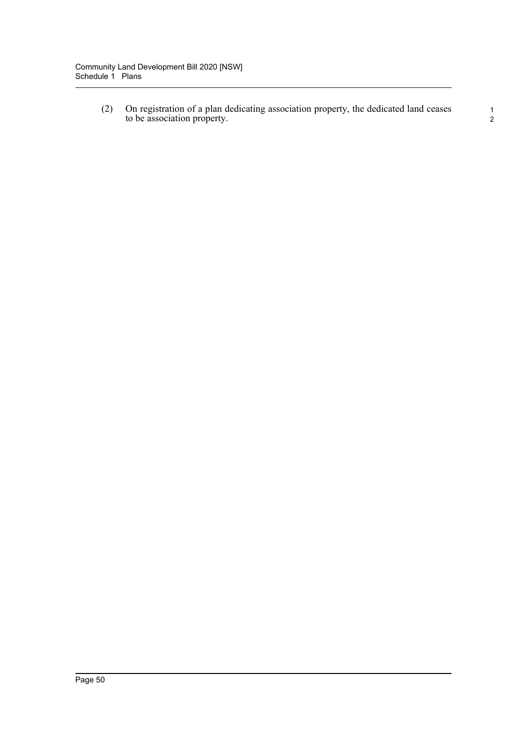(2) On registration of a plan dedicating association property, the dedicated land ceases to be association property.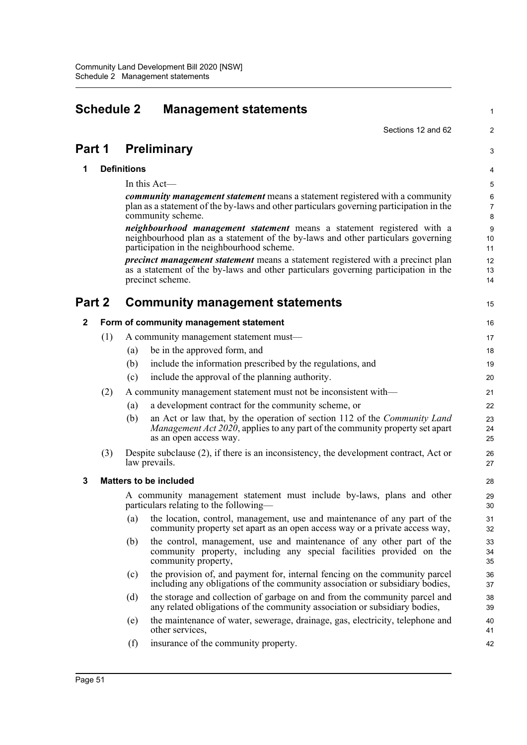| <b>Schedule 2</b><br><b>Management statements</b> |     |                    | $\mathbf 1$                                                                                                                                                                                                     |                          |
|---------------------------------------------------|-----|--------------------|-----------------------------------------------------------------------------------------------------------------------------------------------------------------------------------------------------------------|--------------------------|
|                                                   |     |                    | Sections 12 and 62                                                                                                                                                                                              | $\boldsymbol{2}$         |
| Part 1                                            |     |                    | <b>Preliminary</b>                                                                                                                                                                                              | 3                        |
| 1                                                 |     | <b>Definitions</b> |                                                                                                                                                                                                                 | 4                        |
|                                                   |     |                    | In this Act-                                                                                                                                                                                                    | 5                        |
|                                                   |     |                    | <i>community management statement</i> means a statement registered with a community<br>plan as a statement of the by-laws and other particulars governing participation in the<br>community scheme.             | 6<br>$\overline{7}$<br>8 |
|                                                   |     |                    | <i>neighbourhood management statement</i> means a statement registered with a<br>neighbourhood plan as a statement of the by-laws and other particulars governing<br>participation in the neighbourhood scheme. | 9<br>10<br>11            |
|                                                   |     |                    | <i>precinct management statement</i> means a statement registered with a precinct plan<br>as a statement of the by-laws and other particulars governing participation in the<br>precinct scheme.                | 12<br>13<br>14           |
| Part 2                                            |     |                    | <b>Community management statements</b>                                                                                                                                                                          | 15                       |
| $\mathbf{2}$                                      |     |                    | Form of community management statement                                                                                                                                                                          | 16                       |
|                                                   | (1) |                    | A community management statement must-                                                                                                                                                                          | 17                       |
|                                                   |     | (a)                | be in the approved form, and                                                                                                                                                                                    | 18                       |
|                                                   |     | (b)                | include the information prescribed by the regulations, and                                                                                                                                                      | 19                       |
|                                                   |     | (c)                | include the approval of the planning authority.                                                                                                                                                                 | 20                       |
|                                                   | (2) |                    | A community management statement must not be inconsistent with—                                                                                                                                                 | 21                       |
|                                                   |     | (a)                | a development contract for the community scheme, or                                                                                                                                                             | 22                       |
|                                                   |     | (b)                | an Act or law that, by the operation of section 112 of the Community Land<br><i>Management Act 2020</i> , applies to any part of the community property set apart<br>as an open access way.                     | 23<br>24<br>25           |
|                                                   | (3) |                    | Despite subclause (2), if there is an inconsistency, the development contract, Act or<br>law prevails.                                                                                                          | 26<br>27                 |
| 3                                                 |     |                    | <b>Matters to be included</b>                                                                                                                                                                                   | 28                       |
|                                                   |     |                    | A community management statement must include by-laws, plans and other<br>particulars relating to the following—                                                                                                | 29<br>30                 |
|                                                   |     | (a)                | the location, control, management, use and maintenance of any part of the<br>community property set apart as an open access way or a private access way,                                                        | 31<br>32                 |
|                                                   |     | (b)                | the control, management, use and maintenance of any other part of the<br>community property, including any special facilities provided on the<br>community property,                                            | 33<br>34<br>35           |
|                                                   |     | (c)                | the provision of, and payment for, internal fencing on the community parcel<br>including any obligations of the community association or subsidiary bodies,                                                     | 36<br>37                 |
|                                                   |     | (d)                | the storage and collection of garbage on and from the community parcel and<br>any related obligations of the community association or subsidiary bodies,                                                        | 38<br>39                 |
|                                                   |     | (e)                | the maintenance of water, sewerage, drainage, gas, electricity, telephone and<br>other services,                                                                                                                | 40<br>41                 |
|                                                   |     | (f)                | insurance of the community property.                                                                                                                                                                            | 42                       |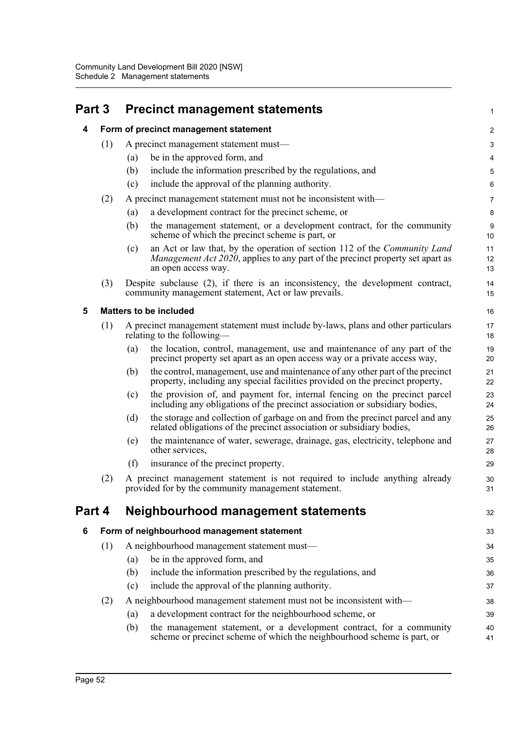| Part 3 |     | <b>Precinct management statements</b>                                                                                                                                                             | $\mathbf 1$            |
|--------|-----|---------------------------------------------------------------------------------------------------------------------------------------------------------------------------------------------------|------------------------|
| 4      |     | Form of precinct management statement                                                                                                                                                             | $\overline{c}$         |
|        | (1) | A precinct management statement must—                                                                                                                                                             | 3                      |
|        |     | be in the approved form, and<br>(a)                                                                                                                                                               | 4                      |
|        |     | (b)<br>include the information prescribed by the regulations, and                                                                                                                                 | $\overline{5}$         |
|        |     | include the approval of the planning authority.<br>(c)                                                                                                                                            | $\,6\,$                |
|        | (2) | A precinct management statement must not be inconsistent with-                                                                                                                                    | $\overline{7}$         |
|        |     | a development contract for the precinct scheme, or<br>(a)                                                                                                                                         | $\bf 8$                |
|        |     | (b)<br>the management statement, or a development contract, for the community<br>scheme of which the precinct scheme is part, or                                                                  | $\boldsymbol{9}$<br>10 |
|        |     | an Act or law that, by the operation of section 112 of the Community Land<br>(c)<br><i>Management Act 2020</i> , applies to any part of the precinct property set apart as<br>an open access way. | 11<br>12<br>13         |
|        | (3) | Despite subclause (2), if there is an inconsistency, the development contract,<br>community management statement, Act or law prevails.                                                            | 14<br>15               |
| 5      |     | <b>Matters to be included</b>                                                                                                                                                                     | 16                     |
|        | (1) | A precinct management statement must include by-laws, plans and other particulars<br>relating to the following—                                                                                   | 17<br>18               |
|        |     | the location, control, management, use and maintenance of any part of the<br>(a)<br>precinct property set apart as an open access way or a private access way,                                    | 19<br>20               |
|        |     | the control, management, use and maintenance of any other part of the precinct<br>(b)<br>property, including any special facilities provided on the precinct property,                            | 21<br>22               |
|        |     | the provision of, and payment for, internal fencing on the precinct parcel<br>(c)<br>including any obligations of the precinct association or subsidiary bodies,                                  | 23<br>24               |
|        |     | the storage and collection of garbage on and from the precinct parcel and any<br>(d)<br>related obligations of the precinct association or subsidiary bodies,                                     | 25<br>26               |
|        |     | the maintenance of water, sewerage, drainage, gas, electricity, telephone and<br>(e)<br>other services,                                                                                           | 27<br>28               |
|        |     | insurance of the precinct property.<br>(f)                                                                                                                                                        | 29                     |
|        | (2) | A precinct management statement is not required to include anything already<br>provided for by the community management statement.                                                                | 30<br>31               |
| Part 4 |     | <b>Neighbourhood management statements</b>                                                                                                                                                        | 32                     |
| 6      |     | Form of neighbourhood management statement                                                                                                                                                        | 33                     |
|        | (1) | A neighbourhood management statement must-                                                                                                                                                        | 34                     |
|        |     | be in the approved form, and<br>(a)                                                                                                                                                               | 35                     |
|        |     | (b)<br>include the information prescribed by the regulations, and                                                                                                                                 | 36                     |
|        |     | include the approval of the planning authority.<br>(c)                                                                                                                                            | 37                     |
|        | (2) | A neighbourhood management statement must not be inconsistent with—                                                                                                                               | 38                     |
|        |     | a development contract for the neighbourhood scheme, or<br>(a)                                                                                                                                    | 39                     |
|        |     | the management statement, or a development contract, for a community<br>(b)<br>scheme or precinct scheme of which the neighbourhood scheme is part, or                                            | 40<br>41               |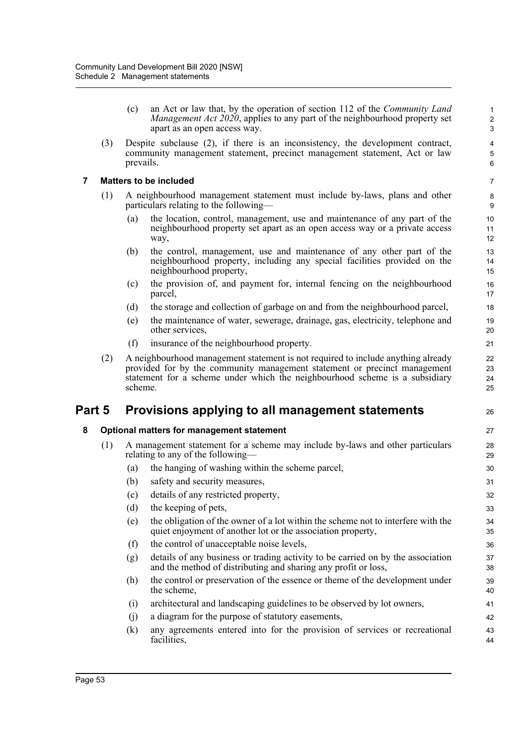(c) an Act or law that, by the operation of section 112 of the *Community Land Management Act 2020*, applies to any part of the neighbourhood property set apart as an open access way.

26

(3) Despite subclause (2), if there is an inconsistency, the development contract, community management statement, precinct management statement, Act or law prevails.

# **7 Matters to be included**

- (1) A neighbourhood management statement must include by-laws, plans and other particulars relating to the following—
	- (a) the location, control, management, use and maintenance of any part of the neighbourhood property set apart as an open access way or a private access way,
	- (b) the control, management, use and maintenance of any other part of the neighbourhood property, including any special facilities provided on the neighbourhood property,
	- (c) the provision of, and payment for, internal fencing on the neighbourhood parcel,
	- (d) the storage and collection of garbage on and from the neighbourhood parcel,
	- (e) the maintenance of water, sewerage, drainage, gas, electricity, telephone and other services,
	- (f) insurance of the neighbourhood property.
- (2) A neighbourhood management statement is not required to include anything already provided for by the community management statement or precinct management statement for a scheme under which the neighbourhood scheme is a subsidiary scheme.

# **Part 5 Provisions applying to all management statements**

# **8 Optional matters for management statement**

- (1) A management statement for a scheme may include by-laws and other particulars relating to any of the following—
	- (a) the hanging of washing within the scheme parcel,
	- (b) safety and security measures,
	- (c) details of any restricted property,
	- (d) the keeping of pets,
	- (e) the obligation of the owner of a lot within the scheme not to interfere with the quiet enjoyment of another lot or the association property,
	- (f) the control of unacceptable noise levels,
	- (g) details of any business or trading activity to be carried on by the association and the method of distributing and sharing any profit or loss,
	- (h) the control or preservation of the essence or theme of the development under the scheme,
	- (i) architectural and landscaping guidelines to be observed by lot owners,
	- (j) a diagram for the purpose of statutory easements,
	- (k) any agreements entered into for the provision of services or recreational facilities, 43 44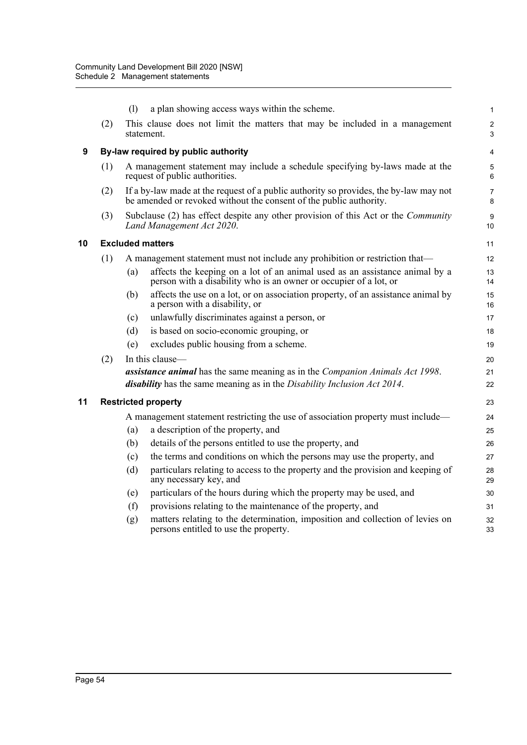|    |     | (1) | a plan showing access ways within the scheme.                                                                                                                           | 1                   |
|----|-----|-----|-------------------------------------------------------------------------------------------------------------------------------------------------------------------------|---------------------|
|    | (2) |     | This clause does not limit the matters that may be included in a management<br>statement.                                                                               | $\overline{c}$<br>3 |
| 9  |     |     | By-law required by public authority                                                                                                                                     | 4                   |
|    | (1) |     | A management statement may include a schedule specifying by-laws made at the<br>request of public authorities.                                                          | 5<br>6              |
|    | (2) |     | If a by-law made at the request of a public authority so provides, the by-law may not<br>be amended or revoked without the consent of the public authority.             | $\overline{7}$<br>8 |
|    | (3) |     | Subclause (2) has effect despite any other provision of this Act or the Community<br>Land Management Act 2020.                                                          | 9<br>10             |
| 10 |     |     | <b>Excluded matters</b>                                                                                                                                                 | 11                  |
|    | (1) |     | A management statement must not include any prohibition or restriction that—                                                                                            | 12                  |
|    |     | (a) | affects the keeping on a lot of an animal used as an assistance animal by a<br>person with a disability who is an owner or occupier of a lot, or                        | 13<br>14            |
|    |     | (b) | affects the use on a lot, or on association property, of an assistance animal by<br>a person with a disability, or                                                      | 15<br>16            |
|    |     | (c) | unlawfully discriminates against a person, or                                                                                                                           | 17                  |
|    |     | (d) | is based on socio-economic grouping, or                                                                                                                                 | 18                  |
|    |     | (e) | excludes public housing from a scheme.                                                                                                                                  | 19                  |
|    | (2) |     | In this clause-                                                                                                                                                         | 20                  |
|    |     |     | assistance animal has the same meaning as in the Companion Animals Act 1998.<br><i>disability</i> has the same meaning as in the <i>Disability Inclusion Act 2014</i> . | 21<br>22            |
| 11 |     |     | <b>Restricted property</b>                                                                                                                                              | 23                  |
|    |     |     | A management statement restricting the use of association property must include—                                                                                        | 24                  |
|    |     | (a) | a description of the property, and                                                                                                                                      | 25                  |
|    |     | (b) | details of the persons entitled to use the property, and                                                                                                                | 26                  |
|    |     | (c) | the terms and conditions on which the persons may use the property, and                                                                                                 | 27                  |
|    |     | (d) | particulars relating to access to the property and the provision and keeping of<br>any necessary key, and                                                               | 28<br>29            |
|    |     | (e) | particulars of the hours during which the property may be used, and                                                                                                     | 30                  |
|    |     | (f) | provisions relating to the maintenance of the property, and                                                                                                             | 31                  |
|    |     | (g) | matters relating to the determination, imposition and collection of levies on<br>persons entitled to use the property.                                                  | 32<br>33            |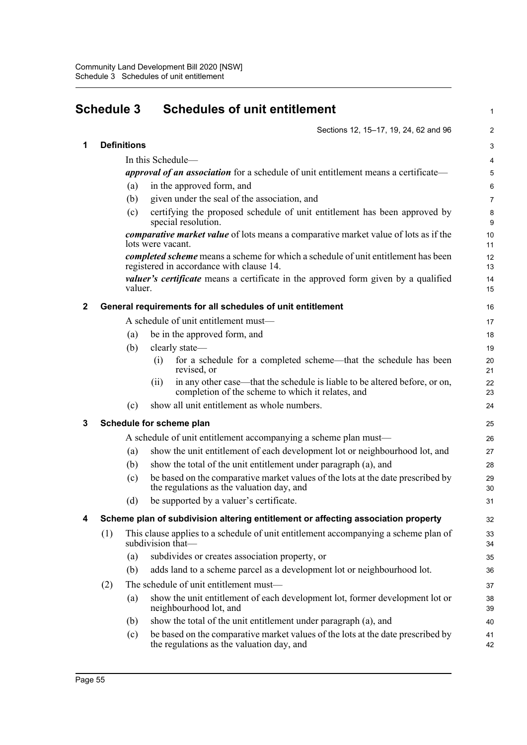| <b>Schedule 3</b> |     |                    | <b>Schedules of unit entitlement</b> |                                                                                                                                 |                |
|-------------------|-----|--------------------|--------------------------------------|---------------------------------------------------------------------------------------------------------------------------------|----------------|
|                   |     |                    |                                      | Sections 12, 15-17, 19, 24, 62 and 96                                                                                           | $\overline{2}$ |
| 1                 |     | <b>Definitions</b> |                                      |                                                                                                                                 | $\mathsf 3$    |
|                   |     |                    |                                      | In this Schedule—                                                                                                               | 4              |
|                   |     |                    |                                      | <i>approval of an association</i> for a schedule of unit entitlement means a certificate—                                       | 5              |
|                   |     | (a)                |                                      | in the approved form, and                                                                                                       | 6              |
|                   |     | (b)                |                                      | given under the seal of the association, and                                                                                    | $\overline{7}$ |
|                   |     | (c)                |                                      | certifying the proposed schedule of unit entitlement has been approved by<br>special resolution.                                | 8<br>9         |
|                   |     |                    | lots were vacant.                    | <i>comparative market value</i> of lots means a comparative market value of lots as if the                                      | 10<br>11       |
|                   |     |                    |                                      | completed scheme means a scheme for which a schedule of unit entitlement has been<br>registered in accordance with clause 14.   | 12<br>13       |
|                   |     | valuer.            |                                      | valuer's certificate means a certificate in the approved form given by a qualified                                              | 14<br>15       |
| 2                 |     |                    |                                      | General requirements for all schedules of unit entitlement                                                                      | 16             |
|                   |     |                    |                                      | A schedule of unit entitlement must-                                                                                            | 17             |
|                   |     | (a)                |                                      | be in the approved form, and                                                                                                    | 18             |
|                   |     | (b)                |                                      | clearly state-                                                                                                                  | 19             |
|                   |     |                    | (i)                                  | for a schedule for a completed scheme—that the schedule has been<br>revised, or                                                 | 20<br>21       |
|                   |     |                    | (11)                                 | in any other case—that the schedule is liable to be altered before, or on,<br>completion of the scheme to which it relates, and | 22<br>23       |
|                   |     | (c)                |                                      | show all unit entitlement as whole numbers.                                                                                     | 24             |
| 3                 |     |                    |                                      | Schedule for scheme plan                                                                                                        | 25             |
|                   |     |                    |                                      | A schedule of unit entitlement accompanying a scheme plan must—                                                                 | 26             |
|                   |     | (a)                |                                      | show the unit entitlement of each development lot or neighbourhood lot, and                                                     | 27             |
|                   |     | (b)                |                                      | show the total of the unit entitlement under paragraph (a), and                                                                 | 28             |
|                   |     | (c)                |                                      | be based on the comparative market values of the lots at the date prescribed by<br>the regulations as the valuation day, and    | 29<br>30       |
|                   |     | (d)                |                                      | be supported by a valuer's certificate.                                                                                         | 31             |
| 4                 |     |                    |                                      | Scheme plan of subdivision altering entitlement or affecting association property                                               | 32             |
|                   | (1) |                    |                                      | This clause applies to a schedule of unit entitlement accompanying a scheme plan of<br>subdivision that-                        | 33<br>34       |
|                   |     | (a)                |                                      | subdivides or creates association property, or                                                                                  | 35             |
|                   |     | (b)                |                                      | adds land to a scheme parcel as a development lot or neighbourhood lot.                                                         | 36             |
|                   | (2) |                    |                                      | The schedule of unit entitlement must-                                                                                          | 37             |
|                   |     | (a)                |                                      | show the unit entitlement of each development lot, former development lot or<br>neighbourhood lot, and                          | 38<br>39       |
|                   |     | (b)                |                                      | show the total of the unit entitlement under paragraph (a), and                                                                 | 40             |
|                   |     | (c)                |                                      | be based on the comparative market values of the lots at the date prescribed by<br>the regulations as the valuation day, and    | 41<br>42       |
|                   |     |                    |                                      |                                                                                                                                 |                |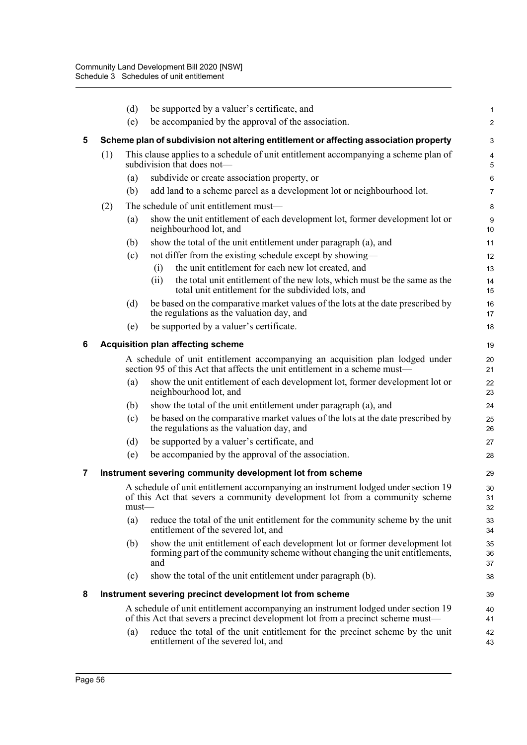|                |                                          | (d)      | be supported by a valuer's certificate, and                                                                                                                          | 1              |  |  |  |  |
|----------------|------------------------------------------|----------|----------------------------------------------------------------------------------------------------------------------------------------------------------------------|----------------|--|--|--|--|
|                |                                          | (e)      | be accompanied by the approval of the association.                                                                                                                   | $\overline{a}$ |  |  |  |  |
| 5              |                                          |          | Scheme plan of subdivision not altering entitlement or affecting association property                                                                                | 3              |  |  |  |  |
|                | (1)                                      |          | This clause applies to a schedule of unit entitlement accompanying a scheme plan of<br>subdivision that does not—                                                    | 4<br>5         |  |  |  |  |
|                |                                          | (a)      | subdivide or create association property, or                                                                                                                         | 6              |  |  |  |  |
|                |                                          | (b)      | add land to a scheme parcel as a development lot or neighbourhood lot.                                                                                               | 7              |  |  |  |  |
|                | (2)                                      |          | The schedule of unit entitlement must—                                                                                                                               | 8              |  |  |  |  |
|                |                                          | (a)      | show the unit entitlement of each development lot, former development lot or<br>neighbourhood lot, and                                                               | 9<br>10        |  |  |  |  |
|                |                                          | (b)      | show the total of the unit entitlement under paragraph (a), and                                                                                                      | 11             |  |  |  |  |
|                |                                          | (c)      | not differ from the existing schedule except by showing—                                                                                                             | 12             |  |  |  |  |
|                |                                          |          | the unit entitlement for each new lot created, and<br>(i)                                                                                                            | 13             |  |  |  |  |
|                |                                          |          | the total unit entitlement of the new lots, which must be the same as the<br>(ii)<br>total unit entitlement for the subdivided lots, and                             | 14<br>15       |  |  |  |  |
|                |                                          | (d)      | be based on the comparative market values of the lots at the date prescribed by<br>the regulations as the valuation day, and                                         | 16<br>17       |  |  |  |  |
|                |                                          | (e)      | be supported by a valuer's certificate.                                                                                                                              | 18             |  |  |  |  |
| 6              | <b>Acquisition plan affecting scheme</b> |          |                                                                                                                                                                      |                |  |  |  |  |
|                |                                          |          | A schedule of unit entitlement accompanying an acquisition plan lodged under<br>section 95 of this Act that affects the unit entitlement in a scheme must—           | 20<br>21       |  |  |  |  |
|                |                                          | (a)      | show the unit entitlement of each development lot, former development lot or<br>neighbourhood lot, and                                                               | 22<br>23       |  |  |  |  |
|                |                                          | (b)      | show the total of the unit entitlement under paragraph (a), and                                                                                                      | 24             |  |  |  |  |
|                |                                          | (c)      | be based on the comparative market values of the lots at the date prescribed by<br>the regulations as the valuation day, and                                         | 25<br>26       |  |  |  |  |
|                |                                          | (d)      | be supported by a valuer's certificate, and                                                                                                                          | 27             |  |  |  |  |
|                |                                          | (e)      | be accompanied by the approval of the association.                                                                                                                   | 28             |  |  |  |  |
| $\overline{7}$ |                                          |          | Instrument severing community development lot from scheme                                                                                                            | 29             |  |  |  |  |
|                |                                          | $must$ — | A schedule of unit entitlement accompanying an instrument lodged under section 19<br>of this Act that severs a community development lot from a community scheme     | 30<br>31<br>32 |  |  |  |  |
|                |                                          | (a)      | reduce the total of the unit entitlement for the community scheme by the unit<br>entitlement of the severed lot, and                                                 | 33<br>34       |  |  |  |  |
|                |                                          | (b)      | show the unit entitlement of each development lot or former development lot<br>forming part of the community scheme without changing the unit entitlements,<br>and   | 35<br>36<br>37 |  |  |  |  |
|                |                                          | (c)      | show the total of the unit entitlement under paragraph (b).                                                                                                          | 38             |  |  |  |  |
| 8              |                                          |          | Instrument severing precinct development lot from scheme                                                                                                             | 39             |  |  |  |  |
|                |                                          |          | A schedule of unit entitlement accompanying an instrument lodged under section 19<br>of this Act that severs a precinct development lot from a precinct scheme must— | 40<br>41       |  |  |  |  |
|                |                                          | (a)      | reduce the total of the unit entitlement for the precinct scheme by the unit<br>entitlement of the severed lot, and                                                  | 42<br>43       |  |  |  |  |
|                |                                          |          |                                                                                                                                                                      |                |  |  |  |  |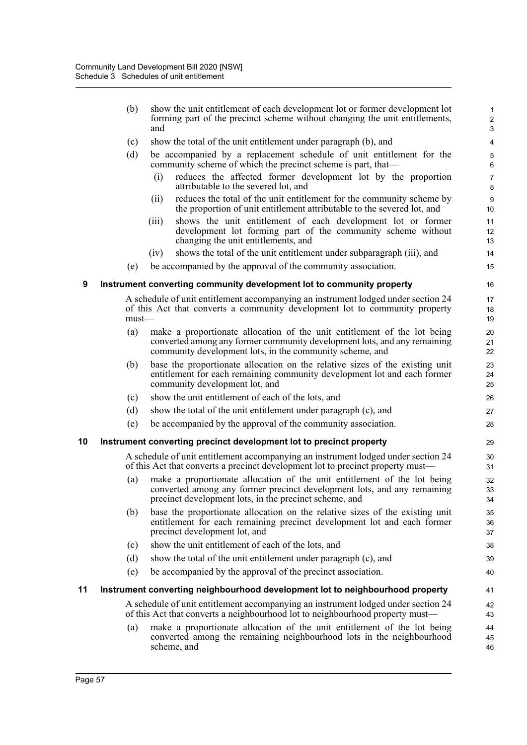|    | (b)      | show the unit entitlement of each development lot or former development lot<br>forming part of the precinct scheme without changing the unit entitlements,<br>and                                                | 1<br>$\overline{2}$<br>$\mathbf{3}$ |
|----|----------|------------------------------------------------------------------------------------------------------------------------------------------------------------------------------------------------------------------|-------------------------------------|
|    | (c)      | show the total of the unit entitlement under paragraph (b), and                                                                                                                                                  | 4                                   |
|    | (d)      | be accompanied by a replacement schedule of unit entitlement for the<br>community scheme of which the precinct scheme is part, that—                                                                             | $\mathbf 5$<br>$\,6\,$              |
|    |          | reduces the affected former development lot by the proportion<br>(i)<br>attributable to the severed lot, and                                                                                                     | $\overline{7}$<br>$\bf 8$           |
|    |          | reduces the total of the unit entitlement for the community scheme by<br>(ii)<br>the proportion of unit entitlement attributable to the severed lot, and                                                         | $\boldsymbol{9}$<br>10              |
|    |          | shows the unit entitlement of each development lot or former<br>(iii)<br>development lot forming part of the community scheme without<br>changing the unit entitlements, and                                     | 11<br>12<br>13                      |
|    |          | shows the total of the unit entitlement under subparagraph (iii), and<br>(iv)                                                                                                                                    | 14                                  |
|    | (e)      | be accompanied by the approval of the community association.                                                                                                                                                     | 15                                  |
| 9  |          | Instrument converting community development lot to community property                                                                                                                                            | 16                                  |
|    | $must$ — | A schedule of unit entitlement accompanying an instrument lodged under section 24<br>of this Act that converts a community development lot to community property                                                 | 17<br>18<br>19                      |
|    | (a)      | make a proportionate allocation of the unit entitlement of the lot being<br>converted among any former community development lots, and any remaining<br>community development lots, in the community scheme, and | 20<br>21<br>22                      |
|    | (b)      | base the proportionate allocation on the relative sizes of the existing unit<br>entitlement for each remaining community development lot and each former<br>community development lot, and                       | 23<br>24<br>25                      |
|    | (c)      | show the unit entitlement of each of the lots, and                                                                                                                                                               | 26                                  |
|    | (d)      | show the total of the unit entitlement under paragraph (c), and                                                                                                                                                  | 27                                  |
|    | (e)      | be accompanied by the approval of the community association.                                                                                                                                                     | 28                                  |
| 10 |          | Instrument converting precinct development lot to precinct property                                                                                                                                              | 29                                  |
|    |          | A schedule of unit entitlement accompanying an instrument lodged under section 24<br>of this Act that converts a precinct development lot to precinct property must—                                             | 30<br>31                            |
|    | (a)      | make a proportionate allocation of the unit entitlement of the lot being<br>converted among any former precinct development lots, and any remaining<br>precinct development lots, in the precinct scheme, and    | 32<br>33<br>34                      |
|    | (b)      | base the proportionate allocation on the relative sizes of the existing unit<br>entitlement for each remaining precinct development lot and each former<br>precinct development lot, and                         | 35<br>36<br>37                      |
|    | (c)      | show the unit entitlement of each of the lots, and                                                                                                                                                               | 38                                  |
|    | (d)      | show the total of the unit entitlement under paragraph (c), and                                                                                                                                                  | 39                                  |
|    | (e)      | be accompanied by the approval of the precinct association.                                                                                                                                                      | 40                                  |
| 11 |          | Instrument converting neighbourhood development lot to neighbourhood property                                                                                                                                    | 41                                  |
|    |          | A schedule of unit entitlement accompanying an instrument lodged under section 24<br>of this Act that converts a neighbourhood lot to neighbourhood property must—                                               | 42<br>43                            |
|    | (a)      | make a proportionate allocation of the unit entitlement of the lot being<br>converted among the remaining neighbourhood lots in the neighbourhood<br>scheme, and                                                 | 44<br>45<br>46                      |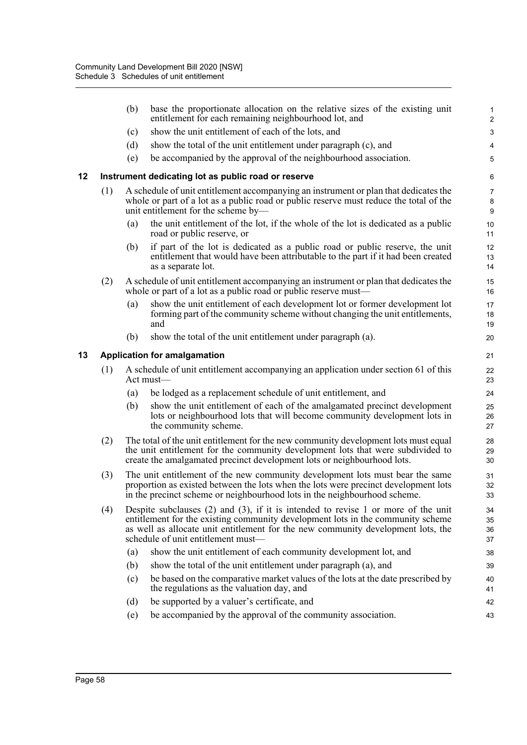|    |     | (b) | base the proportionate allocation on the relative sizes of the existing unit<br>entitlement for each remaining neighbourhood lot, and                                                                                                                                                               | 1<br>$\overline{\mathbf{c}}$ |
|----|-----|-----|-----------------------------------------------------------------------------------------------------------------------------------------------------------------------------------------------------------------------------------------------------------------------------------------------------|------------------------------|
|    |     | (c) | show the unit entitlement of each of the lots, and                                                                                                                                                                                                                                                  | 3                            |
|    |     | (d) | show the total of the unit entitlement under paragraph (c), and                                                                                                                                                                                                                                     | 4                            |
|    |     | (e) | be accompanied by the approval of the neighbourhood association.                                                                                                                                                                                                                                    | 5                            |
| 12 |     |     | Instrument dedicating lot as public road or reserve                                                                                                                                                                                                                                                 | 6                            |
|    | (1) |     | A schedule of unit entitlement accompanying an instrument or plan that dedicates the<br>whole or part of a lot as a public road or public reserve must reduce the total of the<br>unit entitlement for the scheme by-                                                                               | 7<br>8<br>9                  |
|    |     | (a) | the unit entitlement of the lot, if the whole of the lot is dedicated as a public<br>road or public reserve, or                                                                                                                                                                                     | 10<br>11                     |
|    |     | (b) | if part of the lot is dedicated as a public road or public reserve, the unit<br>entitlement that would have been attributable to the part if it had been created<br>as a separate lot.                                                                                                              | 12<br>13<br>14               |
|    | (2) |     | A schedule of unit entitlement accompanying an instrument or plan that dedicates the<br>whole or part of a lot as a public road or public reserve must—                                                                                                                                             | 15<br>16                     |
|    |     | (a) | show the unit entitlement of each development lot or former development lot<br>forming part of the community scheme without changing the unit entitlements,<br>and                                                                                                                                  | 17<br>18<br>19               |
|    |     | (b) | show the total of the unit entitlement under paragraph (a).                                                                                                                                                                                                                                         | 20                           |
| 13 |     |     | <b>Application for amalgamation</b>                                                                                                                                                                                                                                                                 | 21                           |
|    | (1) |     | A schedule of unit entitlement accompanying an application under section 61 of this<br>$Act$ must—                                                                                                                                                                                                  | 22<br>23                     |
|    |     | (a) | be lodged as a replacement schedule of unit entitlement, and                                                                                                                                                                                                                                        | 24                           |
|    |     | (b) | show the unit entitlement of each of the amalgamated precinct development<br>lots or neighbourhood lots that will become community development lots in<br>the community scheme.                                                                                                                     | 25<br>26<br>27               |
|    | (2) |     | The total of the unit entitlement for the new community development lots must equal<br>the unit entitlement for the community development lots that were subdivided to<br>create the amalgamated precinct development lots or neighbourhood lots.                                                   | 28<br>29<br>30               |
|    | (3) |     | The unit entitlement of the new community development lots must bear the same<br>proportion as existed between the lots when the lots were precinct development lots<br>in the precinct scheme or neighbourhood lots in the neighbourhood scheme.                                                   | 31<br>32<br>33               |
|    | (4) |     | Despite subclauses $(2)$ and $(3)$ , if it is intended to revise 1 or more of the unit<br>entitlement for the existing community development lots in the community scheme<br>as well as allocate unit entitlement for the new community development lots, the<br>schedule of unit entitlement must- | 34<br>35<br>36<br>37         |
|    |     | (a) | show the unit entitlement of each community development lot, and                                                                                                                                                                                                                                    | 38                           |
|    |     | (b) | show the total of the unit entitlement under paragraph (a), and                                                                                                                                                                                                                                     | 39                           |
|    |     | (c) | be based on the comparative market values of the lots at the date prescribed by<br>the regulations as the valuation day, and                                                                                                                                                                        | 40<br>41                     |
|    |     | (d) | be supported by a valuer's certificate, and                                                                                                                                                                                                                                                         | 42                           |
|    |     | (e) | be accompanied by the approval of the community association.                                                                                                                                                                                                                                        | 43                           |
|    |     |     |                                                                                                                                                                                                                                                                                                     |                              |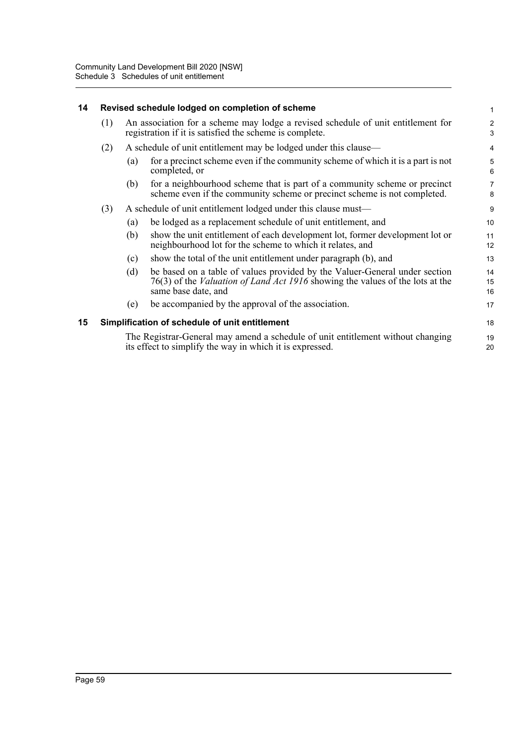# **14 Revised schedule lodged on completion of scheme**

| (1) An association for a scheme may lodge a revised schedule of unit entitlement for |
|--------------------------------------------------------------------------------------|
| registration if it is satisfied the scheme is complete.                              |
|                                                                                      |

17

18 19 20

### (2) A schedule of unit entitlement may be lodged under this clause—

- (a) for a precinct scheme even if the community scheme of which it is a part is not completed, or
- (b) for a neighbourhood scheme that is part of a community scheme or precinct scheme even if the community scheme or precinct scheme is not completed.

# (3) A schedule of unit entitlement lodged under this clause must—

- (a) be lodged as a replacement schedule of unit entitlement, and
- (b) show the unit entitlement of each development lot, former development lot or neighbourhood lot for the scheme to which it relates, and
- (c) show the total of the unit entitlement under paragraph (b), and
- (d) be based on a table of values provided by the Valuer-General under section 76(3) of the *Valuation of Land Act 1916* showing the values of the lots at the same base date, and 14 15 16
- (e) be accompanied by the approval of the association.

# **15 Simplification of schedule of unit entitlement**

The Registrar-General may amend a schedule of unit entitlement without changing its effect to simplify the way in which it is expressed.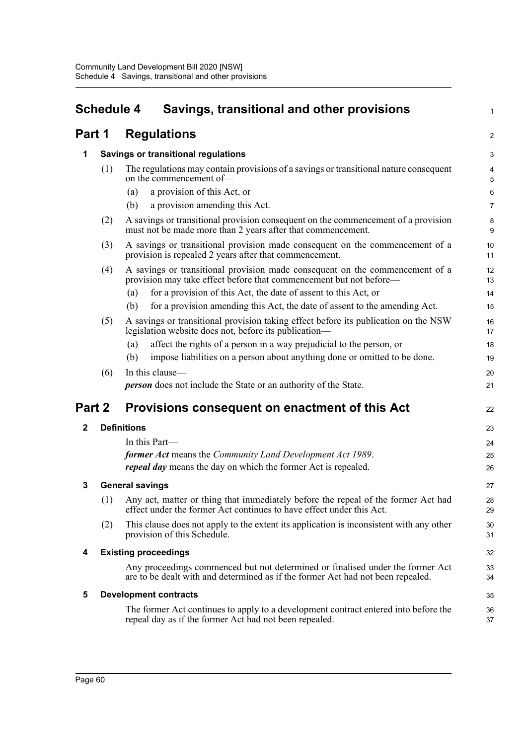| <b>Schedule 4</b> |     | Savings, transitional and other provisions                                                                                                                        | 1              |
|-------------------|-----|-------------------------------------------------------------------------------------------------------------------------------------------------------------------|----------------|
| Part 1            |     | <b>Regulations</b>                                                                                                                                                | $\overline{c}$ |
| 1                 |     | <b>Savings or transitional regulations</b>                                                                                                                        | 3              |
|                   | (1) | The regulations may contain provisions of a savings or transitional nature consequent<br>on the commencement of-                                                  | 4<br>5         |
|                   |     | a provision of this Act, or<br>(a)                                                                                                                                | 6              |
|                   |     | a provision amending this Act.<br>(b)                                                                                                                             | 7              |
|                   | (2) | A savings or transitional provision consequent on the commencement of a provision<br>must not be made more than 2 years after that commencement.                  | 8<br>9         |
|                   | (3) | A savings or transitional provision made consequent on the commencement of a<br>provision is repealed 2 years after that commencement.                            | 10<br>11       |
|                   | (4) | A savings or transitional provision made consequent on the commencement of a<br>provision may take effect before that commencement but not before—                | 12<br>13       |
|                   |     | for a provision of this Act, the date of assent to this Act, or<br>(a)                                                                                            | 14             |
|                   |     | for a provision amending this Act, the date of assent to the amending Act.<br>(b)                                                                                 | 15             |
|                   | (5) | A savings or transitional provision taking effect before its publication on the NSW<br>legislation website does not, before its publication—                      | 16<br>17       |
|                   |     | affect the rights of a person in a way prejudicial to the person, or<br>(a)                                                                                       | 18             |
|                   |     | impose liabilities on a person about anything done or omitted to be done.<br>(b)                                                                                  | 19             |
|                   | (6) | In this clause—                                                                                                                                                   | 20             |
|                   |     | <b>person</b> does not include the State or an authority of the State.                                                                                            | 21             |
| Part 2            |     | Provisions consequent on enactment of this Act                                                                                                                    | 22             |
| $\mathbf{2}$      |     | <b>Definitions</b>                                                                                                                                                | 23             |
|                   |     | In this Part—                                                                                                                                                     | 24             |
|                   |     | <b>former Act</b> means the Community Land Development Act 1989.                                                                                                  | 25             |
|                   |     | <i>repeal day</i> means the day on which the former Act is repealed.                                                                                              | 26             |
| 3                 |     | <b>General savings</b>                                                                                                                                            | 27             |
|                   | (1) | Any act, matter or thing that immediately before the repeal of the former Act had<br>effect under the former Act continues to have effect under this Act.         | 28<br>29       |
|                   | (2) | This clause does not apply to the extent its application is inconsistent with any other<br>provision of this Schedule.                                            | 30<br>31       |
| 4                 |     | <b>Existing proceedings</b>                                                                                                                                       | 32             |
|                   |     | Any proceedings commenced but not determined or finalised under the former Act<br>are to be dealt with and determined as if the former Act had not been repealed. | 33<br>34       |
| 5                 |     | <b>Development contracts</b>                                                                                                                                      | 35             |
|                   |     | The former Act continues to apply to a development contract entered into before the<br>repeal day as if the former Act had not been repealed.                     | 36<br>37       |
|                   |     |                                                                                                                                                                   |                |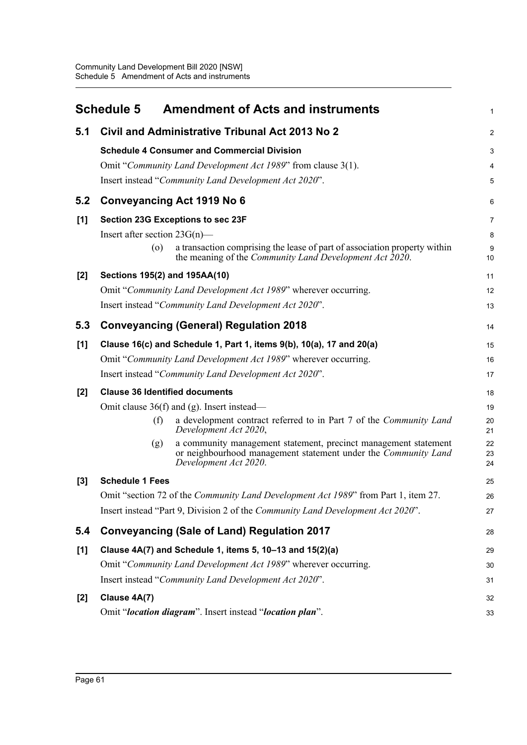|       | <b>Schedule 5</b><br><b>Amendment of Acts and instruments</b>                                                                                                     | 1              |
|-------|-------------------------------------------------------------------------------------------------------------------------------------------------------------------|----------------|
| 5.1   | Civil and Administrative Tribunal Act 2013 No 2                                                                                                                   | $\overline{2}$ |
|       | <b>Schedule 4 Consumer and Commercial Division</b>                                                                                                                | 3              |
|       | Omit "Community Land Development Act 1989" from clause 3(1).                                                                                                      | 4              |
|       | Insert instead "Community Land Development Act 2020".                                                                                                             | 5              |
| 5.2   | Conveyancing Act 1919 No 6                                                                                                                                        | 6              |
| [1]   | Section 23G Exceptions to sec 23F                                                                                                                                 | 7              |
|       | Insert after section $23G(n)$ —                                                                                                                                   | 8              |
|       | a transaction comprising the lease of part of association property within<br>$\circ$<br>the meaning of the Community Land Development Act 2020.                   | 9<br>10        |
| $[2]$ | Sections 195(2) and 195AA(10)                                                                                                                                     | 11             |
|       | Omit "Community Land Development Act 1989" wherever occurring.                                                                                                    | 12             |
|       | Insert instead "Community Land Development Act 2020".                                                                                                             | 13             |
| 5.3   | <b>Conveyancing (General) Regulation 2018</b>                                                                                                                     | 14             |
| [1]   | Clause 16(c) and Schedule 1, Part 1, items 9(b), 10(a), 17 and 20(a)                                                                                              | 15             |
|       | Omit "Community Land Development Act 1989" wherever occurring.                                                                                                    | 16             |
|       | Insert instead "Community Land Development Act 2020".                                                                                                             | 17             |
| $[2]$ | <b>Clause 36 Identified documents</b>                                                                                                                             | 18             |
|       | Omit clause $36(f)$ and (g). Insert instead—                                                                                                                      | 19             |
|       | a development contract referred to in Part 7 of the Community Land<br>(f)<br>Development Act 2020,                                                                | 20<br>21       |
|       | a community management statement, precinct management statement<br>(g)<br>or neighbourhood management statement under the Community Land<br>Development Act 2020. | 22<br>23<br>24 |
| $[3]$ | <b>Schedule 1 Fees</b>                                                                                                                                            | 25             |
|       | Omit "section 72 of the Community Land Development Act 1989" from Part 1, item 27.                                                                                | 26             |
|       | Insert instead "Part 9, Division 2 of the Community Land Development Act 2020".                                                                                   | 27             |
| 5.4   | <b>Conveyancing (Sale of Land) Regulation 2017</b>                                                                                                                | 28             |
| [1]   | Clause 4A(7) and Schedule 1, items 5, 10-13 and 15(2)(a)                                                                                                          | 29             |
|       | Omit "Community Land Development Act 1989" wherever occurring.                                                                                                    | 30             |
|       | Insert instead "Community Land Development Act 2020".                                                                                                             | 31             |
| $[2]$ | Clause 4A(7)                                                                                                                                                      | 32             |
|       | Omit "location diagram". Insert instead "location plan".                                                                                                          | 33             |
|       |                                                                                                                                                                   |                |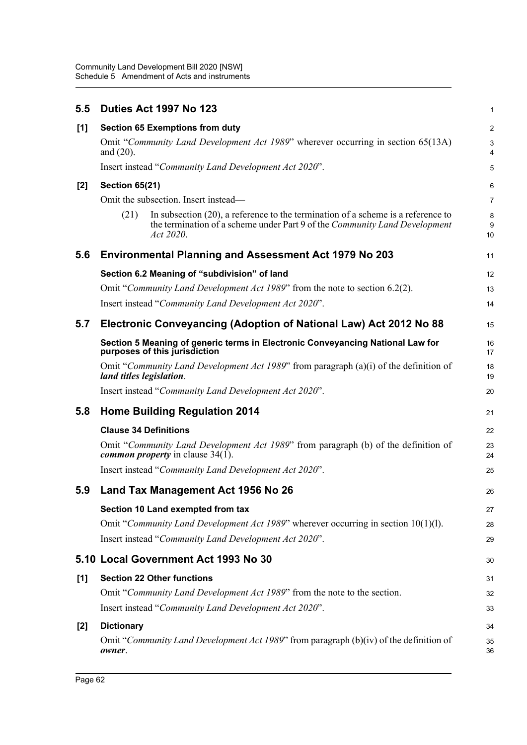| 5.5   | Duties Act 1997 No 123                                                                                                                                                                 | 1              |
|-------|----------------------------------------------------------------------------------------------------------------------------------------------------------------------------------------|----------------|
| [1]   | <b>Section 65 Exemptions from duty</b>                                                                                                                                                 | $\overline{c}$ |
|       | Omit "Community Land Development Act 1989" wherever occurring in section 65(13A)<br>and $(20)$ .                                                                                       | 3<br>4         |
|       | Insert instead "Community Land Development Act 2020".                                                                                                                                  | 5              |
| $[2]$ | <b>Section 65(21)</b>                                                                                                                                                                  | 6              |
|       | Omit the subsection. Insert instead—                                                                                                                                                   | 7              |
|       | In subsection $(20)$ , a reference to the termination of a scheme is a reference to<br>(21)<br>the termination of a scheme under Part 9 of the Community Land Development<br>Act 2020. | 8<br>9<br>10   |
| 5.6   | <b>Environmental Planning and Assessment Act 1979 No 203</b>                                                                                                                           | 11             |
|       | Section 6.2 Meaning of "subdivision" of land                                                                                                                                           | 12             |
|       | Omit "Community Land Development Act 1989" from the note to section 6.2(2).                                                                                                            | 13             |
|       | Insert instead "Community Land Development Act 2020".                                                                                                                                  | 14             |
| 5.7   | Electronic Conveyancing (Adoption of National Law) Act 2012 No 88                                                                                                                      | 15             |
|       | Section 5 Meaning of generic terms in Electronic Conveyancing National Law for<br>purposes of this jurisdiction                                                                        | 16<br>17       |
|       | Omit "Community Land Development Act 1989" from paragraph (a)(i) of the definition of<br>land titles legislation.                                                                      | 18<br>19       |
|       | Insert instead "Community Land Development Act 2020".                                                                                                                                  | 20             |
| 5.8   | <b>Home Building Regulation 2014</b>                                                                                                                                                   | 21             |
|       | <b>Clause 34 Definitions</b>                                                                                                                                                           | 22             |
|       | Omit "Community Land Development Act 1989" from paragraph (b) of the definition of<br><i>common property</i> in clause $34(1)$ .                                                       | 23<br>24       |
|       | Insert instead "Community Land Development Act 2020".                                                                                                                                  | 25             |
| 5.9   | Land Tax Management Act 1956 No 26                                                                                                                                                     | 26             |
|       | Section 10 Land exempted from tax                                                                                                                                                      | 27             |
|       | Omit "Community Land Development Act 1989" wherever occurring in section 10(1)(1).                                                                                                     | 28             |
|       | Insert instead "Community Land Development Act 2020".                                                                                                                                  | 29             |
|       | 5.10 Local Government Act 1993 No 30                                                                                                                                                   | 30             |
| [1]   | <b>Section 22 Other functions</b>                                                                                                                                                      | 31             |
|       | Omit "Community Land Development Act 1989" from the note to the section.                                                                                                               | 32             |
|       | Insert instead "Community Land Development Act 2020".                                                                                                                                  | 33             |
| $[2]$ | <b>Dictionary</b>                                                                                                                                                                      | 34             |
|       | Omit "Community Land Development Act 1989" from paragraph (b)(iv) of the definition of<br>owner.                                                                                       | 35<br>36       |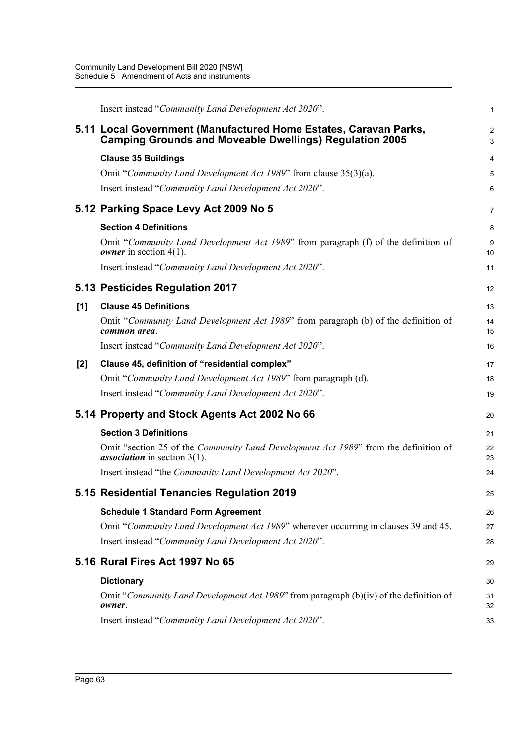|       | Insert instead "Community Land Development Act 2020".                                                                                 | 1        |
|-------|---------------------------------------------------------------------------------------------------------------------------------------|----------|
|       | 5.11 Local Government (Manufactured Home Estates, Caravan Parks,<br><b>Camping Grounds and Moveable Dwellings) Regulation 2005</b>    | 2<br>3   |
|       | <b>Clause 35 Buildings</b>                                                                                                            | 4        |
|       | Omit "Community Land Development Act 1989" from clause 35(3)(a).                                                                      | 5        |
|       | Insert instead "Community Land Development Act 2020".                                                                                 | 6        |
|       | 5.12 Parking Space Levy Act 2009 No 5                                                                                                 | 7        |
|       | <b>Section 4 Definitions</b>                                                                                                          | 8        |
|       | Omit "Community Land Development Act 1989" from paragraph (f) of the definition of<br><i>owner</i> in section $4(1)$ .                | 9<br>10  |
|       | Insert instead "Community Land Development Act 2020".                                                                                 | 11       |
|       | 5.13 Pesticides Regulation 2017                                                                                                       | 12       |
| [1]   | <b>Clause 45 Definitions</b>                                                                                                          | 13       |
|       | Omit "Community Land Development Act 1989" from paragraph (b) of the definition of<br>common area.                                    | 14<br>15 |
|       | Insert instead "Community Land Development Act 2020".                                                                                 | 16       |
| $[2]$ | Clause 45, definition of "residential complex"                                                                                        | 17       |
|       | Omit "Community Land Development Act 1989" from paragraph (d).                                                                        | 18       |
|       | Insert instead "Community Land Development Act 2020".                                                                                 | 19       |
|       | 5.14 Property and Stock Agents Act 2002 No 66                                                                                         | 20       |
|       | <b>Section 3 Definitions</b>                                                                                                          | 21       |
|       | Omit "section 25 of the <i>Community Land Development Act 1989</i> " from the definition of<br><i>association</i> in section $3(1)$ . | 22<br>23 |
|       | Insert instead "the Community Land Development Act 2020".                                                                             | 24       |
|       | 5.15 Residential Tenancies Regulation 2019                                                                                            | 25       |
|       | <b>Schedule 1 Standard Form Agreement</b>                                                                                             | 26       |
|       | Omit "Community Land Development Act 1989" wherever occurring in clauses 39 and 45.                                                   | 27       |
|       | Insert instead "Community Land Development Act 2020".                                                                                 | 28       |
|       | 5.16 Rural Fires Act 1997 No 65                                                                                                       | 29       |
|       | <b>Dictionary</b>                                                                                                                     | 30       |
|       | Omit "Community Land Development Act 1989" from paragraph (b)(iv) of the definition of<br>owner.                                      | 31<br>32 |
|       | Insert instead "Community Land Development Act 2020".                                                                                 | 33       |
|       |                                                                                                                                       |          |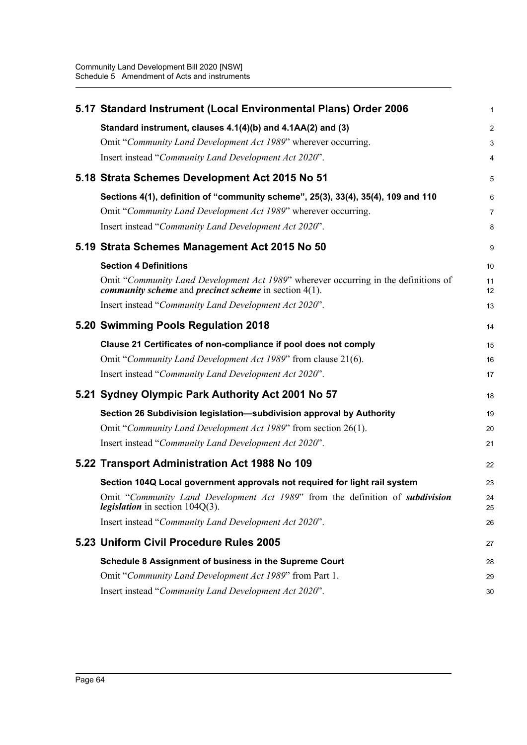| 5.17 Standard Instrument (Local Environmental Plans) Order 2006                                                                                     | $\mathbf{1}$            |
|-----------------------------------------------------------------------------------------------------------------------------------------------------|-------------------------|
| Standard instrument, clauses 4.1(4)(b) and 4.1AA(2) and (3)                                                                                         | $\overline{2}$          |
| Omit "Community Land Development Act 1989" wherever occurring.                                                                                      | $\mathsf 3$             |
| Insert instead "Community Land Development Act 2020".                                                                                               | $\overline{\mathbf{4}}$ |
| 5.18 Strata Schemes Development Act 2015 No 51                                                                                                      | 5                       |
| Sections 4(1), definition of "community scheme", 25(3), 33(4), 35(4), 109 and 110                                                                   | 6                       |
| Omit "Community Land Development Act 1989" wherever occurring.                                                                                      | $\overline{7}$          |
| Insert instead "Community Land Development Act 2020".                                                                                               | 8                       |
| 5.19 Strata Schemes Management Act 2015 No 50                                                                                                       | 9                       |
| <b>Section 4 Definitions</b>                                                                                                                        | 10                      |
| Omit "Community Land Development Act 1989" wherever occurring in the definitions of<br><i>community scheme and precinct scheme in section 4(1).</i> | 11<br>12                |
| Insert instead "Community Land Development Act 2020".                                                                                               | 13                      |
| 5.20 Swimming Pools Regulation 2018                                                                                                                 | 14                      |
| Clause 21 Certificates of non-compliance if pool does not comply                                                                                    | 15                      |
| Omit "Community Land Development Act 1989" from clause 21(6).                                                                                       | 16                      |
| Insert instead "Community Land Development Act 2020".                                                                                               | 17                      |
| 5.21 Sydney Olympic Park Authority Act 2001 No 57                                                                                                   | 18                      |
| Section 26 Subdivision legislation-subdivision approval by Authority                                                                                | 19                      |
| Omit "Community Land Development Act 1989" from section 26(1).                                                                                      | 20                      |
| Insert instead "Community Land Development Act 2020".                                                                                               | 21                      |
| 5.22 Transport Administration Act 1988 No 109                                                                                                       | 22                      |
| Section 104Q Local government approvals not required for light rail system                                                                          | 23                      |
| Omit "Community Land Development Act 1989" from the definition of subdivision<br><i>legislation</i> in section $104Q(3)$ .                          | 24<br>25                |
| Insert instead "Community Land Development Act 2020".                                                                                               | 26                      |
| 5.23 Uniform Civil Procedure Rules 2005                                                                                                             | 27                      |
| Schedule 8 Assignment of business in the Supreme Court                                                                                              | 28                      |
| Omit "Community Land Development Act 1989" from Part 1.                                                                                             | 29                      |
| Insert instead "Community Land Development Act 2020".                                                                                               | 30                      |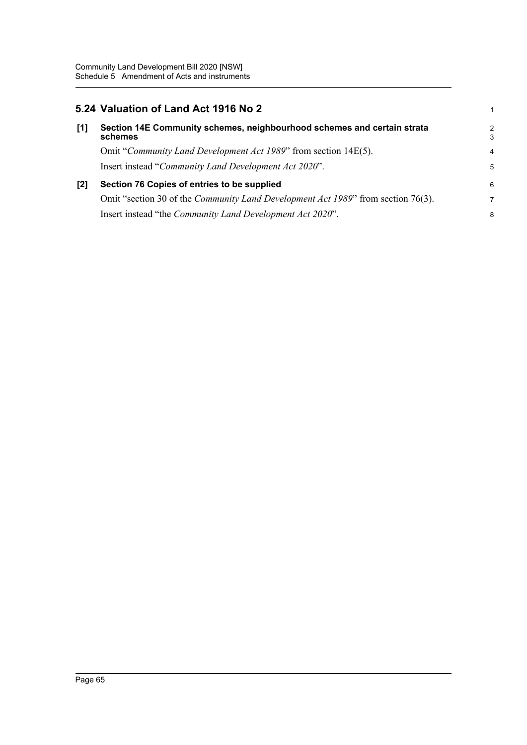## **5.24 Valuation of Land Act 1916 No 2**

| [1] | Section 14E Community schemes, neighbourhood schemes and certain strata<br>schemes       | 2<br>3         |
|-----|------------------------------------------------------------------------------------------|----------------|
|     | Omit "Community Land Development Act 1989" from section 14E(5).                          | $\overline{4}$ |
|     | Insert instead "Community Land Development Act 2020".                                    | 5              |
| [2] | Section 76 Copies of entries to be supplied                                              | 6              |
|     | Omit "section 30 of the <i>Community Land Development Act 1989</i> " from section 76(3). | 7              |
|     | Insert instead "the Community Land Development Act 2020".                                | 8              |

1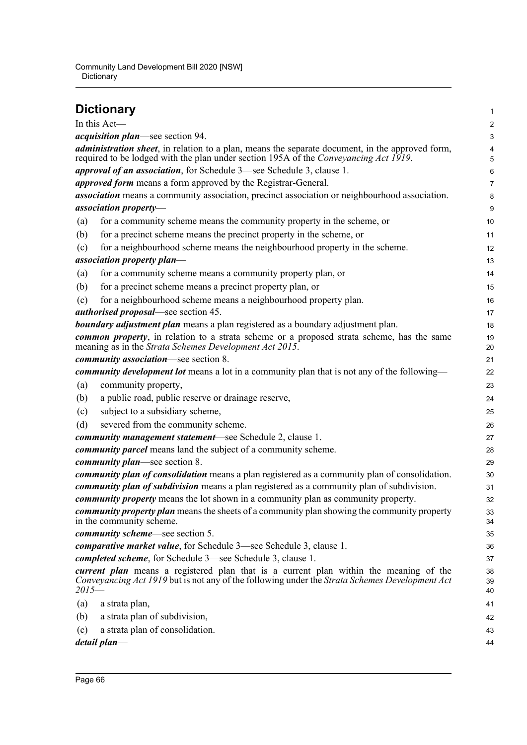|         | <b>Dictionary</b>                                                                                                                                                                               | 1                       |
|---------|-------------------------------------------------------------------------------------------------------------------------------------------------------------------------------------------------|-------------------------|
|         | In this Act-                                                                                                                                                                                    | $\overline{\mathbf{c}}$ |
|         | <i>acquisition plan</i> —see section 94.                                                                                                                                                        | 3                       |
|         | <i>administration sheet</i> , in relation to a plan, means the separate document, in the approved form,<br>required to be lodged with the plan under section 195A of the Conveyancing Act 1919. | 4<br>5                  |
|         | approval of an association, for Schedule 3-see Schedule 3, clause 1.                                                                                                                            | 6                       |
|         | approved form means a form approved by the Registrar-General.                                                                                                                                   | 7                       |
|         | <i>association</i> means a community association, precinct association or neighbourhood association.                                                                                            | 8                       |
|         | association property-                                                                                                                                                                           | 9                       |
| (a)     | for a community scheme means the community property in the scheme, or                                                                                                                           | 10                      |
| (b)     | for a precinct scheme means the precinct property in the scheme, or                                                                                                                             | 11                      |
| (c)     | for a neighbourhood scheme means the neighbourhood property in the scheme.                                                                                                                      | 12                      |
|         | association property plan—                                                                                                                                                                      | 13                      |
| (a)     | for a community scheme means a community property plan, or                                                                                                                                      | 14                      |
| (b)     | for a precinct scheme means a precinct property plan, or                                                                                                                                        | 15                      |
| (c)     | for a neighbourhood scheme means a neighbourhood property plan.                                                                                                                                 | 16                      |
|         | <i>authorised proposal</i> —see section 45.                                                                                                                                                     | 17                      |
|         | <b>boundary adjustment plan</b> means a plan registered as a boundary adjustment plan.                                                                                                          | 18                      |
|         | <b><i>common property</i></b> , in relation to a strata scheme or a proposed strata scheme, has the same<br>meaning as in the Strata Schemes Development Act 2015.                              | 19<br>20                |
|         | community association-see section 8.                                                                                                                                                            | 21                      |
|         | <i>community development lot</i> means a lot in a community plan that is not any of the following—                                                                                              | 22                      |
| (a)     | community property,                                                                                                                                                                             | 23                      |
| (b)     | a public road, public reserve or drainage reserve,                                                                                                                                              | 24                      |
| (c)     | subject to a subsidiary scheme,                                                                                                                                                                 | 25                      |
| (d)     | severed from the community scheme.                                                                                                                                                              | 26                      |
|         | community management statement—see Schedule 2, clause 1.                                                                                                                                        | 27                      |
|         | <i>community parcel</i> means land the subject of a community scheme.                                                                                                                           | 28                      |
|         | <i>community plan—see section 8.</i>                                                                                                                                                            | 29                      |
|         | <i>community plan of consolidation</i> means a plan registered as a community plan of consolidation.                                                                                            | 30                      |
|         | community plan of subdivision means a plan registered as a community plan of subdivision.                                                                                                       | 31                      |
|         | community property means the lot shown in a community plan as community property.                                                                                                               | 32                      |
|         | <i>community property plan</i> means the sheets of a community plan showing the community property<br>in the community scheme.                                                                  | 33<br>34                |
|         | <i>community scheme</i> —see section 5.                                                                                                                                                         | 35                      |
|         | <i>comparative market value,</i> for Schedule 3—see Schedule 3, clause 1.                                                                                                                       | 36                      |
|         | <i>completed scheme</i> , for Schedule 3—see Schedule 3, clause 1.                                                                                                                              | 37                      |
| $2015-$ | current plan means a registered plan that is a current plan within the meaning of the<br>Conveyancing Act 1919 but is not any of the following under the Strata Schemes Development Act         | 38<br>39<br>40          |
| (a)     | a strata plan,                                                                                                                                                                                  | 41                      |
| (b)     | a strata plan of subdivision,                                                                                                                                                                   | 42                      |
| (c)     | a strata plan of consolidation.                                                                                                                                                                 | 43                      |
|         | detail plan—                                                                                                                                                                                    | 44                      |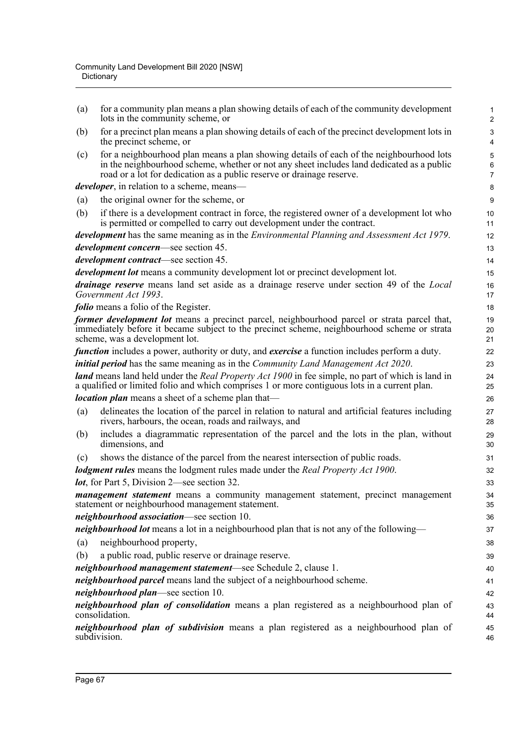| for a community plan means a plan showing details of each of the community development<br>lots in the community scheme, or                                                                                                                                    | 1<br>$\overline{2}$                                                                                                                                                                                |
|---------------------------------------------------------------------------------------------------------------------------------------------------------------------------------------------------------------------------------------------------------------|----------------------------------------------------------------------------------------------------------------------------------------------------------------------------------------------------|
| for a precinct plan means a plan showing details of each of the precinct development lots in<br>the precinct scheme, or                                                                                                                                       | 3<br>4                                                                                                                                                                                             |
| for a neighbourhood plan means a plan showing details of each of the neighbourhood lots<br>in the neighbourhood scheme, whether or not any sheet includes land dedicated as a public<br>road or a lot for dedication as a public reserve or drainage reserve. | 5<br>$6\phantom{1}$<br>$\overline{7}$                                                                                                                                                              |
| <i>developer</i> , in relation to a scheme, means—                                                                                                                                                                                                            | 8                                                                                                                                                                                                  |
| the original owner for the scheme, or                                                                                                                                                                                                                         | 9                                                                                                                                                                                                  |
| if there is a development contract in force, the registered owner of a development lot who<br>is permitted or compelled to carry out development under the contract.                                                                                          | 10<br>11                                                                                                                                                                                           |
| development has the same meaning as in the <i>Environmental Planning and Assessment Act 1979</i> .                                                                                                                                                            | 12                                                                                                                                                                                                 |
| <i>development concern</i> —see section 45.                                                                                                                                                                                                                   | 13                                                                                                                                                                                                 |
| development contract-see section 45.                                                                                                                                                                                                                          | 14                                                                                                                                                                                                 |
| <i>development lot</i> means a community development lot or precinct development lot.                                                                                                                                                                         | 15                                                                                                                                                                                                 |
| Government Act 1993.                                                                                                                                                                                                                                          | 16<br>17                                                                                                                                                                                           |
| <i>folio</i> means a folio of the Register.                                                                                                                                                                                                                   | 18                                                                                                                                                                                                 |
| former development lot means a precinct parcel, neighbourhood parcel or strata parcel that,<br>immediately before it became subject to the precinct scheme, neighbourhood scheme or strata<br>scheme, was a development lot.                                  | 19<br>20<br>21                                                                                                                                                                                     |
| <i>function</i> includes a power, authority or duty, and <i>exercise</i> a function includes perform a duty.                                                                                                                                                  | 22                                                                                                                                                                                                 |
| <i>initial period</i> has the same meaning as in the <i>Community Land Management Act 2020</i> .                                                                                                                                                              | 23                                                                                                                                                                                                 |
| <b>land</b> means land held under the <i>Real Property Act 1900</i> in fee simple, no part of which is land in<br>a qualified or limited folio and which comprises 1 or more contiguous lots in a current plan.                                               | 24<br>25                                                                                                                                                                                           |
| <i>location plan</i> means a sheet of a scheme plan that—                                                                                                                                                                                                     | 26                                                                                                                                                                                                 |
| delineates the location of the parcel in relation to natural and artificial features including<br>rivers, harbours, the ocean, roads and railways, and                                                                                                        | 27<br>28                                                                                                                                                                                           |
| includes a diagrammatic representation of the parcel and the lots in the plan, without<br>dimensions, and                                                                                                                                                     | 29<br>30                                                                                                                                                                                           |
| shows the distance of the parcel from the nearest intersection of public roads.                                                                                                                                                                               | 31                                                                                                                                                                                                 |
| lodgment rules means the lodgment rules made under the Real Property Act 1900.                                                                                                                                                                                | 32                                                                                                                                                                                                 |
| <i>lot</i> , for Part 5, Division 2—see section 32.                                                                                                                                                                                                           | 33                                                                                                                                                                                                 |
| management statement means a community management statement, precinct management<br>statement or neighbourhood management statement.                                                                                                                          | 34<br>35                                                                                                                                                                                           |
| neighbourhood association-see section 10.                                                                                                                                                                                                                     | 36                                                                                                                                                                                                 |
|                                                                                                                                                                                                                                                               | 37                                                                                                                                                                                                 |
| neighbourhood property,                                                                                                                                                                                                                                       | 38                                                                                                                                                                                                 |
| a public road, public reserve or drainage reserve.                                                                                                                                                                                                            | 39                                                                                                                                                                                                 |
| neighbourhood management statement-see Schedule 2, clause 1.                                                                                                                                                                                                  | 40                                                                                                                                                                                                 |
| neighbourhood parcel means land the subject of a neighbourhood scheme.                                                                                                                                                                                        | 41                                                                                                                                                                                                 |
| neighbourhood plan—see section 10.                                                                                                                                                                                                                            | 42                                                                                                                                                                                                 |
| neighbourhood plan of consolidation means a plan registered as a neighbourhood plan of<br>consolidation.                                                                                                                                                      | 43<br>44                                                                                                                                                                                           |
| neighbourhood plan of subdivision means a plan registered as a neighbourhood plan of<br>subdivision.                                                                                                                                                          | 45<br>46                                                                                                                                                                                           |
|                                                                                                                                                                                                                                                               | <i>drainage reserve</i> means land set aside as a drainage reserve under section 49 of the <i>Local</i><br>neighbourhood lot means a lot in a neighbourhood plan that is not any of the following— |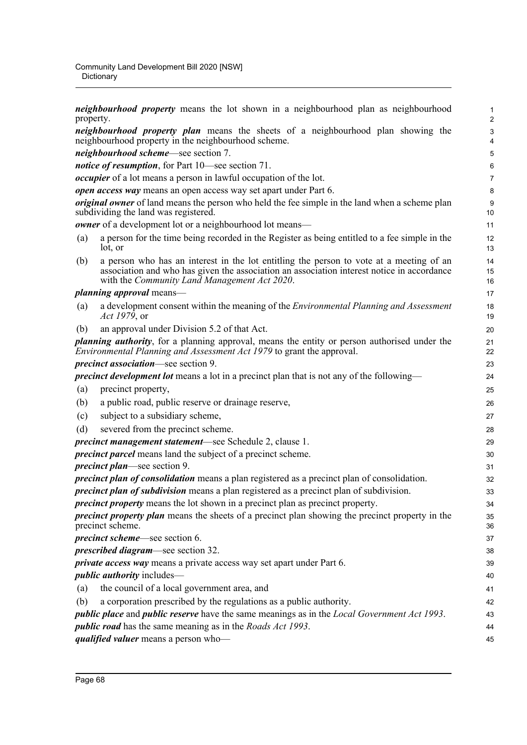*neighbourhood property* means the lot shown in a neighbourhood plan as neighbourhood property. *neighbourhood property plan* means the sheets of a neighbourhood plan showing the neighbourhood property in the neighbourhood scheme. *neighbourhood scheme*—see section 7. *notice of resumption*, for Part 10—see section 71. *occupier* of a lot means a person in lawful occupation of the lot. *open access way* means an open access way set apart under Part 6. *original owner* of land means the person who held the fee simple in the land when a scheme plan subdividing the land was registered. *owner* of a development lot or a neighbourhood lot means— (a) a person for the time being recorded in the Register as being entitled to a fee simple in the lot, or (b) a person who has an interest in the lot entitling the person to vote at a meeting of an association and who has given the association an association interest notice in accordance with the *Community Land Management Act 2020*. *planning approval* means— (a) a development consent within the meaning of the *Environmental Planning and Assessment Act 1979*, or (b) an approval under Division 5.2 of that Act. *planning authority*, for a planning approval, means the entity or person authorised under the *Environmental Planning and Assessment Act 1979* to grant the approval. *precinct association*—see section 9. *precinct development lot* means a lot in a precinct plan that is not any of the following— (a) precinct property, (b) a public road, public reserve or drainage reserve, (c) subject to a subsidiary scheme, (d) severed from the precinct scheme. *precinct management statement*—see Schedule 2, clause 1. *precinct parcel* means land the subject of a precinct scheme. *precinct plan*—see section 9. *precinct plan of consolidation* means a plan registered as a precinct plan of consolidation. *precinct plan of subdivision* means a plan registered as a precinct plan of subdivision. *precinct property* means the lot shown in a precinct plan as precinct property. *precinct property plan* means the sheets of a precinct plan showing the precinct property in the precinct scheme. *precinct scheme*—see section 6. *prescribed diagram*—see section 32. *private access way* means a private access way set apart under Part 6. *public authority* includes— (a) the council of a local government area, and (b) a corporation prescribed by the regulations as a public authority. *public place* and *public reserve* have the same meanings as in the *Local Government Act 1993*. *public road* has the same meaning as in the *Roads Act 1993*. *qualified valuer* means a person who— 1 2 3 4 5 6 7 8 9 10 11 12 13 14 15 16 17 18 19 20 21 22 23 24 25 26 27 28 29 30 31 32 33 34 35 36 37 38 39 40 41 42 43 44 45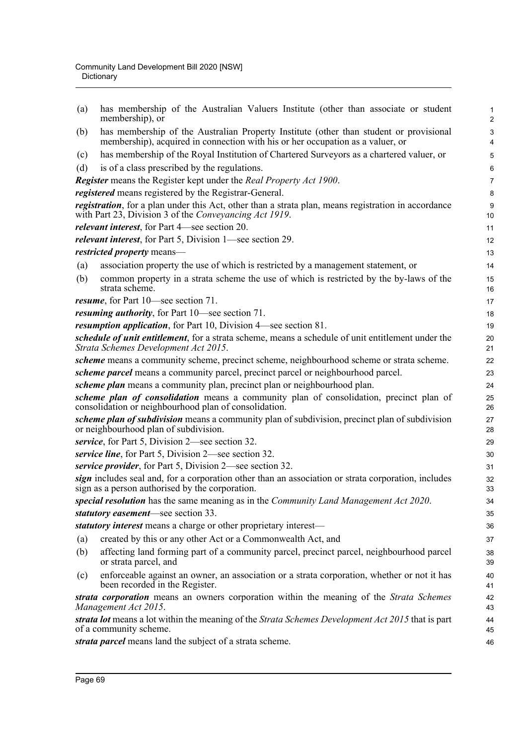| (a) | has membership of the Australian Valuers Institute (other than associate or student<br>membership), or                                                                   | $\mathbf{1}$<br>$\overline{c}$ |
|-----|--------------------------------------------------------------------------------------------------------------------------------------------------------------------------|--------------------------------|
| (b) | has membership of the Australian Property Institute (other than student or provisional<br>membership), acquired in connection with his or her occupation as a valuer, or | 3<br>4                         |
| (c) | has membership of the Royal Institution of Chartered Surveyors as a chartered valuer, or                                                                                 | 5                              |
| (d) | is of a class prescribed by the regulations.                                                                                                                             | 6                              |
|     | <b>Register</b> means the Register kept under the Real Property Act 1900.                                                                                                | $\overline{7}$                 |
|     | registered means registered by the Registrar-General.                                                                                                                    | 8                              |
|     | <i>registration</i> , for a plan under this Act, other than a strata plan, means registration in accordance<br>with Part 23, Division 3 of the Conveyancing Act 1919.    | 9<br>10                        |
|     | <i>relevant interest</i> , for Part 4—see section 20.                                                                                                                    | 11                             |
|     | <i>relevant interest</i> , for Part 5, Division 1—see section 29.                                                                                                        | 12                             |
|     | restricted property means-                                                                                                                                               | 13                             |
| (a) | association property the use of which is restricted by a management statement, or                                                                                        | 14                             |
| (b) | common property in a strata scheme the use of which is restricted by the by-laws of the<br>strata scheme.                                                                | 15<br>16                       |
|     | resume, for Part 10—see section 71.                                                                                                                                      | 17                             |
|     | <i>resuming authority</i> , for Part 10—see section 71.                                                                                                                  | 18                             |
|     | <i>resumption application</i> , for Part 10, Division 4—see section 81.                                                                                                  | 19                             |
|     | schedule of unit entitlement, for a strata scheme, means a schedule of unit entitlement under the<br>Strata Schemes Development Act 2015.                                | 20<br>21                       |
|     | scheme means a community scheme, precinct scheme, neighbourhood scheme or strata scheme.                                                                                 | 22                             |
|     | scheme parcel means a community parcel, precinct parcel or neighbourhood parcel.                                                                                         | 23                             |
|     | scheme plan means a community plan, precinct plan or neighbourhood plan.                                                                                                 | 24                             |
|     | scheme plan of consolidation means a community plan of consolidation, precinct plan of<br>consolidation or neighbourhood plan of consolidation.                          | 25<br>26                       |
|     | scheme plan of subdivision means a community plan of subdivision, precinct plan of subdivision<br>or neighbourhood plan of subdivision.                                  | 27<br>28                       |
|     | service, for Part 5, Division 2—see section 32.                                                                                                                          | 29                             |
|     | service line, for Part 5, Division 2—see section 32.                                                                                                                     | 30                             |
|     | service provider, for Part 5, Division 2—see section 32.                                                                                                                 | 31                             |
|     | sign includes seal and, for a corporation other than an association or strata corporation, includes<br>sign as a person authorised by the corporation.                   | 32<br>33                       |
|     | special resolution has the same meaning as in the Community Land Management Act 2020.                                                                                    | 34                             |
|     | statutory easement—see section 33.                                                                                                                                       | 35                             |
|     | statutory interest means a charge or other proprietary interest-                                                                                                         | 36                             |
| (a) | created by this or any other Act or a Commonwealth Act, and                                                                                                              | 37                             |
| (b) | affecting land forming part of a community parcel, precinct parcel, neighbourhood parcel<br>or strata parcel, and                                                        | 38<br>39                       |
| (c) | enforceable against an owner, an association or a strata corporation, whether or not it has<br>been recorded in the Register.                                            | 40<br>41                       |
|     | strata corporation means an owners corporation within the meaning of the Strata Schemes<br>Management Act 2015.                                                          | 42<br>43                       |
|     | strata lot means a lot within the meaning of the Strata Schemes Development Act 2015 that is part<br>of a community scheme.                                              | 44<br>45                       |
|     | strata parcel means land the subject of a strata scheme.                                                                                                                 | 46                             |
|     |                                                                                                                                                                          |                                |